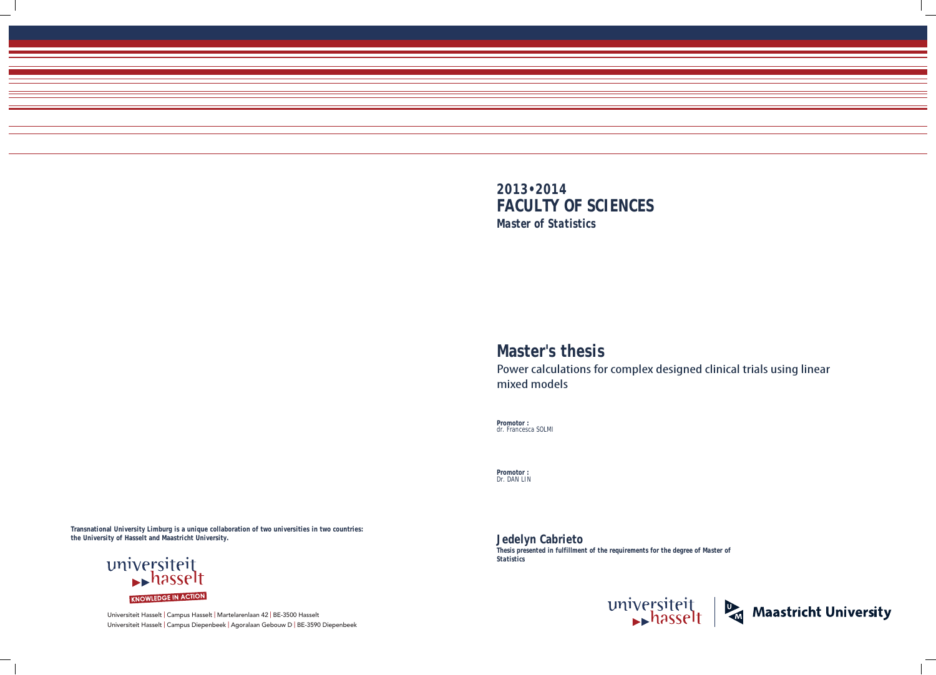Universiteit Hasselt | Campus Hasselt | Martelarenlaan 42 | BE-3500 Hasselt Universiteit Hasselt | Campus Diepenbeek | Agoralaan Gebouw D | BE-3590 Diepenbeek

Power calculations for complex designed clinical trials using linear



**Promotor :** dr. Francesca SOLMI

**Promotor :** Dr. DAN LIN

**Jedelyn Cabrieto**  *Thesis presented in fulfillment of the requirements for the degree of Master of Statistics*



# **Master's thesis** mixed models

**Transnational University Limburg is a unique collaboration of two universities in two countries: the University of Hasselt and Maastricht University.**

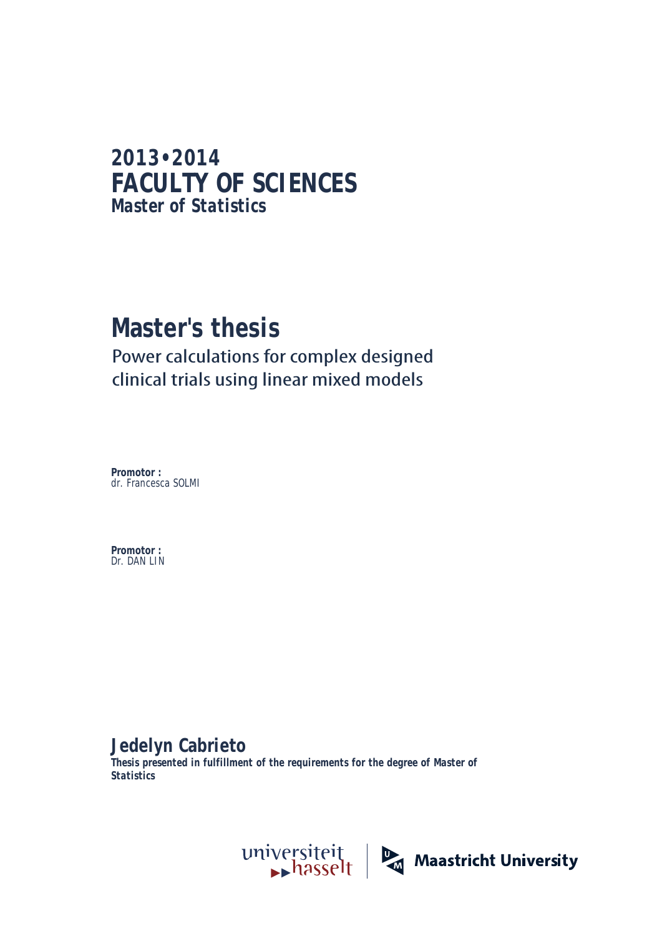# **2013•2014 FACULTY OF SCIENCES** *Master of Statistics*

# **Master's thesis** Power calculations for complex designed clinical trials using linear mixed models

**Promotor :** dr. Francesca SOLMI

**Promotor :** Dr. DAN LIN

# **Jedelyn Cabrieto**

*Thesis presented in fulfillment of the requirements for the degree of Master of Statistics*

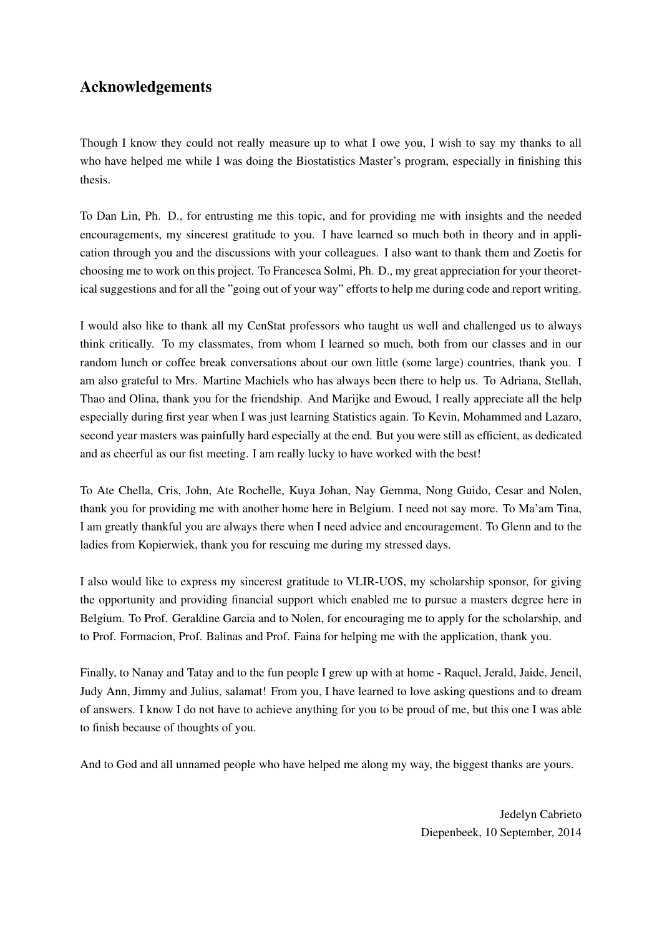# Acknowledgements

Though I know they could not really measure up to what I owe you, I wish to say my thanks to all who have helped me while I was doing the Biostatistics Master's program, especially in finishing this thesis.

To Dan Lin, Ph. D., for entrusting me this topic, and for providing me with insights and the needed encouragements, my sincerest gratitude to you. I have learned so much both in theory and in application through you and the discussions with your colleagues. I also want to thank them and Zoetis for choosing me to work on this project. To Francesca Solmi, Ph. D., my great appreciation for your theoretical suggestions and for all the "going out of your way" efforts to help me during code and report writing.

I would also like to thank all my CenStat professors who taught us well and challenged us to always think critically. To my classmates, from whom I learned so much, both from our classes and in our random lunch or coffee break conversations about our own little (some large) countries, thank you. I am also grateful to Mrs. Martine Machiels who has always been there to help us. To Adriana, Stellah, Thao and Olina, thank you for the friendship. And Marijke and Ewoud, I really appreciate all the help especially during first year when I was just learning Statistics again. To Kevin, Mohammed and Lazaro, second year masters was painfully hard especially at the end. But you were still as efficient, as dedicated and as cheerful as our fist meeting. I am really lucky to have worked with the best!

To Ate Chella, Cris, John, Ate Rochelle, Kuya Johan, Nay Gemma, Nong Guido, Cesar and Nolen, thank you for providing me with another home here in Belgium. I need not say more. To Ma'am Tina, I am greatly thankful you are always there when I need advice and encouragement. To Glenn and to the ladies from Kopierwiek, thank you for rescuing me during my stressed days.

I also would like to express my sincerest gratitude to VLIR-UOS, my scholarship sponsor, for giving the opportunity and providing financial support which enabled me to pursue a masters degree here in Belgium. To Prof. Geraldine Garcia and to Nolen, for encouraging me to apply for the scholarship, and to Prof. Formacion, Prof. Balinas and Prof. Faina for helping me with the application, thank you.

Finally, to Nanay and Tatay and to the fun people I grew up with at home - Raquel, Jerald, Jaide, Jeneil, Judy Ann, Jimmy and Julius, salamat! From you, I have learned to love asking questions and to dream of answers. I know I do not have to achieve anything for you to be proud of me, but this one I was able to finish because of thoughts of you.

And to God and all unnamed people who have helped me along my way, the biggest thanks are yours.

Jedelyn Cabrieto Diepenbeek, 10 September, 2014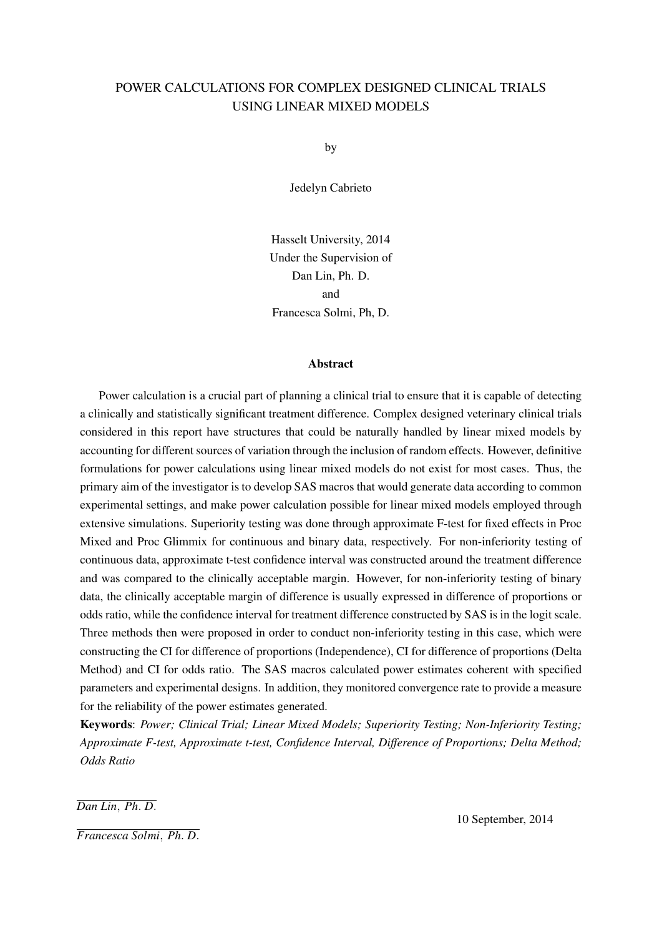# POWER CALCULATIONS FOR COMPLEX DESIGNED CLINICAL TRIALS USING LINEAR MIXED MODELS

by

Jedelyn Cabrieto

Hasselt University, 2014 Under the Supervision of Dan Lin, Ph. D. and Francesca Solmi, Ph, D.

#### **Abstract**

Power calculation is a crucial part of planning a clinical trial to ensure that it is capable of detecting a clinically and statistically significant treatment difference. Complex designed veterinary clinical trials considered in this report have structures that could be naturally handled by linear mixed models by accounting for different sources of variation through the inclusion of random effects. However, definitive formulations for power calculations using linear mixed models do not exist for most cases. Thus, the primary aim of the investigator is to develop SAS macros that would generate data according to common experimental settings, and make power calculation possible for linear mixed models employed through extensive simulations. Superiority testing was done through approximate F-test for fixed effects in Proc Mixed and Proc Glimmix for continuous and binary data, respectively. For non-inferiority testing of continuous data, approximate t-test confidence interval was constructed around the treatment difference and was compared to the clinically acceptable margin. However, for non-inferiority testing of binary data, the clinically acceptable margin of difference is usually expressed in difference of proportions or odds ratio, while the confidence interval for treatment difference constructed by SAS is in the logit scale. Three methods then were proposed in order to conduct non-inferiority testing in this case, which were constructing the CI for difference of proportions (Independence), CI for difference of proportions (Delta Method) and CI for odds ratio. The SAS macros calculated power estimates coherent with specified parameters and experimental designs. In addition, they monitored convergence rate to provide a measure for the reliability of the power estimates generated.

Keywords: *Power; Clinical Trial; Linear Mixed Models; Superiority Testing; Non-Inferiority Testing; Approximate F-test, Approximate t-test, Confidence Interval, Difference of Proportions; Delta Method; Odds Ratio*

*Dan Lin*, *Ph*. *D*.

*Francesca Solmi*, *Ph*. *D*.

10 September, 2014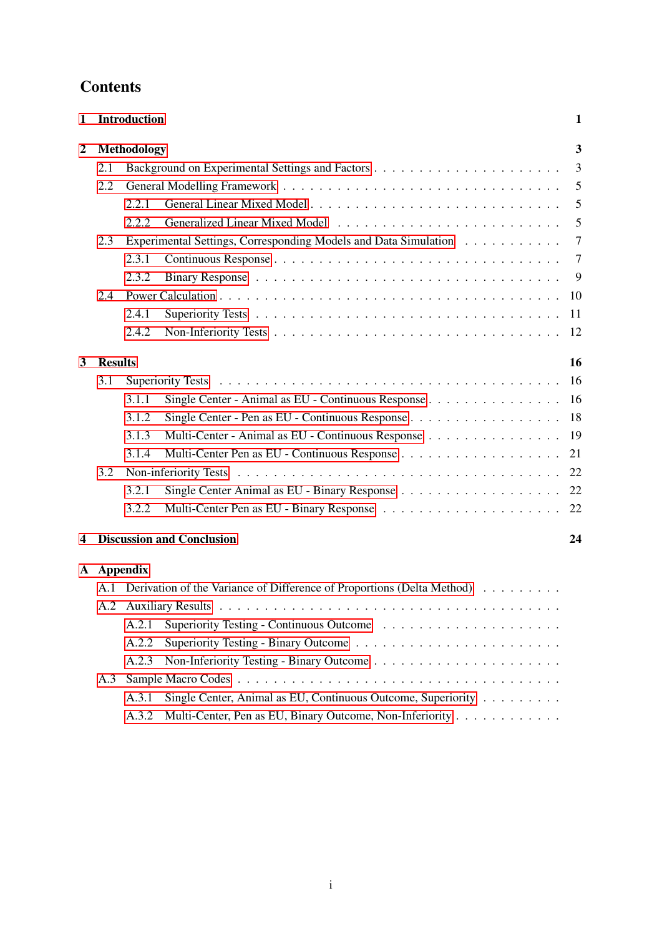| 1                |                | Introduction |                                                                        | $\mathbf{1}$   |
|------------------|----------------|--------------|------------------------------------------------------------------------|----------------|
| $\boldsymbol{2}$ |                | Methodology  |                                                                        | 3              |
|                  | 2.1            |              |                                                                        | 3              |
|                  | 2.2            |              |                                                                        | 5              |
|                  |                | 2.2.1        |                                                                        | 5              |
|                  |                | 2.2.2        |                                                                        | 5              |
|                  | 2.3            |              | Experimental Settings, Corresponding Models and Data Simulation        | $\overline{7}$ |
|                  |                | 2.3.1        |                                                                        | $\overline{7}$ |
|                  |                | 2.3.2        |                                                                        | 9              |
|                  | 2.4            |              |                                                                        | 10             |
|                  |                | 2.4.1        |                                                                        | 11             |
|                  |                | 2.4.2        |                                                                        | 12             |
| 3                | <b>Results</b> |              |                                                                        | 16             |
|                  | 3.1            |              |                                                                        | -16            |
|                  |                | 3.1.1        | Single Center - Animal as EU - Continuous Response 16                  |                |
|                  |                | 3.1.2        |                                                                        | 18             |
|                  |                | 3.1.3        | Multi-Center - Animal as EU - Continuous Response                      | 19             |
|                  |                | 3.1.4        |                                                                        | 21             |
|                  | 3.2            |              |                                                                        |                |
|                  |                | 3.2.1        | Single Center Animal as EU - Binary Response 22                        |                |
|                  |                | 3.2.2        |                                                                        |                |
| 4                |                |              | <b>Discussion and Conclusion</b>                                       | 24             |
|                  |                | A Appendix   |                                                                        |                |
|                  | A.1            |              | Derivation of the Variance of Difference of Proportions (Delta Method) |                |
|                  |                |              |                                                                        |                |
|                  |                | A.2.1        |                                                                        |                |
|                  |                | A.2.2        |                                                                        |                |
|                  |                | A.2.3        |                                                                        |                |
|                  | A.3            |              |                                                                        |                |
|                  |                | A.3.1        | Single Center, Animal as EU, Continuous Outcome, Superiority           |                |

A.3.2 Multi-Center, Pen as EU, Binary Outcome, Non-Inferiority . . . . . . . . . . . . .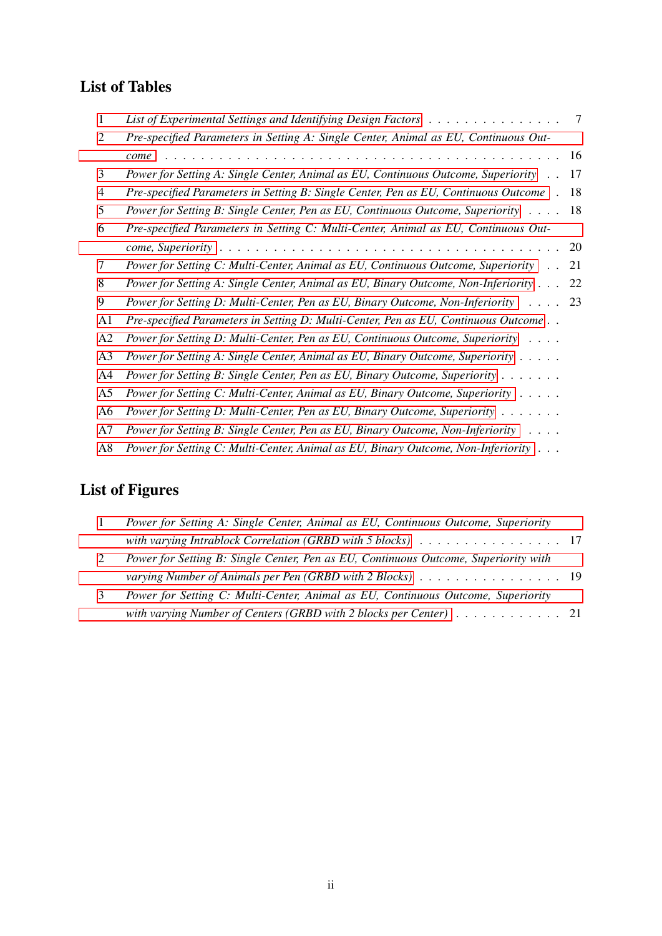# List of Tables

| 1              | List of Experimental Settings and Identifying Design Factors $\dots \dots \dots \dots \dots \dots$            | 7         |
|----------------|---------------------------------------------------------------------------------------------------------------|-----------|
| 2              | Pre-specified Parameters in Setting A: Single Center, Animal as EU, Continuous Out-                           |           |
|                | come                                                                                                          | 16        |
| 3              | Power for Setting A: Single Center, Animal as EU, Continuous Outcome, Superiority                             | 17        |
| 4              | Pre-specified Parameters in Setting B: Single Center, Pen as EU, Continuous Outcome.                          | 18        |
| 5              | Power for Setting B: Single Center, Pen as EU, Continuous Outcome, Superiority                                | 18        |
| 6              | Pre-specified Parameters in Setting C: Multi-Center, Animal as EU, Continuous Out-                            |           |
|                |                                                                                                               | <b>20</b> |
| 7              | Power for Setting C: Multi-Center, Animal as EU, Continuous Outcome, Superiority<br>$\mathbf{L}^{\mathbf{r}}$ | 21        |
| 8              | Power for Setting A: Single Center, Animal as EU, Binary Outcome, Non-Inferiority                             | 22        |
| 9              | Power for Setting D: Multi-Center, Pen as EU, Binary Outcome, Non-Inferiority<br>$\cdots$ 23                  |           |
| A1             | Pre-specified Parameters in Setting D: Multi-Center, Pen as EU, Continuous Outcome                            |           |
| A2             | Power for Setting D: Multi-Center, Pen as EU, Continuous Outcome, Superiority                                 |           |
| A <sub>3</sub> | Power for Setting A: Single Center, Animal as EU, Binary Outcome, Superiority                                 |           |
| A <sub>4</sub> | Power for Setting B: Single Center, Pen as EU, Binary Outcome, Superiority                                    |           |
| A <sub>5</sub> | Power for Setting C: Multi-Center, Animal as EU, Binary Outcome, Superiority                                  |           |
| A6             | Power for Setting D: Multi-Center, Pen as EU, Binary Outcome, Superiority                                     |           |
| A7             | Power for Setting B: Single Center, Pen as EU, Binary Outcome, Non-Inferiority                                |           |
| A8             | Power for Setting C: Multi-Center, Animal as EU, Binary Outcome, Non-Inferiority                              |           |

# List of Figures

| $\overline{1}$ | Power for Setting A: Single Center, Animal as EU, Continuous Outcome, Superiority                    |  |
|----------------|------------------------------------------------------------------------------------------------------|--|
|                | with varying Intrablock Correlation (GRBD with 5 blocks) $\ldots \ldots \ldots \ldots \ldots \ldots$ |  |
|                | Power for Setting B: Single Center, Pen as EU, Continuous Outcome, Superiority with                  |  |
|                | varying Number of Animals per Pen (GRBD with 2 Blocks) 19                                            |  |
|                | Power for Setting C: Multi-Center, Animal as EU, Continuous Outcome, Superiority                     |  |
|                | with varying Number of Centers (GRBD with 2 blocks per Center) 21                                    |  |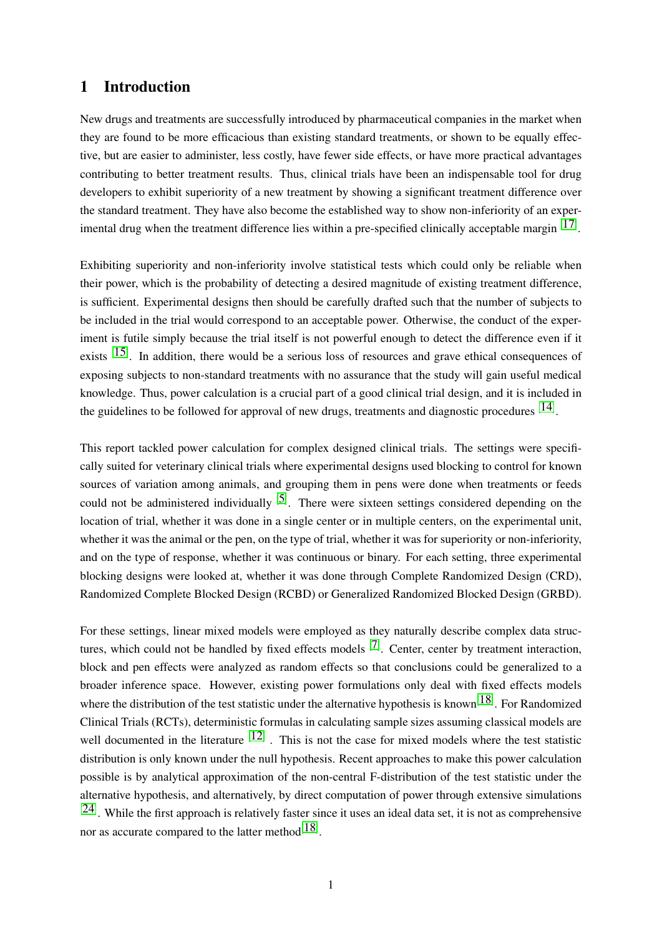# 1 Introduction

New drugs and treatments are successfully introduced by pharmaceutical companies in the market when they are found to be more efficacious than existing standard treatments, or shown to be equally effective, but are easier to administer, less costly, have fewer side effects, or have more practical advantages contributing to better treatment results. Thus, clinical trials have been an indispensable tool for drug developers to exhibit superiority of a new treatment by showing a significant treatment difference over the standard treatment. They have also become the established way to show non-inferiority of an experimental drug when the treatment difference lies within a pre-specified clinically acceptable margin  $[17]$ .

Exhibiting superiority and non-inferiority involve statistical tests which could only be reliable when their power, which is the probability of detecting a desired magnitude of existing treatment difference, is sufficient. Experimental designs then should be carefully drafted such that the number of subjects to be included in the trial would correspond to an acceptable power. Otherwise, the conduct of the experiment is futile simply because the trial itself is not powerful enough to detect the difference even if it exists  $[15]$ . In addition, there would be a serious loss of resources and grave ethical consequences of exposing subjects to non-standard treatments with no assurance that the study will gain useful medical knowledge. Thus, power calculation is a crucial part of a good clinical trial design, and it is included in the guidelines to be followed for approval of new drugs, treatments and diagnostic procedures  $[14]$ .

This report tackled power calculation for complex designed clinical trials. The settings were specifically suited for veterinary clinical trials where experimental designs used blocking to control for known sources of variation among animals, and grouping them in pens were done when treatments or feeds could not be administered individually  $\left[5\right]$ . There were sixteen settings considered depending on the location of trial, whether it was done in a single center or in multiple centers, on the experimental unit, whether it was the animal or the pen, on the type of trial, whether it was for superiority or non-inferiority, and on the type of response, whether it was continuous or binary. For each setting, three experimental blocking designs were looked at, whether it was done through Complete Randomized Design (CRD), Randomized Complete Blocked Design (RCBD) or Generalized Randomized Blocked Design (GRBD).

For these settings, linear mixed models were employed as they naturally describe complex data structures, which could not be handled by fixed effects models  $[7]$ . Center, center by treatment interaction, block and pen effects were analyzed as random effects so that conclusions could be generalized to a broader inference space. However, existing power formulations only deal with fixed effects models where the distribution of the test statistic under the alternative hypothesis is known<sup>[18]</sup>. For Randomized Clinical Trials (RCTs), deterministic formulas in calculating sample sizes assuming classical models are well documented in the literature  $[12]$ . This is not the case for mixed models where the test statistic distribution is only known under the null hypothesis. Recent approaches to make this power calculation possible is by analytical approximation of the non-central F-distribution of the test statistic under the alternative hypothesis, and alternatively, by direct computation of power through extensive simulations  $[24]$ . While the first approach is relatively faster since it uses an ideal data set, it is not as comprehensive nor as accurate compared to the latter method $^{[18]}$ .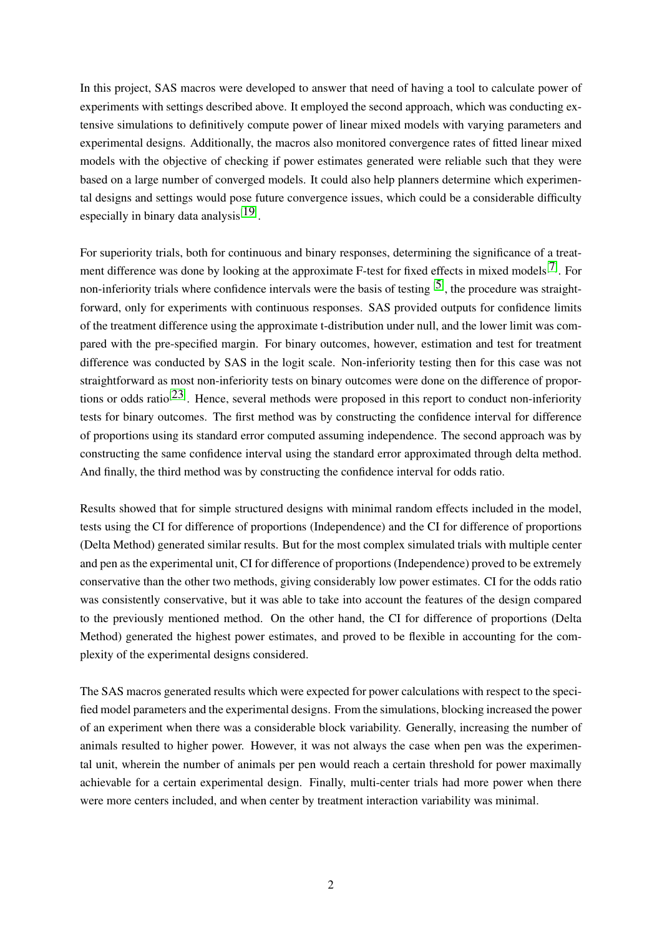In this project, SAS macros were developed to answer that need of having a tool to calculate power of experiments with settings described above. It employed the second approach, which was conducting extensive simulations to definitively compute power of linear mixed models with varying parameters and experimental designs. Additionally, the macros also monitored convergence rates of fitted linear mixed models with the objective of checking if power estimates generated were reliable such that they were based on a large number of converged models. It could also help planners determine which experimental designs and settings would pose future convergence issues, which could be a considerable difficulty especially in binary data analysis<sup>[19]</sup>.

For superiority trials, both for continuous and binary responses, determining the significance of a treatment difference was done by looking at the approximate F-test for fixed effects in mixed models<sup>[7]</sup>. For non-inferiority trials where confidence intervals were the basis of testing <sup>[5]</sup>, the procedure was straightforward, only for experiments with continuous responses. SAS provided outputs for confidence limits of the treatment difference using the approximate t-distribution under null, and the lower limit was compared with the pre-specified margin. For binary outcomes, however, estimation and test for treatment difference was conducted by SAS in the logit scale. Non-inferiority testing then for this case was not straightforward as most non-inferiority tests on binary outcomes were done on the difference of proportions or odds ratio<sup>[23]</sup>. Hence, several methods were proposed in this report to conduct non-inferiority tests for binary outcomes. The first method was by constructing the confidence interval for difference of proportions using its standard error computed assuming independence. The second approach was by constructing the same confidence interval using the standard error approximated through delta method. And finally, the third method was by constructing the confidence interval for odds ratio.

Results showed that for simple structured designs with minimal random effects included in the model, tests using the CI for difference of proportions (Independence) and the CI for difference of proportions (Delta Method) generated similar results. But for the most complex simulated trials with multiple center and pen as the experimental unit, CI for difference of proportions (Independence) proved to be extremely conservative than the other two methods, giving considerably low power estimates. CI for the odds ratio was consistently conservative, but it was able to take into account the features of the design compared to the previously mentioned method. On the other hand, the CI for difference of proportions (Delta Method) generated the highest power estimates, and proved to be flexible in accounting for the complexity of the experimental designs considered.

The SAS macros generated results which were expected for power calculations with respect to the specified model parameters and the experimental designs. From the simulations, blocking increased the power of an experiment when there was a considerable block variability. Generally, increasing the number of animals resulted to higher power. However, it was not always the case when pen was the experimental unit, wherein the number of animals per pen would reach a certain threshold for power maximally achievable for a certain experimental design. Finally, multi-center trials had more power when there were more centers included, and when center by treatment interaction variability was minimal.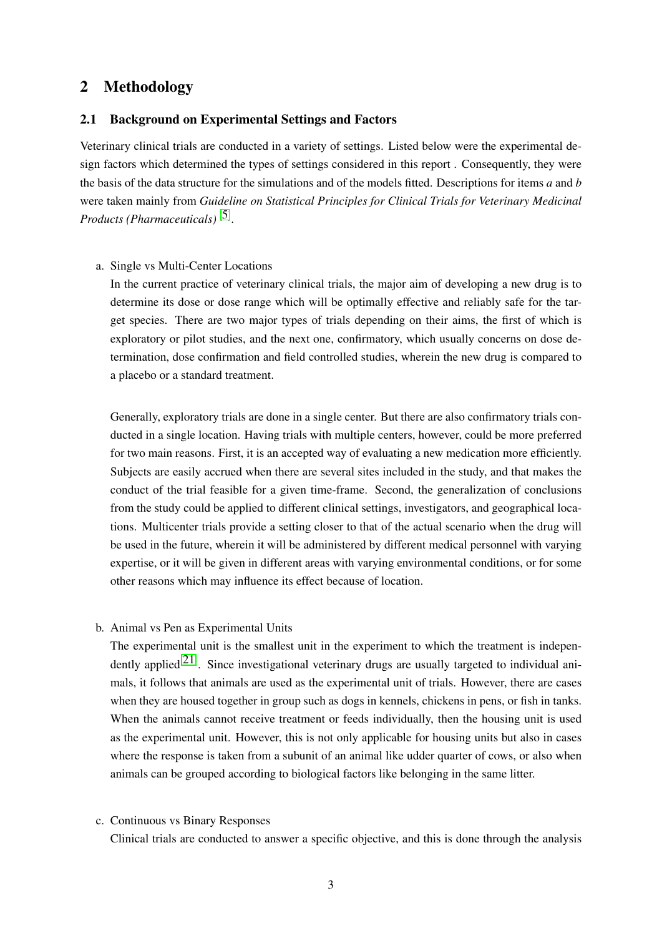# 2 Methodology

### 2.1 Background on Experimental Settings and Factors

Veterinary clinical trials are conducted in a variety of settings. Listed below were the experimental design factors which determined the types of settings considered in this report . Consequently, they were the basis of the data structure for the simulations and of the models fitted. Descriptions for items *a* and *b* were taken mainly from *Guideline on Statistical Principles for Clinical Trials for Veterinary Medicinal Products (Pharmaceuticals)* [5] .

# a. Single vs Multi-Center Locations

In the current practice of veterinary clinical trials, the major aim of developing a new drug is to determine its dose or dose range which will be optimally effective and reliably safe for the target species. There are two major types of trials depending on their aims, the first of which is exploratory or pilot studies, and the next one, confirmatory, which usually concerns on dose determination, dose confirmation and field controlled studies, wherein the new drug is compared to a placebo or a standard treatment.

Generally, exploratory trials are done in a single center. But there are also confirmatory trials conducted in a single location. Having trials with multiple centers, however, could be more preferred for two main reasons. First, it is an accepted way of evaluating a new medication more efficiently. Subjects are easily accrued when there are several sites included in the study, and that makes the conduct of the trial feasible for a given time-frame. Second, the generalization of conclusions from the study could be applied to different clinical settings, investigators, and geographical locations. Multicenter trials provide a setting closer to that of the actual scenario when the drug will be used in the future, wherein it will be administered by different medical personnel with varying expertise, or it will be given in different areas with varying environmental conditions, or for some other reasons which may influence its effect because of location.

b. Animal vs Pen as Experimental Units

The experimental unit is the smallest unit in the experiment to which the treatment is independently applied<sup>[21]</sup>. Since investigational veterinary drugs are usually targeted to individual animals, it follows that animals are used as the experimental unit of trials. However, there are cases when they are housed together in group such as dogs in kennels, chickens in pens, or fish in tanks. When the animals cannot receive treatment or feeds individually, then the housing unit is used as the experimental unit. However, this is not only applicable for housing units but also in cases where the response is taken from a subunit of an animal like udder quarter of cows, or also when animals can be grouped according to biological factors like belonging in the same litter.

#### c. Continuous vs Binary Responses

Clinical trials are conducted to answer a specific objective, and this is done through the analysis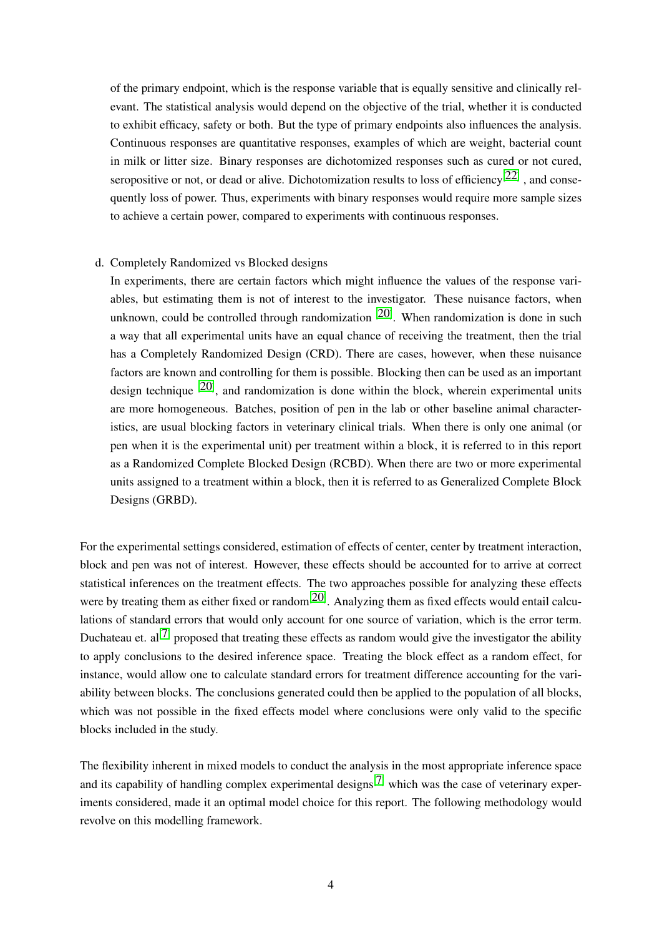of the primary endpoint, which is the response variable that is equally sensitive and clinically relevant. The statistical analysis would depend on the objective of the trial, whether it is conducted to exhibit efficacy, safety or both. But the type of primary endpoints also influences the analysis. Continuous responses are quantitative responses, examples of which are weight, bacterial count in milk or litter size. Binary responses are dichotomized responses such as cured or not cured, seropositive or not, or dead or alive. Dichotomization results to loss of efficiency<sup>[22]</sup>, and consequently loss of power. Thus, experiments with binary responses would require more sample sizes to achieve a certain power, compared to experiments with continuous responses.

### d. Completely Randomized vs Blocked designs

In experiments, there are certain factors which might influence the values of the response variables, but estimating them is not of interest to the investigator. These nuisance factors, when unknown, could be controlled through randomization  $[20]$ . When randomization is done in such a way that all experimental units have an equal chance of receiving the treatment, then the trial has a Completely Randomized Design (CRD). There are cases, however, when these nuisance factors are known and controlling for them is possible. Blocking then can be used as an important design technique  $[20]$ , and randomization is done within the block, wherein experimental units are more homogeneous. Batches, position of pen in the lab or other baseline animal characteristics, are usual blocking factors in veterinary clinical trials. When there is only one animal (or pen when it is the experimental unit) per treatment within a block, it is referred to in this report as a Randomized Complete Blocked Design (RCBD). When there are two or more experimental units assigned to a treatment within a block, then it is referred to as Generalized Complete Block Designs (GRBD).

For the experimental settings considered, estimation of effects of center, center by treatment interaction, block and pen was not of interest. However, these effects should be accounted for to arrive at correct statistical inferences on the treatment effects. The two approaches possible for analyzing these effects were by treating them as either fixed or random<sup>[20]</sup>. Analyzing them as fixed effects would entail calculations of standard errors that would only account for one source of variation, which is the error term. Duchateau et.  $al^{[7]}$  proposed that treating these effects as random would give the investigator the ability to apply conclusions to the desired inference space. Treating the block effect as a random effect, for instance, would allow one to calculate standard errors for treatment difference accounting for the variability between blocks. The conclusions generated could then be applied to the population of all blocks, which was not possible in the fixed effects model where conclusions were only valid to the specific blocks included in the study.

The flexibility inherent in mixed models to conduct the analysis in the most appropriate inference space and its capability of handling complex experimental designs<sup>[7]</sup> which was the case of veterinary experiments considered, made it an optimal model choice for this report. The following methodology would revolve on this modelling framework.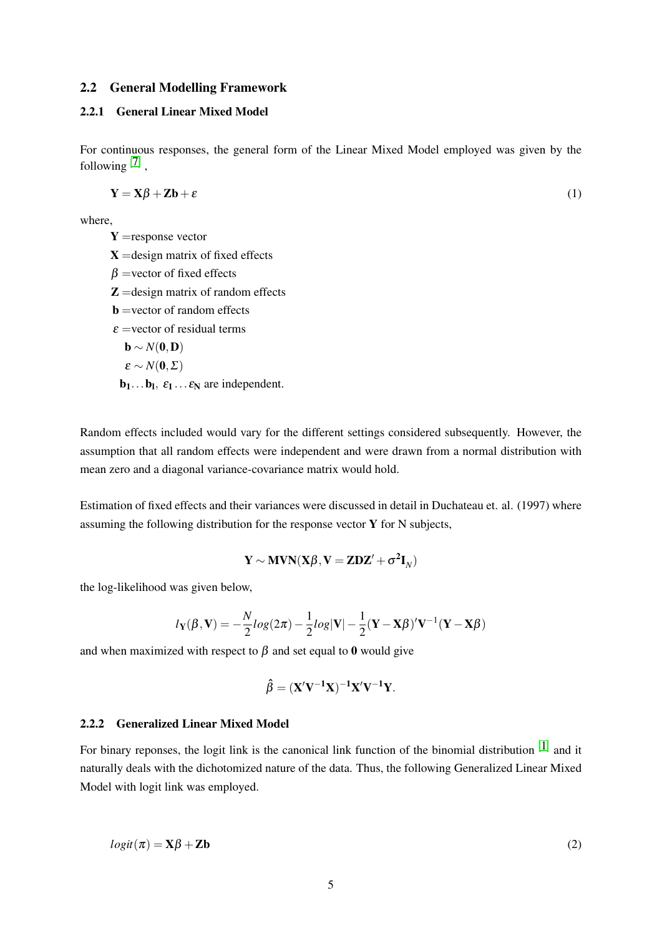## 2.2 General Modelling Framework

# 2.2.1 General Linear Mixed Model

For continuous responses, the general form of the Linear Mixed Model employed was given by the following  $[7]$ ,

$$
Y = X\beta + Zb + \varepsilon
$$
 (1)

where,

 $Y =$ response vector  $X =$ design matrix of fixed effects  $\beta$  =vector of fixed effects  $\mathbf{Z} =$ design matrix of random effects  $$  $\epsilon$  =vector of residual terms  $\mathbf{b} \sim N(\mathbf{0},\mathbf{D})$  $\varepsilon \sim N(0,\Sigma)$  $\mathbf{b}_1 \dots \mathbf{b}_1, \ \varepsilon_1 \dots \varepsilon_N$  are independent.

Random effects included would vary for the different settings considered subsequently. However, the assumption that all random effects were independent and were drawn from a normal distribution with mean zero and a diagonal variance-covariance matrix would hold.

Estimation of fixed effects and their variances were discussed in detail in Duchateau et. al. (1997) where assuming the following distribution for the response vector  $\bf{Y}$  for  $\bf{N}$  subjects,

$$
\mathbf{Y} \sim \text{MVN}(\mathbf{X}\boldsymbol{\beta}, \mathbf{V} = \mathbf{Z}\mathbf{D}\mathbf{Z}' + \sigma^2 \mathbf{I}_{N})
$$

the log-likelihood was given below,

$$
l_{\mathbf{Y}}(\boldsymbol{\beta}, \mathbf{V}) = -\frac{N}{2} log(2\pi) - \frac{1}{2} log|\mathbf{V}| - \frac{1}{2} (\mathbf{Y} - \mathbf{X}\boldsymbol{\beta})' \mathbf{V}^{-1} (\mathbf{Y} - \mathbf{X}\boldsymbol{\beta})
$$

and when maximized with respect to  $\beta$  and set equal to 0 would give

$$
\hat{\beta} = (X'V^{-1}X)^{-1}X'V^{-1}Y.
$$

### 2.2.2 Generalized Linear Mixed Model

For binary reponses, the logit link is the canonical link function of the binomial distribution  $[1]$  and it naturally deals with the dichotomized nature of the data. Thus, the following Generalized Linear Mixed Model with logit link was employed.

$$
logit(\pi) = \mathbf{X}\beta + \mathbf{Zb}
$$
 (2)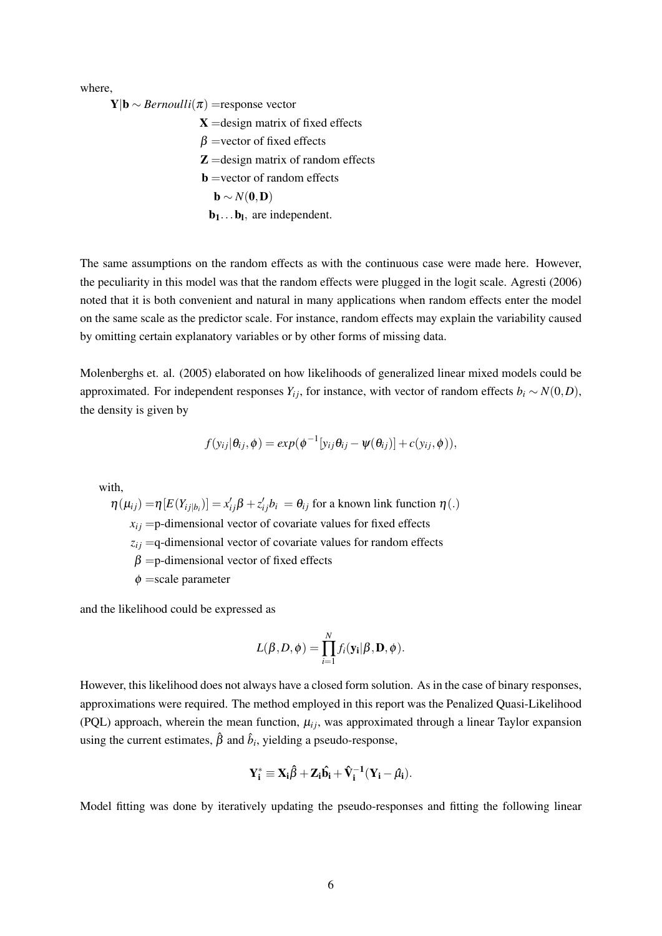where,

 $$ 

 $X =$ design matrix of fixed effects  $\beta$  =vector of fixed effects  $Z =$ design matrix of random effects  $$  $\mathbf{b} \sim N(\mathbf{0},\mathbf{D})$  $\mathbf{b}_1 \dots \mathbf{b}_l$ , are independent.

The same assumptions on the random effects as with the continuous case were made here. However, the peculiarity in this model was that the random effects were plugged in the logit scale. Agresti (2006) noted that it is both convenient and natural in many applications when random effects enter the model on the same scale as the predictor scale. For instance, random effects may explain the variability caused by omitting certain explanatory variables or by other forms of missing data.

Molenberghs et. al. (2005) elaborated on how likelihoods of generalized linear mixed models could be approximated. For independent responses  $Y_i$ *j*, for instance, with vector of random effects  $b_i \sim N(0, D)$ , the density is given by

$$
f(y_{ij}|\theta_{ij},\phi) = exp(\phi^{-1}[y_{ij}\theta_{ij} - \psi(\theta_{ij})] + c(y_{ij},\phi)),
$$

with,

 $\eta(\mu_{ij}) = \eta[E(Y_{ij|b_i})] = x'_{ij}\beta + z'_{ij}b_i = \theta_{ij}$  for a known link function  $\eta(.)$  $x_{ij}$  =p-dimensional vector of covariate values for fixed effects  $z_{ij}$  =q-dimensional vector of covariate values for random effects  $\beta$  =p-dimensional vector of fixed effects  $\phi$  =scale parameter

and the likelihood could be expressed as

$$
L(\beta, D, \phi) = \prod_{i=1}^N f_i(\mathbf{y_i} | \beta, \mathbf{D}, \phi).
$$

However, this likelihood does not always have a closed form solution. As in the case of binary responses, approximations were required. The method employed in this report was the Penalized Quasi-Likelihood (PQL) approach, wherein the mean function,  $\mu_{ij}$ , was approximated through a linear Taylor expansion using the current estimates,  $\hat{\beta}$  and  $\hat{b}_i$ , yielding a pseudo-response,

$$
Y_i^* \equiv X_i \hat{\beta} + Z_i \hat{b_i} + \hat{V}_i^{-1} (Y_i - \hat{\mu}_i).
$$

Model fitting was done by iteratively updating the pseudo-responses and fitting the following linear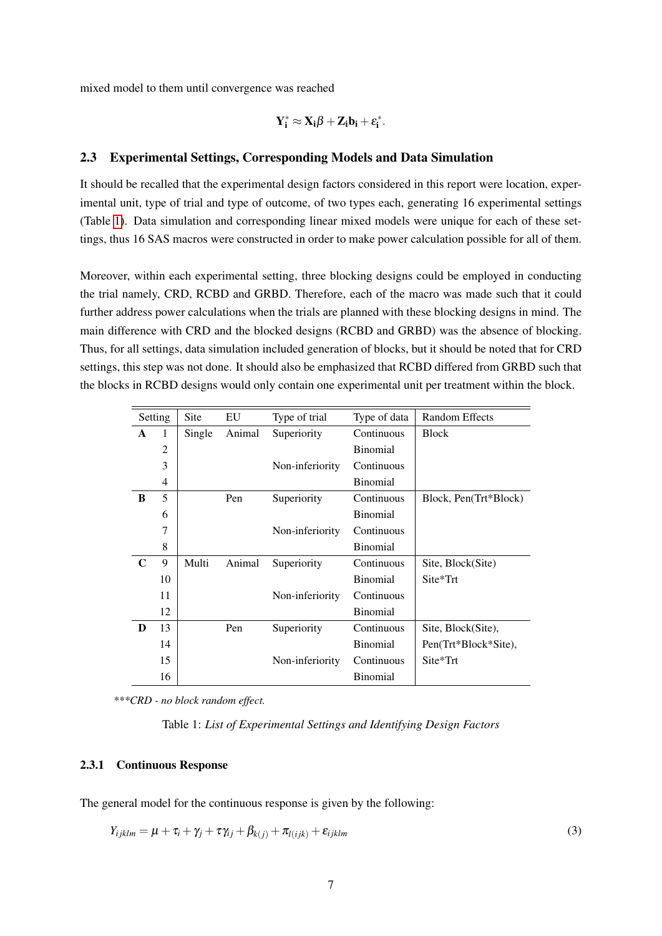mixed model to them until convergence was reached

$$
Y_i^* \approx X_i \beta + Z_i b_i + \epsilon_i^*.
$$

### 2.3 Experimental Settings, Corresponding Models and Data Simulation

It should be recalled that the experimental design factors considered in this report were location, experimental unit, type of trial and type of outcome, of two types each, generating 16 experimental settings (Table 1). Data simulation and corresponding linear mixed models were unique for each of these settings, thus 16 SAS macros were constructed in order to make power calculation possible for all of them.

Moreover, within each experimental setting, three blocking designs could be employed in conducting the trial namely, CRD, RCBD and GRBD. Therefore, each of the macro was made such that it could further address power calculations when the trials are planned with these blocking designs in mind. The main difference with CRD and the blocked designs (RCBD and GRBD) was the absence of blocking. Thus, for all settings, data simulation included generation of blocks, but it should be noted that for CRD settings, this step was not done. It should also be emphasized that RCBD differed from GRBD such that the blocks in RCBD designs would only contain one experimental unit per treatment within the block.

|             | Setting        | Site   | EU     | Type of trial   | Type of data    | Random Effects        |
|-------------|----------------|--------|--------|-----------------|-----------------|-----------------------|
| A           | 1              | Single | Animal | Superiority     | Continuous      | <b>Block</b>          |
|             | 2              |        |        |                 | <b>Binomial</b> |                       |
|             | 3              |        |        | Non-inferiority | Continuous      |                       |
|             | $\overline{4}$ |        |        |                 | <b>Binomial</b> |                       |
| B           | 5              |        | Pen    | Superiority     | Continuous      | Block, Pen(Trt*Block) |
|             | 6              |        |        |                 | <b>Binomial</b> |                       |
|             | 7              |        |        | Non-inferiority | Continuous      |                       |
|             | 8              |        |        |                 | <b>Binomial</b> |                       |
| $\mathbf C$ | 9              | Multi  | Animal | Superiority     | Continuous      | Site, Block(Site)     |
|             | 10             |        |        |                 | <b>Binomial</b> | Site*Trt              |
|             | 11             |        |        | Non-inferiority | Continuous      |                       |
|             | 12             |        |        |                 | <b>Binomial</b> |                       |
| D           | 13             |        | Pen    | Superiority     | Continuous      | Site, Block(Site),    |
|             | 14             |        |        |                 | <b>Binomial</b> | Pen(Trt*Block*Site),  |
|             | 15             |        |        | Non-inferiority | Continuous      | Site*Trt              |
|             | 16             |        |        |                 | <b>Binomial</b> |                       |

*\*\*\*CRD - no block random effect.*

Table 1: *List of Experimental Settings and Identifying Design Factors*

## 2.3.1 Continuous Response

The general model for the continuous response is given by the following:

$$
Y_{ijklm} = \mu + \tau_i + \gamma_j + \tau \gamma_{ij} + \beta_{k(j)} + \pi_{l(ijk)} + \varepsilon_{ijklm}
$$
\n(3)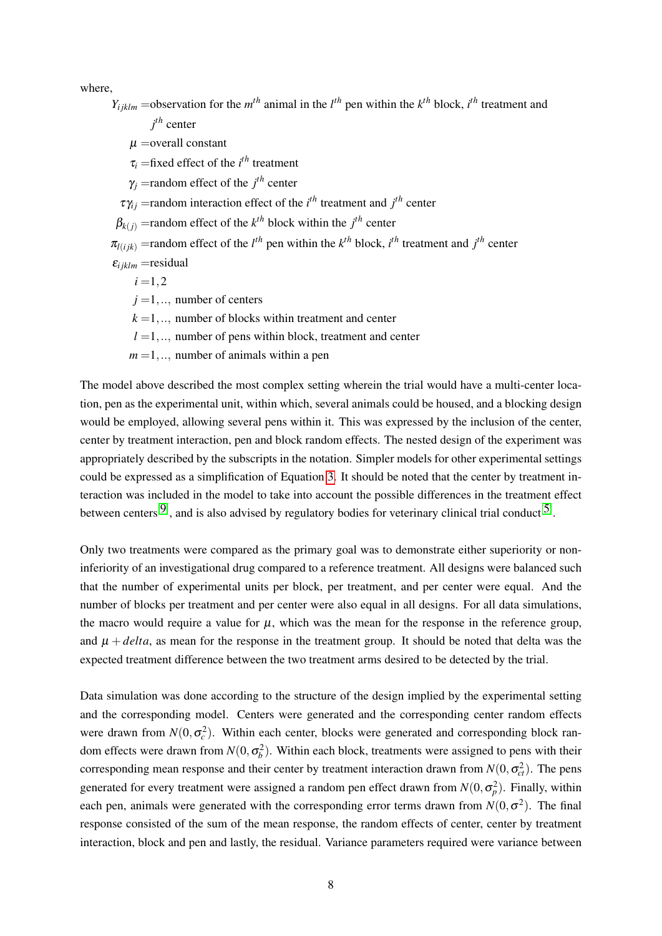where,

 $Y_{ijklm}$  =observation for the  $m^{th}$  animal in the  $l^{th}$  pen within the  $k^{th}$  block,  $i^{th}$  treatment and

*j th* center

 $\mu$  = overall constant

 $\tau_i$  =fixed effect of the *i*<sup>th</sup> treatment

 $\gamma_j$  =random effect of the  $j^{th}$  center

 $\tau \gamma_{ij}$  = random interaction effect of the *i*<sup>th</sup> treatment and *j*<sup>th</sup> center

 $\beta_{k(j)}$  =random effect of the  $k^{th}$  block within the  $j^{th}$  center

 $\pi$ <sub>*l*(*i*jk)</sub> = random effect of the *l*<sup>th</sup> pen within the *k*<sup>th</sup> block, *i*<sup>th</sup> treatment and *j*<sup>th</sup> center

 $\varepsilon_{ijklm}$  = residual

 $i = 1, 2$ 

 $j = 1, \ldots$ , number of centers

 $k = 1, \ldots$ , number of blocks within treatment and center

 $l = 1, \ldots$  number of pens within block, treatment and center

 $m = 1, \ldots$ , number of animals within a pen

The model above described the most complex setting wherein the trial would have a multi-center location, pen as the experimental unit, within which, several animals could be housed, and a blocking design would be employed, allowing several pens within it. This was expressed by the inclusion of the center, center by treatment interaction, pen and block random effects. The nested design of the experiment was appropriately described by the subscripts in the notation. Simpler models for other experimental settings could be expressed as a simplification of Equation 3. It should be noted that the center by treatment interaction was included in the model to take into account the possible differences in the treatment effect between centers<sup>[9]</sup>, and is also advised by regulatory bodies for veterinary clinical trial conduct<sup>[5]</sup>.

Only two treatments were compared as the primary goal was to demonstrate either superiority or noninferiority of an investigational drug compared to a reference treatment. All designs were balanced such that the number of experimental units per block, per treatment, and per center were equal. And the number of blocks per treatment and per center were also equal in all designs. For all data simulations, the macro would require a value for  $\mu$ , which was the mean for the response in the reference group, and  $\mu + delta$ , as mean for the response in the treatment group. It should be noted that delta was the expected treatment difference between the two treatment arms desired to be detected by the trial.

Data simulation was done according to the structure of the design implied by the experimental setting and the corresponding model. Centers were generated and the corresponding center random effects were drawn from  $N(0, \sigma_c^2)$ . Within each center, blocks were generated and corresponding block random effects were drawn from  $N(0, \sigma_b^2)$ . Within each block, treatments were assigned to pens with their corresponding mean response and their center by treatment interaction drawn from  $N(0, \sigma_{ct}^2)$ . The pens generated for every treatment were assigned a random pen effect drawn from  $N(0, \sigma_p^2)$ . Finally, within each pen, animals were generated with the corresponding error terms drawn from  $N(0, \sigma^2)$ . The final response consisted of the sum of the mean response, the random effects of center, center by treatment interaction, block and pen and lastly, the residual. Variance parameters required were variance between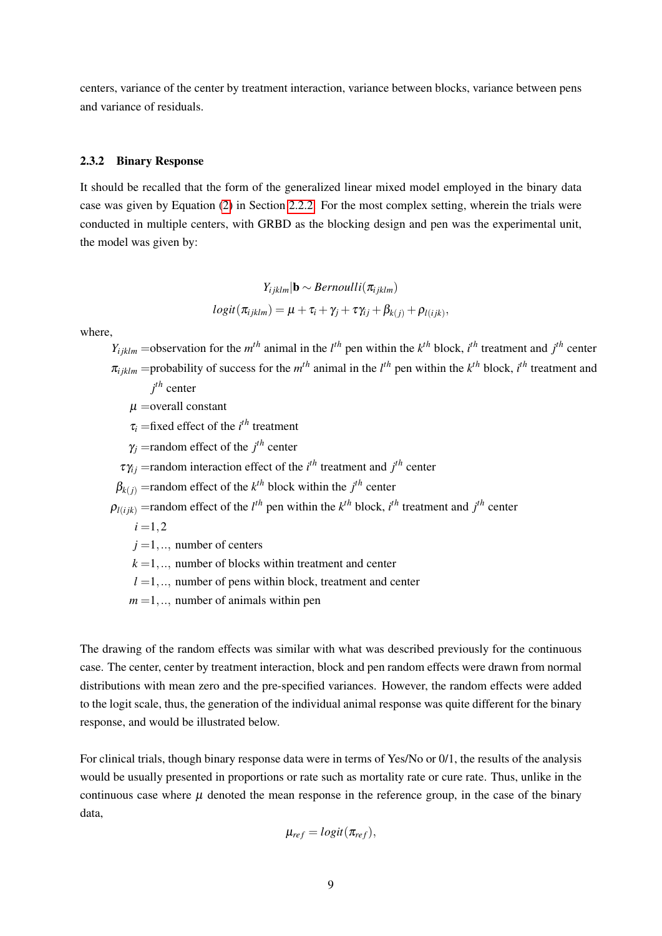centers, variance of the center by treatment interaction, variance between blocks, variance between pens and variance of residuals.

#### 2.3.2 Binary Response

It should be recalled that the form of the generalized linear mixed model employed in the binary data case was given by Equation (2) in Section 2.2.2. For the most complex setting, wherein the trials were conducted in multiple centers, with GRBD as the blocking design and pen was the experimental unit, the model was given by:

$$
Y_{ijklm}|\mathbf{b} \sim Bernoulli(\pi_{ijklm})
$$
  

$$
logit(\pi_{ijklm}) = \mu + \tau_i + \gamma_j + \tau \gamma_{ij} + \beta_{k(j)} + \rho_{l(ijk)},
$$

where,

 $Y_{ijklm}$  =observation for the  $m^{th}$  animal in the  $l^{th}$  pen within the  $k^{th}$  block,  $i^{th}$  treatment and  $j^{th}$  center  $\pi_{ijklm}$  =probability of success for the  $m^{th}$  animal in the  $l^{th}$  pen within the  $k^{th}$  block,  $i^{th}$  treatment and *j th* center

 $\mu$  = overall constant

 $\tau_i$  =fixed effect of the *i*<sup>th</sup> treatment

 $\gamma_j$  =random effect of the  $j^{th}$  center

 $\tau \gamma_{ij}$  = random interaction effect of the *i*<sup>th</sup> treatment and *j*<sup>th</sup> center

 $\beta_{k(j)}$  =random effect of the  $k^{th}$  block within the  $j^{th}$  center

 $\rho_{l(ijk)}$  =random effect of the *l*<sup>th</sup> pen within the *k*<sup>th</sup> block, *i*<sup>th</sup> treatment and *j*<sup>th</sup> center

 $i = 1, 2$ 

 $j = 1, \ldots$ , number of centers

 $k = 1, \ldots$ , number of blocks within treatment and center

 $l = 1, \ldots$  number of pens within block, treatment and center

 $m = 1, \ldots$ , number of animals within pen

The drawing of the random effects was similar with what was described previously for the continuous case. The center, center by treatment interaction, block and pen random effects were drawn from normal distributions with mean zero and the pre-specified variances. However, the random effects were added to the logit scale, thus, the generation of the individual animal response was quite different for the binary response, and would be illustrated below.

For clinical trials, though binary response data were in terms of Yes/No or 0/1, the results of the analysis would be usually presented in proportions or rate such as mortality rate or cure rate. Thus, unlike in the continuous case where  $\mu$  denoted the mean response in the reference group, in the case of the binary data,

$$
\mu_{ref} = logit(\pi_{ref}),
$$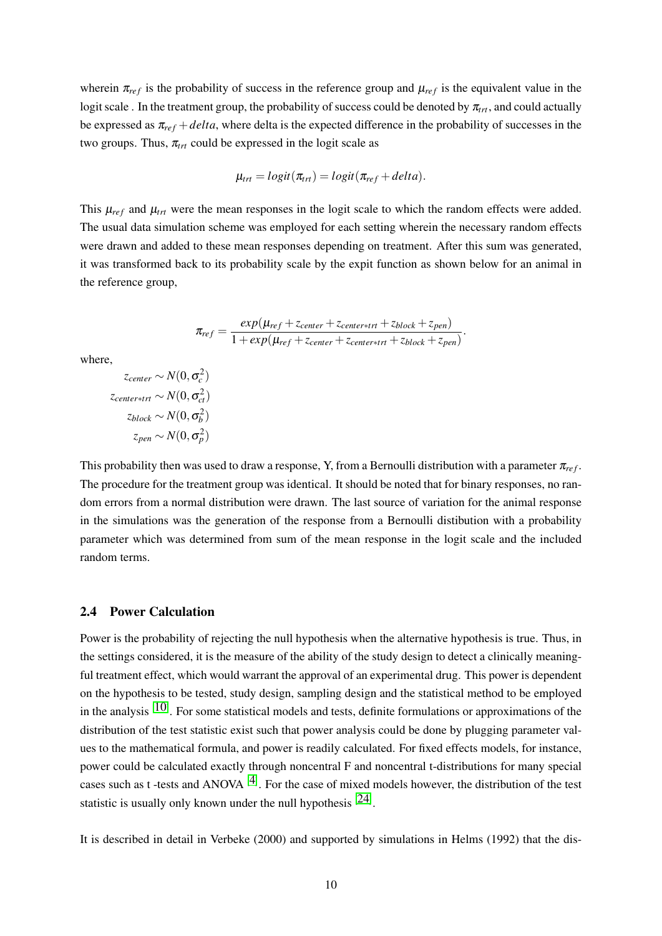wherein  $\pi_{ref}$  is the probability of success in the reference group and  $\mu_{ref}$  is the equivalent value in the logit scale . In the treatment group, the probability of success could be denoted by  $\pi_{rr}$ , and could actually be expressed as  $\pi_{ref} + delta$ , where delta is the expected difference in the probability of successes in the two groups. Thus,  $\pi_{trt}$  could be expressed in the logit scale as

$$
\mu_{trt} = logit(\pi_{trt}) = logit(\pi_{ref} + delta).
$$

This  $\mu_{ref}$  and  $\mu_{trt}$  were the mean responses in the logit scale to which the random effects were added. The usual data simulation scheme was employed for each setting wherein the necessary random effects were drawn and added to these mean responses depending on treatment. After this sum was generated, it was transformed back to its probability scale by the expit function as shown below for an animal in the reference group,

$$
\pi_{ref} = \frac{exp(\mu_{ref} + z_{center} + z_{center} + z_{block} + z_{pen})}{1 + exp(\mu_{ref} + z_{center} + z_{center} + z_{block} + z_{block})}.
$$

where,

$$
z_{center} \sim N(0, \sigma_c^2)
$$
  

$$
z_{center+trt} \sim N(0, \sigma_{ct}^2)
$$
  

$$
z_{block} \sim N(0, \sigma_b^2)
$$
  

$$
z_{pen} \sim N(0, \sigma_p^2)
$$

This probability then was used to draw a response, Y, from a Bernoulli distribution with a parameter  $\pi_{ref}$ . The procedure for the treatment group was identical. It should be noted that for binary responses, no random errors from a normal distribution were drawn. The last source of variation for the animal response in the simulations was the generation of the response from a Bernoulli distibution with a probability parameter which was determined from sum of the mean response in the logit scale and the included random terms.

#### 2.4 Power Calculation

Power is the probability of rejecting the null hypothesis when the alternative hypothesis is true. Thus, in the settings considered, it is the measure of the ability of the study design to detect a clinically meaningful treatment effect, which would warrant the approval of an experimental drug. This power is dependent on the hypothesis to be tested, study design, sampling design and the statistical method to be employed in the analysis  $[10]$ . For some statistical models and tests, definite formulations or approximations of the distribution of the test statistic exist such that power analysis could be done by plugging parameter values to the mathematical formula, and power is readily calculated. For fixed effects models, for instance, power could be calculated exactly through noncentral F and noncentral t-distributions for many special cases such as t-tests and ANOVA  $[4]$ . For the case of mixed models however, the distribution of the test statistic is usually only known under the null hypothesis  $[24]$ .

It is described in detail in Verbeke (2000) and supported by simulations in Helms (1992) that the dis-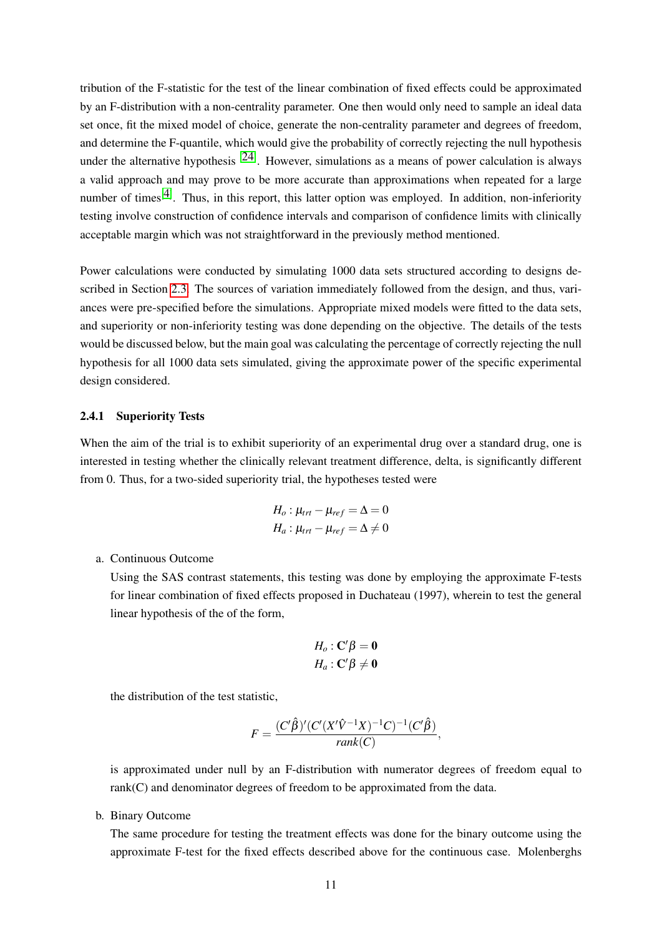tribution of the F-statistic for the test of the linear combination of fixed effects could be approximated by an F-distribution with a non-centrality parameter. One then would only need to sample an ideal data set once, fit the mixed model of choice, generate the non-centrality parameter and degrees of freedom, and determine the F-quantile, which would give the probability of correctly rejecting the null hypothesis under the alternative hypothesis  $[24]$ . However, simulations as a means of power calculation is always a valid approach and may prove to be more accurate than approximations when repeated for a large number of times<sup>[4]</sup>. Thus, in this report, this latter option was employed. In addition, non-inferiority testing involve construction of confidence intervals and comparison of confidence limits with clinically acceptable margin which was not straightforward in the previously method mentioned.

Power calculations were conducted by simulating 1000 data sets structured according to designs described in Section 2.3. The sources of variation immediately followed from the design, and thus, variances were pre-specified before the simulations. Appropriate mixed models were fitted to the data sets, and superiority or non-inferiority testing was done depending on the objective. The details of the tests would be discussed below, but the main goal was calculating the percentage of correctly rejecting the null hypothesis for all 1000 data sets simulated, giving the approximate power of the specific experimental design considered.

#### 2.4.1 Superiority Tests

When the aim of the trial is to exhibit superiority of an experimental drug over a standard drug, one is interested in testing whether the clinically relevant treatment difference, delta, is significantly different from 0. Thus, for a two-sided superiority trial, the hypotheses tested were

$$
H_o: \mu_{trt} - \mu_{ref} = \Delta = 0
$$
  

$$
H_a: \mu_{trt} - \mu_{ref} = \Delta \neq 0
$$

a. Continuous Outcome

Using the SAS contrast statements, this testing was done by employing the approximate F-tests for linear combination of fixed effects proposed in Duchateau (1997), wherein to test the general linear hypothesis of the of the form,

$$
H_o: \mathbf{C}'\beta = \mathbf{0}
$$
  

$$
H_a: \mathbf{C}'\beta \neq \mathbf{0}
$$

the distribution of the test statistic,

$$
F = \frac{(C'\hat{\beta})'(C'(X'\hat{V}^{-1}X)^{-1}C)^{-1}(C'\hat{\beta})}{rank(C)},
$$

is approximated under null by an F-distribution with numerator degrees of freedom equal to rank(C) and denominator degrees of freedom to be approximated from the data.

b. Binary Outcome

The same procedure for testing the treatment effects was done for the binary outcome using the approximate F-test for the fixed effects described above for the continuous case. Molenberghs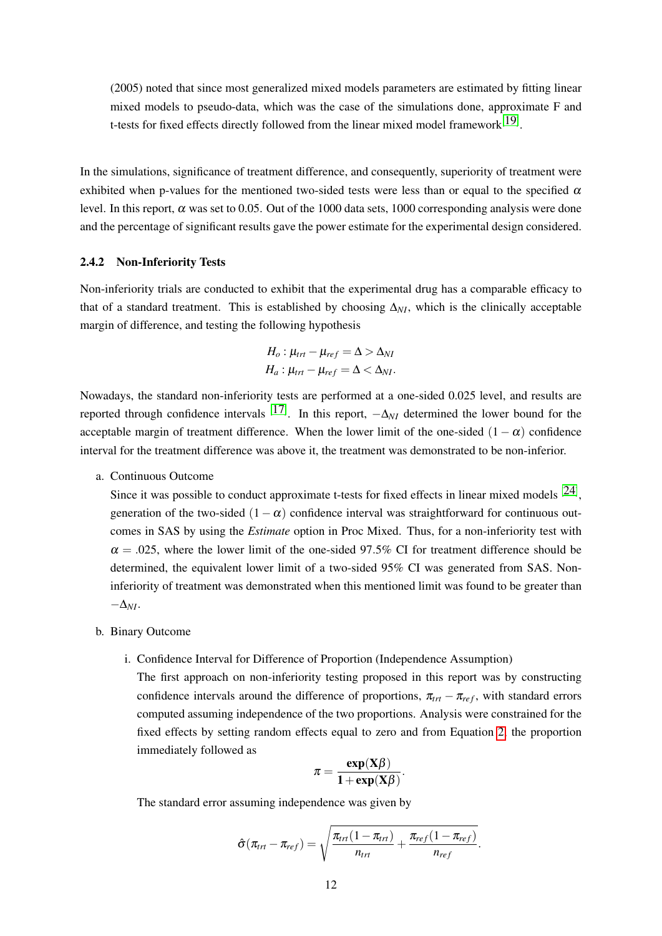(2005) noted that since most generalized mixed models parameters are estimated by fitting linear mixed models to pseudo-data, which was the case of the simulations done, approximate F and t-tests for fixed effects directly followed from the linear mixed model framework $[19]$ .

In the simulations, significance of treatment difference, and consequently, superiority of treatment were exhibited when p-values for the mentioned two-sided tests were less than or equal to the specified  $\alpha$ level. In this report,  $\alpha$  was set to 0.05. Out of the 1000 data sets, 1000 corresponding analysis were done and the percentage of significant results gave the power estimate for the experimental design considered.

# 2.4.2 Non-Inferiority Tests

Non-inferiority trials are conducted to exhibit that the experimental drug has a comparable efficacy to that of a standard treatment. This is established by choosing  $\Delta_{NI}$ , which is the clinically acceptable margin of difference, and testing the following hypothesis

$$
H_o: \mu_{trt} - \mu_{ref} = \Delta > \Delta_{NI}
$$
  

$$
H_a: \mu_{trt} - \mu_{ref} = \Delta < \Delta_{NI}.
$$

Nowadays, the standard non-inferiority tests are performed at a one-sided 0.025 level, and results are reported through confidence intervals  $[17]$ . In this report,  $-\Delta_{NI}$  determined the lower bound for the acceptable margin of treatment difference. When the lower limit of the one-sided  $(1 - \alpha)$  confidence interval for the treatment difference was above it, the treatment was demonstrated to be non-inferior.

a. Continuous Outcome

Since it was possible to conduct approximate t-tests for fixed effects in linear mixed models  $[24]$ , generation of the two-sided  $(1 - \alpha)$  confidence interval was straightforward for continuous outcomes in SAS by using the *Estimate* option in Proc Mixed. Thus, for a non-inferiority test with  $\alpha = 0.025$ , where the lower limit of the one-sided 97.5% CI for treatment difference should be determined, the equivalent lower limit of a two-sided 95% CI was generated from SAS. Noninferiority of treatment was demonstrated when this mentioned limit was found to be greater than −∆*NI*.

- b. Binary Outcome
	- i. Confidence Interval for Difference of Proportion (Independence Assumption)

The first approach on non-inferiority testing proposed in this report was by constructing confidence intervals around the difference of proportions,  $\pi_{tr} - \pi_{ref}$ , with standard errors computed assuming independence of the two proportions. Analysis were constrained for the fixed effects by setting random effects equal to zero and from Equation 2, the proportion immediately followed as

$$
\pi = \frac{\exp(X\beta)}{1 + \exp(X\beta)}.
$$

The standard error assuming independence was given by

$$
\hat{\sigma}(\pi_{trt}-\pi_{ref})=\sqrt{\frac{\pi_{trt}(1-\pi_{trt})}{n_{trt}}+\frac{\pi_{ref}(1-\pi_{ref})}{n_{ref}}}.
$$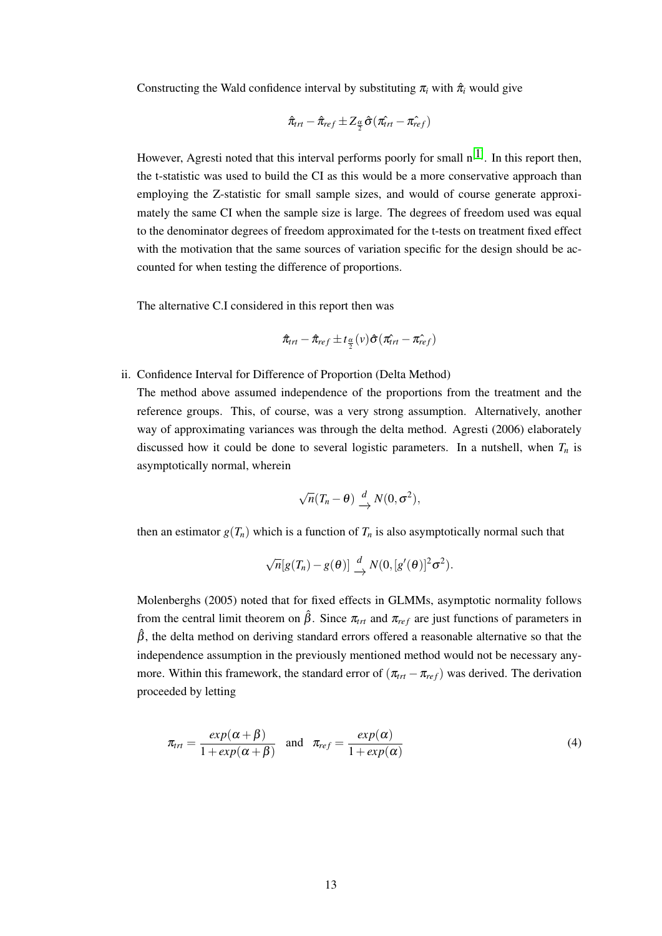Constructing the Wald confidence interval by substituting  $\pi$ <sub>*i*</sub> with  $\hat{\pi}$ <sub>*i*</sub> would give

$$
\hat{\pi}_{trt} - \hat{\pi}_{ref} \pm Z_{\frac{\alpha}{2}} \hat{\sigma} (\hat{\pi_{trt}} - \hat{\pi_{ref}})
$$

However, Agresti noted that this interval performs poorly for small  $n^{[1]}$ . In this report then, the t-statistic was used to build the CI as this would be a more conservative approach than employing the Z-statistic for small sample sizes, and would of course generate approximately the same CI when the sample size is large. The degrees of freedom used was equal to the denominator degrees of freedom approximated for the t-tests on treatment fixed effect with the motivation that the same sources of variation specific for the design should be accounted for when testing the difference of proportions.

The alternative C.I considered in this report then was

$$
\hat{\pi}_{trt} - \hat{\pi}_{ref} \pm t_{\frac{\alpha}{2}}(v) \hat{\sigma} (\hat{\pi}_{trt} - \hat{\pi}_{ref}^{\hat{\pi}})
$$

ii. Confidence Interval for Difference of Proportion (Delta Method)

The method above assumed independence of the proportions from the treatment and the reference groups. This, of course, was a very strong assumption. Alternatively, another way of approximating variances was through the delta method. Agresti (2006) elaborately discussed how it could be done to several logistic parameters. In a nutshell, when  $T<sub>n</sub>$  is asymptotically normal, wherein

$$
\sqrt{n}(T_n - \theta) \xrightarrow{d} N(0, \sigma^2),
$$

then an estimator  $g(T_n)$  which is a function of  $T_n$  is also asymptotically normal such that

$$
\sqrt{n}[g(T_n)-g(\theta)] \xrightarrow{d} N(0, [g'(\theta)]^2 \sigma^2).
$$

Molenberghs (2005) noted that for fixed effects in GLMMs, asymptotic normality follows from the central limit theorem on  $\hat{\beta}$ . Since  $\pi_{tr}$  and  $\pi_{ref}$  are just functions of parameters in  $\hat{\beta}$ , the delta method on deriving standard errors offered a reasonable alternative so that the independence assumption in the previously mentioned method would not be necessary anymore. Within this framework, the standard error of  $(\pi_{trt} - \pi_{ref})$  was derived. The derivation proceeded by letting

$$
\pi_{tri} = \frac{exp(\alpha + \beta)}{1 + exp(\alpha + \beta)}
$$
 and  $\pi_{ref} = \frac{exp(\alpha)}{1 + exp(\alpha)}$  (4)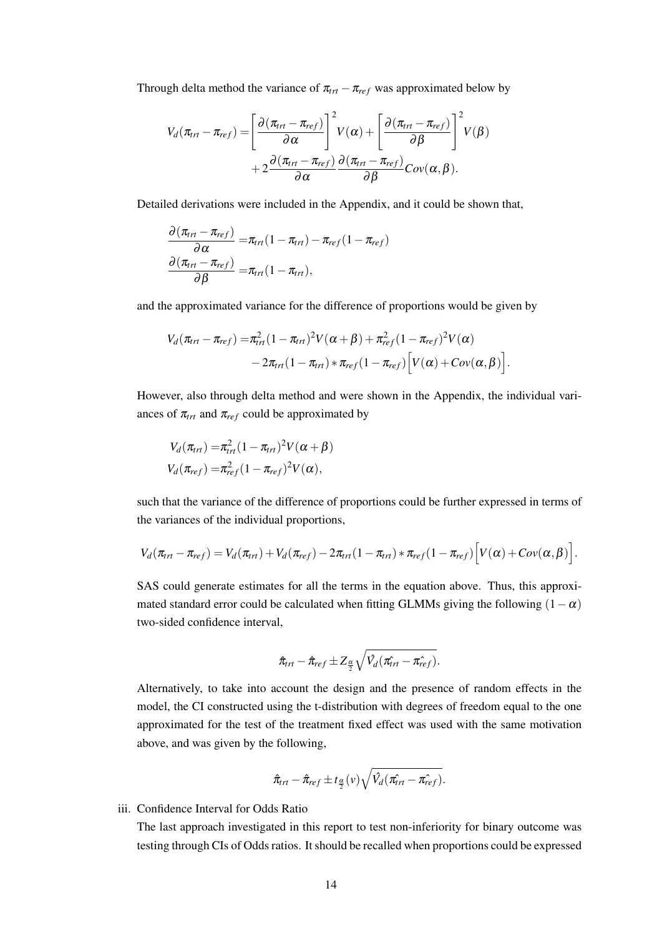Through delta method the variance of  $\pi_{tr} - \pi_{ref}$  was approximated below by

$$
V_d(\pi_{trt} - \pi_{ref}) = \left[\frac{\partial (\pi_{trt} - \pi_{ref})}{\partial \alpha}\right]^2 V(\alpha) + \left[\frac{\partial (\pi_{trt} - \pi_{ref})}{\partial \beta}\right]^2 V(\beta) + 2 \frac{\partial (\pi_{trt} - \pi_{ref})}{\partial \alpha} \frac{\partial (\pi_{trt} - \pi_{ref})}{\partial \beta} Cov(\alpha, \beta).
$$

Detailed derivations were included in the Appendix, and it could be shown that,

$$
\frac{\partial (\pi_{trt} - \pi_{ref})}{\partial \alpha} = \pi_{trt} (1 - \pi_{trt}) - \pi_{ref} (1 - \pi_{ref})
$$

$$
\frac{\partial (\pi_{trt} - \pi_{ref})}{\partial \beta} = \pi_{trt} (1 - \pi_{trt}),
$$

and the approximated variance for the difference of proportions would be given by

$$
V_d(\pi_{\text{trt}} - \pi_{\text{ref}}) = \pi_{\text{trt}}^2 (1 - \pi_{\text{trt}})^2 V(\alpha + \beta) + \pi_{\text{ref}}^2 (1 - \pi_{\text{ref}})^2 V(\alpha)
$$
  
- 2 $\pi_{\text{trt}} (1 - \pi_{\text{trt}}) * \pi_{\text{ref}} (1 - \pi_{\text{ref}}) [V(\alpha) + Cov(\alpha, \beta)].$ 

However, also through delta method and were shown in the Appendix, the individual variances of  $\pi_{trt}$  and  $\pi_{ref}$  could be approximated by

$$
V_d(\pi_{trt}) = \pi_{trt}^2 (1 - \pi_{trt})^2 V(\alpha + \beta)
$$
  

$$
V_d(\pi_{ref}) = \pi_{ref}^2 (1 - \pi_{ref})^2 V(\alpha),
$$

such that the variance of the difference of proportions could be further expressed in terms of the variances of the individual proportions,

$$
V_d(\pi_{\text{trt}}-\pi_{\text{ref}})=V_d(\pi_{\text{trt}})+V_d(\pi_{\text{ref}})-2\pi_{\text{trt}}(1-\pi_{\text{trt}})*\pi_{\text{ref}}(1-\pi_{\text{ref}})\Big[V(\alpha)+Cov(\alpha,\beta)\Big].
$$

SAS could generate estimates for all the terms in the equation above. Thus, this approximated standard error could be calculated when fitting GLMMs giving the following  $(1-\alpha)$ two-sided confidence interval,

$$
\hat{\pi}_{trt}-\hat{\pi}_{ref}\pm Z_{\frac{\alpha}{2}}\sqrt{\hat{V}_d(\hat{\pi_{trt}}-\hat{\pi_{ref}})}.
$$

Alternatively, to take into account the design and the presence of random effects in the model, the CI constructed using the t-distribution with degrees of freedom equal to the one approximated for the test of the treatment fixed effect was used with the same motivation above, and was given by the following,

$$
\hat{\pi}_{trt} - \hat{\pi}_{ref} \pm t_{\frac{\alpha}{2}}(v) \sqrt{\hat{V}_d(\hat{\pi}_{trt} - \hat{\pi}_{ref}^{\hat{\pi}})}.
$$

# iii. Confidence Interval for Odds Ratio

The last approach investigated in this report to test non-inferiority for binary outcome was testing through CIs of Odds ratios. It should be recalled when proportions could be expressed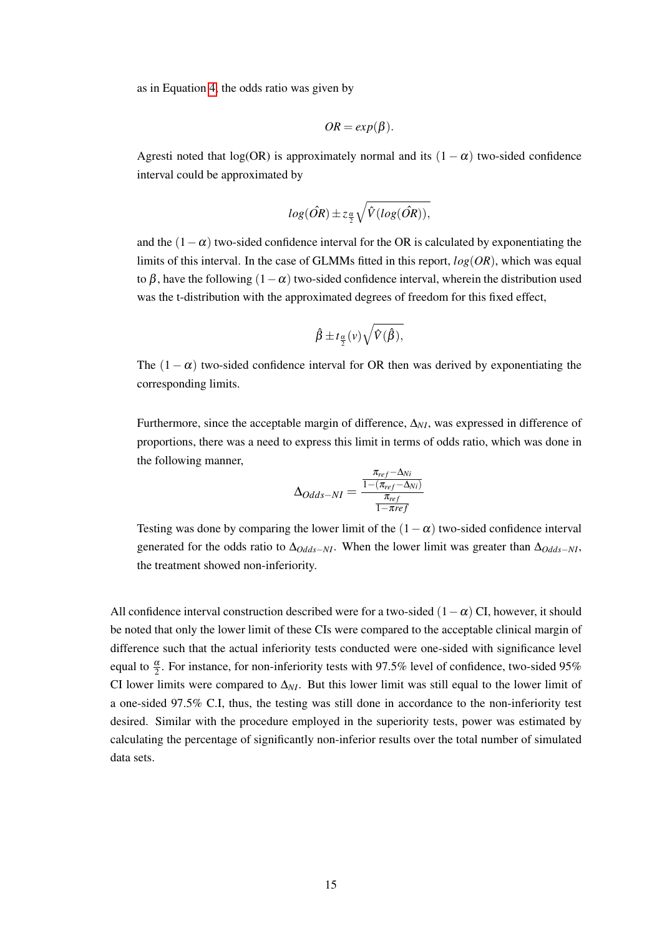as in Equation 4, the odds ratio was given by

$$
OR = exp(\beta).
$$

Agresti noted that log(OR) is approximately normal and its  $(1 - \alpha)$  two-sided confidence interval could be approximated by

$$
log(\hat{OR}) \pm z_{\frac{\alpha}{2}}\sqrt{\hat{V}(log(\hat{OR}))},
$$

and the  $(1-\alpha)$  two-sided confidence interval for the OR is calculated by exponentiating the limits of this interval. In the case of GLMMs fitted in this report, *log*(*OR*), which was equal to β, have the following  $(1-\alpha)$  two-sided confidence interval, wherein the distribution used was the t-distribution with the approximated degrees of freedom for this fixed effect,

$$
\hat{\beta} \pm t_{\frac{\alpha}{2}}(\nu) \sqrt{\hat{V}(\hat{\beta})},
$$

The  $(1 - \alpha)$  two-sided confidence interval for OR then was derived by exponentiating the corresponding limits.

Furthermore, since the acceptable margin of difference, ∆*NI*, was expressed in difference of proportions, there was a need to express this limit in terms of odds ratio, which was done in the following manner,

$$
\Delta_{Odds-NI} = \frac{\frac{\pi_{ref} - \Delta_{Ni}}{1 - (\pi_{ref} - \Delta_{Ni})}}{\frac{\pi_{ref}}{1 - \pi ref}}
$$

Testing was done by comparing the lower limit of the  $(1 - \alpha)$  two-sided confidence interval generated for the odds ratio to ∆*Odds*−*NI*. When the lower limit was greater than ∆*Odds*−*NI*, the treatment showed non-inferiority.

All confidence interval construction described were for a two-sided  $(1-\alpha)$  CI, however, it should be noted that only the lower limit of these CIs were compared to the acceptable clinical margin of difference such that the actual inferiority tests conducted were one-sided with significance level equal to  $\frac{\alpha}{2}$ . For instance, for non-inferiority tests with 97.5% level of confidence, two-sided 95% CI lower limits were compared to  $\Delta_{NI}$ . But this lower limit was still equal to the lower limit of a one-sided 97.5% C.I, thus, the testing was still done in accordance to the non-inferiority test desired. Similar with the procedure employed in the superiority tests, power was estimated by calculating the percentage of significantly non-inferior results over the total number of simulated data sets.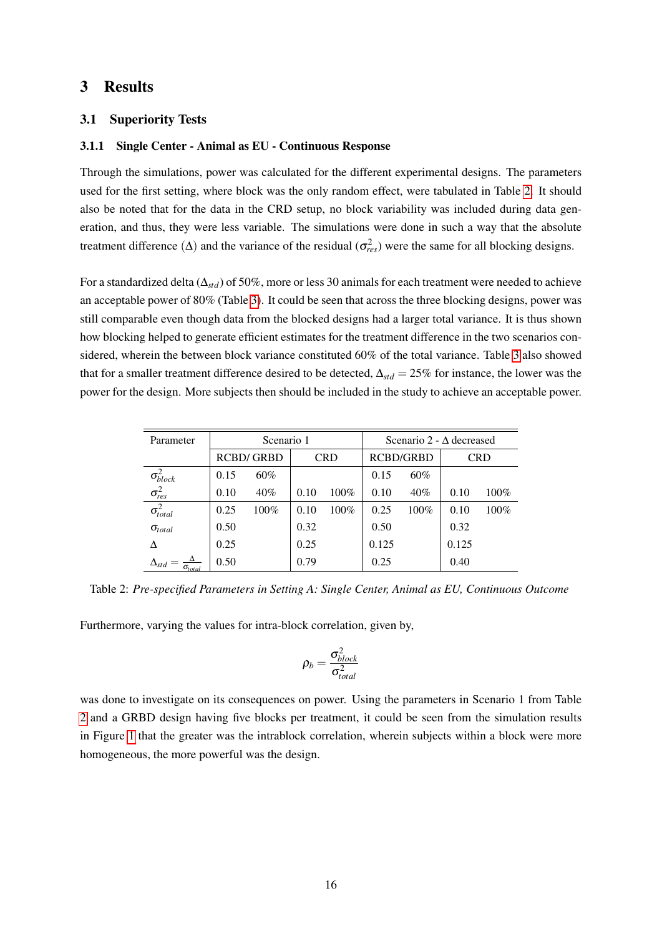# 3 Results

#### 3.1 Superiority Tests

#### 3.1.1 Single Center - Animal as EU - Continuous Response

Through the simulations, power was calculated for the different experimental designs. The parameters used for the first setting, where block was the only random effect, were tabulated in Table 2. It should also be noted that for the data in the CRD setup, no block variability was included during data generation, and thus, they were less variable. The simulations were done in such a way that the absolute treatment difference  $(\Delta)$  and the variance of the residual  $(\sigma_{res}^2)$  were the same for all blocking designs.

For a standardized delta (∆*std*) of 50%, more or less 30 animals for each treatment were needed to achieve an acceptable power of 80% (Table 3). It could be seen that across the three blocking designs, power was still comparable even though data from the blocked designs had a larger total variance. It is thus shown how blocking helped to generate efficient estimates for the treatment difference in the two scenarios considered, wherein the between block variance constituted 60% of the total variance. Table 3 also showed that for a smaller treatment difference desired to be detected, ∆*std* = 25% for instance, the lower was the power for the design. More subjects then should be included in the study to achieve an acceptable power.

| Parameter                               |                  | Scenario 1 |            |         | Scenario 2 - $\Delta$ decreased |         |            |         |
|-----------------------------------------|------------------|------------|------------|---------|---------------------------------|---------|------------|---------|
|                                         | <b>RCBD/GRBD</b> |            | <b>CRD</b> |         | <b>RCBD/GRBD</b>                |         | <b>CRD</b> |         |
| $\sigma_{block}^2$                      | 0.15             | $60\%$     |            |         | 0.15                            | $60\%$  |            |         |
| $\sigma^2_{res}$                        | 0.10             | 40%        | 0.10       | $100\%$ | 0.10                            | 40%     | 0.10       | $100\%$ |
| $\sigma_{total}^2$                      | 0.25             | 100%       | 0.10       | $100\%$ | 0.25                            | $100\%$ | 0.10       | 100%    |
| $\sigma_{total}$                        | 0.50             |            | 0.32       |         | 0.50                            |         | 0.32       |         |
|                                         | 0.25             |            | 0.25       |         | 0.125                           |         | 0.125      |         |
| $\Delta_{st\sigma}$<br>$\sigma_{total}$ | 0.50             |            | 0.79       |         | 0.25                            |         | 0.40       |         |

Table 2: *Pre-specified Parameters in Setting A: Single Center, Animal as EU, Continuous Outcome*

Furthermore, varying the values for intra-block correlation, given by,

$$
\rho_b = \frac{\sigma_{block}^2}{\sigma_{total}^2}
$$

was done to investigate on its consequences on power. Using the parameters in Scenario 1 from Table 2 and a GRBD design having five blocks per treatment, it could be seen from the simulation results in Figure 1 that the greater was the intrablock correlation, wherein subjects within a block were more homogeneous, the more powerful was the design.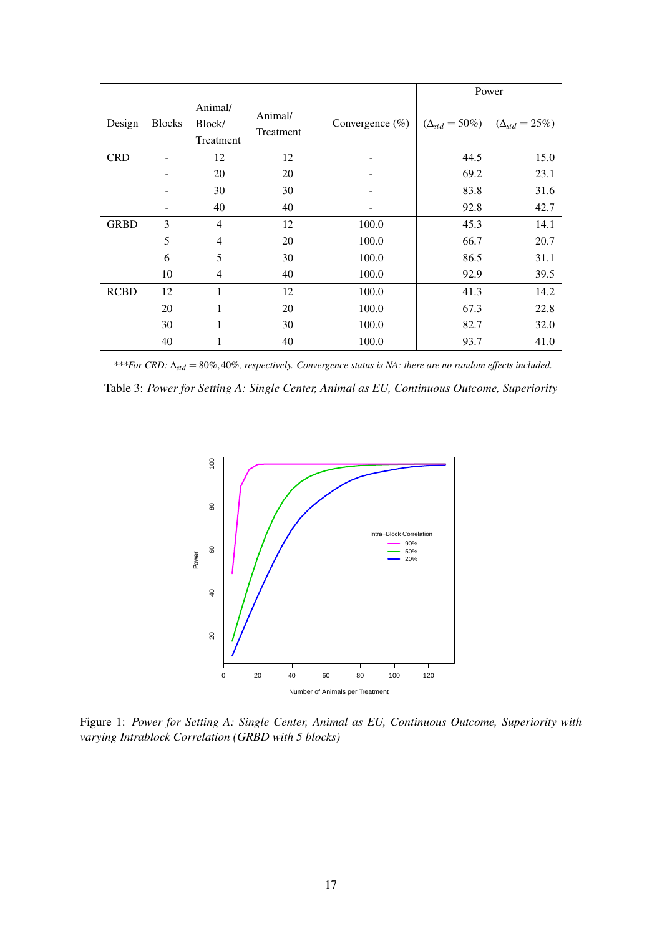|             |               |                                |                      |                     |                         | Power                   |
|-------------|---------------|--------------------------------|----------------------|---------------------|-------------------------|-------------------------|
| Design      | <b>Blocks</b> | Animal/<br>Block/<br>Treatment | Animal/<br>Treatment | Convergence $(\% )$ | $(\Delta_{std} = 50\%)$ | $(\Delta_{std} = 25\%)$ |
| <b>CRD</b>  |               | 12                             | 12                   |                     | 44.5                    | 15.0                    |
|             |               | 20                             | 20                   |                     | 69.2                    | 23.1                    |
|             |               | 30                             | 30                   |                     | 83.8                    | 31.6                    |
|             |               | 40                             | 40                   |                     | 92.8                    | 42.7                    |
| <b>GRBD</b> | 3             | $\overline{4}$                 | 12                   | 100.0               | 45.3                    | 14.1                    |
|             | 5             | $\overline{4}$                 | 20                   | 100.0               | 66.7                    | 20.7                    |
|             | 6             | 5                              | 30                   | 100.0               | 86.5                    | 31.1                    |
|             | 10            | 4                              | 40                   | 100.0               | 92.9                    | 39.5                    |
| <b>RCBD</b> | 12            | 1                              | 12                   | 100.0               | 41.3                    | 14.2                    |
|             | 20            | 1                              | 20                   | 100.0               | 67.3                    | 22.8                    |
|             | 30            | 1                              | 30                   | 100.0               | 82.7                    | 32.0                    |
|             | 40            | 1                              | 40                   | 100.0               | 93.7                    | 41.0                    |

*\*\*\*For CRD:* ∆*std* = 80%,40%*, respectively. Convergence status is NA: there are no random effects included.*

Table 3: *Power for Setting A: Single Center, Animal as EU, Continuous Outcome, Superiority*



Figure 1: *Power for Setting A: Single Center, Animal as EU, Continuous Outcome, Superiority with varying Intrablock Correlation (GRBD with 5 blocks)*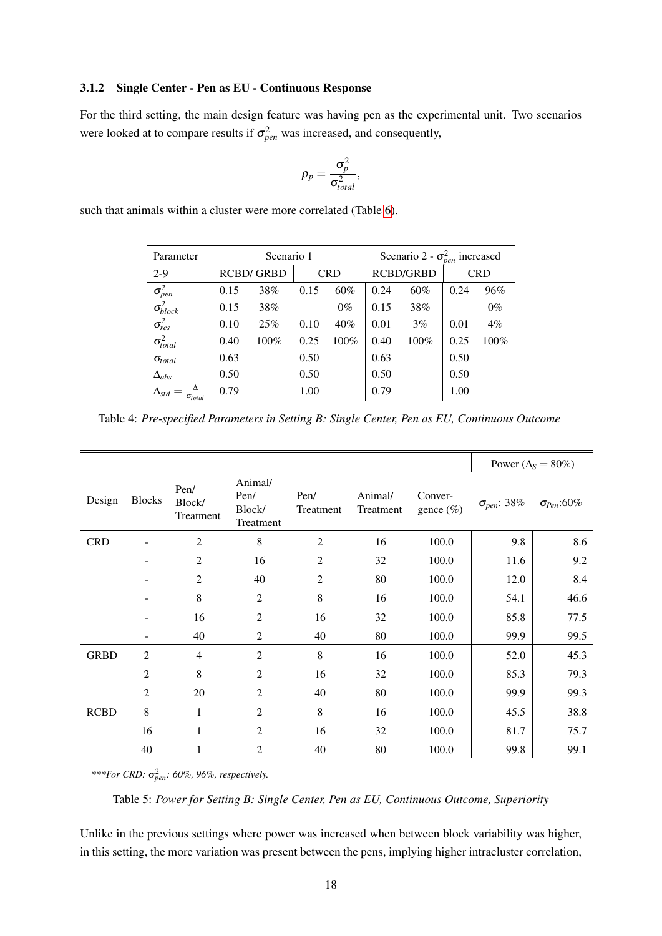#### 3.1.2 Single Center - Pen as EU - Continuous Response

For the third setting, the main design feature was having pen as the experimental unit. Two scenarios were looked at to compare results if  $\sigma_{pen}^2$  was increased, and consequently,

$$
\rho_p = \frac{\sigma_p^2}{\sigma_{total}^2},
$$

such that animals within a cluster were more correlated (Table 6).

| Parameter                              |                  | Scenario 1 |            |       | Scenario 2 - $\sigma_{pen}^2$ increased |      |            |       |
|----------------------------------------|------------------|------------|------------|-------|-----------------------------------------|------|------------|-------|
| $2 - 9$                                | <b>RCBD/GRBD</b> |            | <b>CRD</b> |       | <b>RCBD/GRBD</b>                        |      | <b>CRD</b> |       |
|                                        | 0.15             | 38%        | 0.15       | 60%   | 0.24                                    | 60%  | 0.24       | 96%   |
| $\sigma_{pen}^2$<br>$\sigma_{block}^2$ | 0.15             | 38%        |            | $0\%$ | 0.15                                    | 38%  |            | $0\%$ |
| $\sigma^2_{res}$                       | 0.10             | 25%        | 0.10       | 40%   | 0.01                                    | 3%   | 0.01       | $4\%$ |
| $\sigma_{total}^2$                     | 0.40             | 100%       | 0.25       | 100%  | 0.40                                    | 100% | 0.25       | 100%  |
| $\sigma_{total}$                       | 0.63             |            | 0.50       |       | 0.63                                    |      | 0.50       |       |
| $\Delta_{abs}$                         | 0.50             |            | 0.50       |       | 0.50                                    |      | 0.50       |       |
| $\Delta_{std}$<br>$\sigma_{total}$     | 0.79             |            | 1.00       |       | 0.79                                    |      | 1.00       |       |

Table 4: *Pre-specified Parameters in Setting B: Single Center, Pen as EU, Continuous Outcome*

|             |                |                             |                                        |                   |                      |                         |                      | Power ( $\Delta$ <sub>S</sub> = 80%) |  |  |
|-------------|----------------|-----------------------------|----------------------------------------|-------------------|----------------------|-------------------------|----------------------|--------------------------------------|--|--|
| Design      | <b>Blocks</b>  | Pen/<br>Block/<br>Treatment | Animal/<br>Pen/<br>Block/<br>Treatment | Pen/<br>Treatment | Animal/<br>Treatment | Conver-<br>gence $(\%)$ | $\sigma_{pen}$ : 38% | $\sigma_{Pen}$ :60%                  |  |  |
| <b>CRD</b>  |                | $\overline{2}$              | $\,8\,$                                | $\overline{2}$    | 16                   | 100.0                   | 9.8                  | 8.6                                  |  |  |
|             |                | $\overline{2}$              | 16                                     | $\overline{2}$    | 32                   | 100.0                   | 11.6                 | 9.2                                  |  |  |
|             |                | $\overline{2}$              | 40                                     | $\mathfrak{2}$    | $80\,$               | 100.0                   | 12.0                 | 8.4                                  |  |  |
|             |                | 8                           | $\mathfrak{2}$                         | 8                 | 16                   | 100.0                   | 54.1                 | 46.6                                 |  |  |
|             |                | 16                          | $\mathfrak{2}$                         | 16                | 32                   | 100.0                   | 85.8                 | 77.5                                 |  |  |
|             |                | 40                          | $\mathbf{2}$                           | 40                | 80                   | 100.0                   | 99.9                 | 99.5                                 |  |  |
| <b>GRBD</b> | $\mathfrak{2}$ | 4                           | $\overline{2}$                         | 8                 | 16                   | 100.0                   | 52.0                 | 45.3                                 |  |  |
|             | $\overline{2}$ | 8                           | $\overline{2}$                         | 16                | 32                   | 100.0                   | 85.3                 | 79.3                                 |  |  |
|             | $\overline{2}$ | 20                          | $\mathfrak{2}$                         | 40                | 80                   | 100.0                   | 99.9                 | 99.3                                 |  |  |
| <b>RCBD</b> | $\,8\,$        | $\mathbf{1}$                | $\mathfrak{2}$                         | 8                 | 16                   | 100.0                   | 45.5                 | 38.8                                 |  |  |
|             | 16             | 1                           | $\mathfrak{2}$                         | 16                | 32                   | 100.0                   | 81.7                 | 75.7                                 |  |  |
|             | 40             | 1                           | $\overline{2}$                         | 40                | 80                   | 100.0                   | 99.8                 | 99.1                                 |  |  |

*\*\*\*For CRD:* σ 2 *pen: 60%, 96%, respectively.*

Table 5: *Power for Setting B: Single Center, Pen as EU, Continuous Outcome, Superiority*

Unlike in the previous settings where power was increased when between block variability was higher, in this setting, the more variation was present between the pens, implying higher intracluster correlation,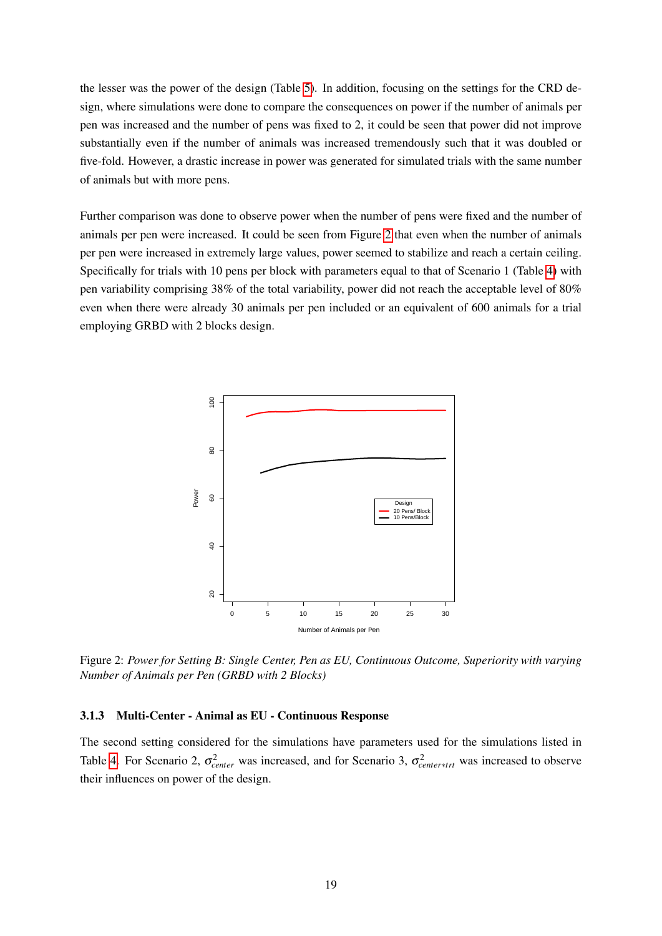the lesser was the power of the design (Table 5). In addition, focusing on the settings for the CRD design, where simulations were done to compare the consequences on power if the number of animals per pen was increased and the number of pens was fixed to 2, it could be seen that power did not improve substantially even if the number of animals was increased tremendously such that it was doubled or five-fold. However, a drastic increase in power was generated for simulated trials with the same number of animals but with more pens.

Further comparison was done to observe power when the number of pens were fixed and the number of animals per pen were increased. It could be seen from Figure 2 that even when the number of animals per pen were increased in extremely large values, power seemed to stabilize and reach a certain ceiling. Specifically for trials with 10 pens per block with parameters equal to that of Scenario 1 (Table 4) with pen variability comprising 38% of the total variability, power did not reach the acceptable level of 80% even when there were already 30 animals per pen included or an equivalent of 600 animals for a trial employing GRBD with 2 blocks design.



Figure 2: *Power for Setting B: Single Center, Pen as EU, Continuous Outcome, Superiority with varying Number of Animals per Pen (GRBD with 2 Blocks)*

### 3.1.3 Multi-Center - Animal as EU - Continuous Response

The second setting considered for the simulations have parameters used for the simulations listed in Table 4. For Scenario 2,  $\sigma_{center}^2$  was increased, and for Scenario 3,  $\sigma_{center*trt}^2$  was increased to observe their influences on power of the design.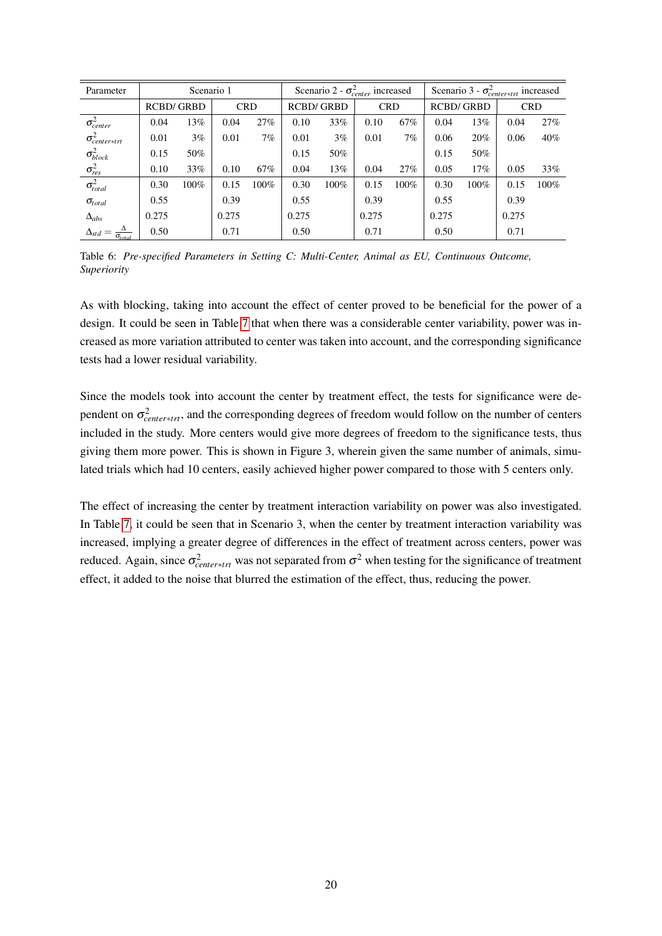| Parameter                          |                  | Scenario 1 |            |      |                  | Scenario 2 - $\sigma_{center}^2$ increased |            |      |                  | Scenario 3 - $\sigma_{center+trt}^2$ increased |            |         |  |
|------------------------------------|------------------|------------|------------|------|------------------|--------------------------------------------|------------|------|------------------|------------------------------------------------|------------|---------|--|
|                                    | <b>RCBD/GRBD</b> |            | <b>CRD</b> |      | <b>RCBD/GRBD</b> |                                            | <b>CRD</b> |      | <b>RCBD/GRBD</b> |                                                | <b>CRD</b> |         |  |
| $\sigma_{center}^2$                | 0.04             | 13%        | 0.04       | 27%  | 0.10             | 33%                                        | 0.10       | 67%  | 0.04             | 13%                                            | 0.04       | 27%     |  |
| $\sigma_{center*tri}^2$            | 0.01             | $3\%$      | 0.01       | 7%   | 0.01             | $3\%$                                      | 0.01       | 7%   | 0.06             | 20%                                            | 0.06       | 40%     |  |
| $\sigma_{block}^{2}$               | 0.15             | 50%        |            |      | 0.15             | 50%                                        |            |      | 0.15             | 50%                                            |            |         |  |
| $\sigma_{res}^2$                   | 0.10             | 33%        | 0.10       | 67%  | 0.04             | 13%                                        | 0.04       | 27%  | 0.05             | 17%                                            | 0.05       | 33%     |  |
| $\sigma_{total}^2$                 | 0.30             | $100\%$    | 0.15       | 100% | 0.30             | $100\%$                                    | 0.15       | 100% | 0.30             | $100\%$                                        | 0.15       | $100\%$ |  |
| $\sigma_{total}$                   | 0.55             |            | 0.39       |      | 0.55             |                                            | 0.39       |      | 0.55             |                                                | 0.39       |         |  |
| $\Delta_{abs}$                     | 0.275            |            | 0.275      |      | 0.275            |                                            | 0.275      |      | 0.275            |                                                | 0.275      |         |  |
| $\Delta_{std}$<br>$\sigma_{total}$ | 0.50             |            | 0.71       |      | 0.50             |                                            | 0.71       |      | 0.50             |                                                | 0.71       |         |  |

Table 6: *Pre-specified Parameters in Setting C: Multi-Center, Animal as EU, Continuous Outcome, Superiority*

As with blocking, taking into account the effect of center proved to be beneficial for the power of a design. It could be seen in Table 7 that when there was a considerable center variability, power was increased as more variation attributed to center was taken into account, and the corresponding significance tests had a lower residual variability.

Since the models took into account the center by treatment effect, the tests for significance were dependent on  $\sigma_{center*tr}^2$ , and the corresponding degrees of freedom would follow on the number of centers included in the study. More centers would give more degrees of freedom to the significance tests, thus giving them more power. This is shown in Figure 3, wherein given the same number of animals, simulated trials which had 10 centers, easily achieved higher power compared to those with 5 centers only.

The effect of increasing the center by treatment interaction variability on power was also investigated. In Table 7, it could be seen that in Scenario 3, when the center by treatment interaction variability was increased, implying a greater degree of differences in the effect of treatment across centers, power was *reduced.* Again, since  $\sigma_{center*trt}^2$  was not separated from  $\sigma^2$  when testing for the significance of treatment effect, it added to the noise that blurred the estimation of the effect, thus, reducing the power.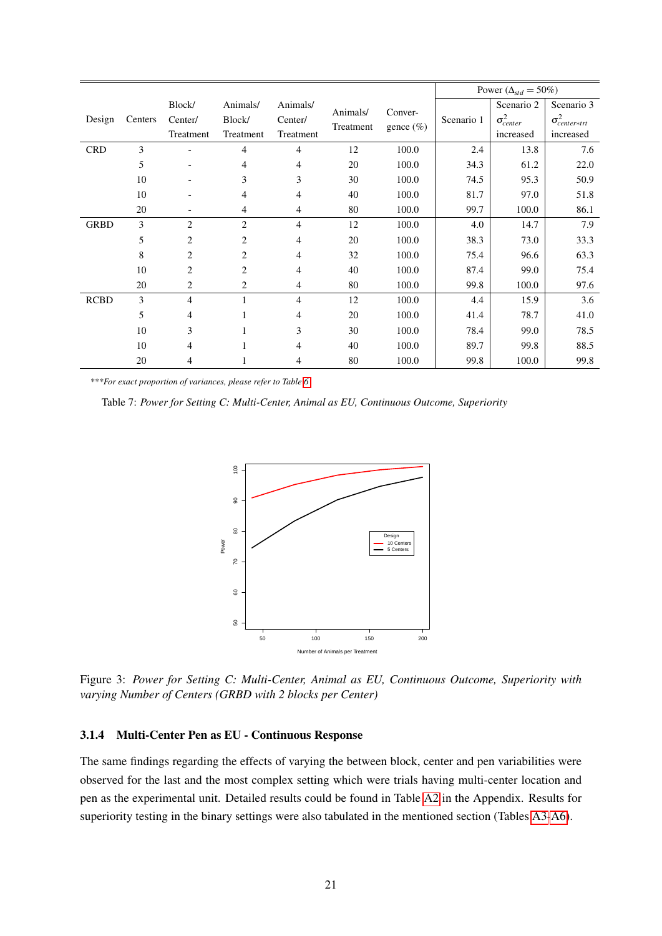|             |         |                |                |                |           |               | Power ( $\Delta_{std} = 50\%)$ |                     |                         |
|-------------|---------|----------------|----------------|----------------|-----------|---------------|--------------------------------|---------------------|-------------------------|
|             | Centers | Block/         | Animals/       | Animals/       | Animals/  | Conver-       |                                | Scenario 2          | Scenario 3              |
| Design      |         | Center/        | Block/         | Center/        | Treatment | gence $(\% )$ | Scenario 1                     | $\sigma_{center}^2$ | $\sigma_{center*tri}^2$ |
|             |         | Treatment      | Treatment      | Treatment      |           |               |                                | increased           | increased               |
| <b>CRD</b>  | 3       |                | $\overline{4}$ | $\overline{4}$ | 12        | 100.0         | 2.4                            | 13.8                | 7.6                     |
|             | 5       |                | 4              | $\overline{4}$ | 20        | 100.0         | 34.3                           | 61.2                | 22.0                    |
|             | 10      |                | 3              | 3              | 30        | 100.0         | 74.5                           | 95.3                | 50.9                    |
|             | 10      |                | $\overline{4}$ | $\overline{4}$ | 40        | 100.0         | 81.7                           | 97.0                | 51.8                    |
|             | 20      |                | 4              | 4              | 80        | 100.0         | 99.7                           | 100.0               | 86.1                    |
| <b>GRBD</b> | 3       | 2              | $\overline{2}$ | $\overline{4}$ | 12        | 100.0         | 4.0                            | 14.7                | 7.9                     |
|             | 5       | $\overline{c}$ | $\overline{2}$ | $\overline{4}$ | 20        | 100.0         | 38.3                           | 73.0                | 33.3                    |
|             | 8       | $\overline{c}$ | $\overline{2}$ | $\overline{4}$ | 32        | 100.0         | 75.4                           | 96.6                | 63.3                    |
|             | 10      | $\overline{c}$ | $\overline{2}$ | $\overline{4}$ | 40        | 100.0         | 87.4                           | 99.0                | 75.4                    |
|             | 20      | $\overline{c}$ | $\overline{2}$ | $\overline{4}$ | 80        | 100.0         | 99.8                           | 100.0               | 97.6                    |
| <b>RCBD</b> | 3       | 4              | 1              | $\overline{4}$ | 12        | 100.0         | 4.4                            | 15.9                | 3.6                     |
|             | 5       | 4              |                | $\overline{4}$ | 20        | 100.0         | 41.4                           | 78.7                | 41.0                    |
|             | 10      | 3              |                | 3              | 30        | 100.0         | 78.4                           | 99.0                | 78.5                    |
|             | 10      | 4              |                | $\overline{4}$ | 40        | 100.0         | 89.7                           | 99.8                | 88.5                    |
|             | 20      | 4              |                | 4              | 80        | 100.0         | 99.8                           | 100.0               | 99.8                    |

*\*\*\*For exact proportion of variances, please refer to Table 6*

Table 7: *Power for Setting C: Multi-Center, Animal as EU, Continuous Outcome, Superiority*



Figure 3: *Power for Setting C: Multi-Center, Animal as EU, Continuous Outcome, Superiority with varying Number of Centers (GRBD with 2 blocks per Center)*

# 3.1.4 Multi-Center Pen as EU - Continuous Response

The same findings regarding the effects of varying the between block, center and pen variabilities were observed for the last and the most complex setting which were trials having multi-center location and pen as the experimental unit. Detailed results could be found in Table A2 in the Appendix. Results for superiority testing in the binary settings were also tabulated in the mentioned section (Tables A3-A6).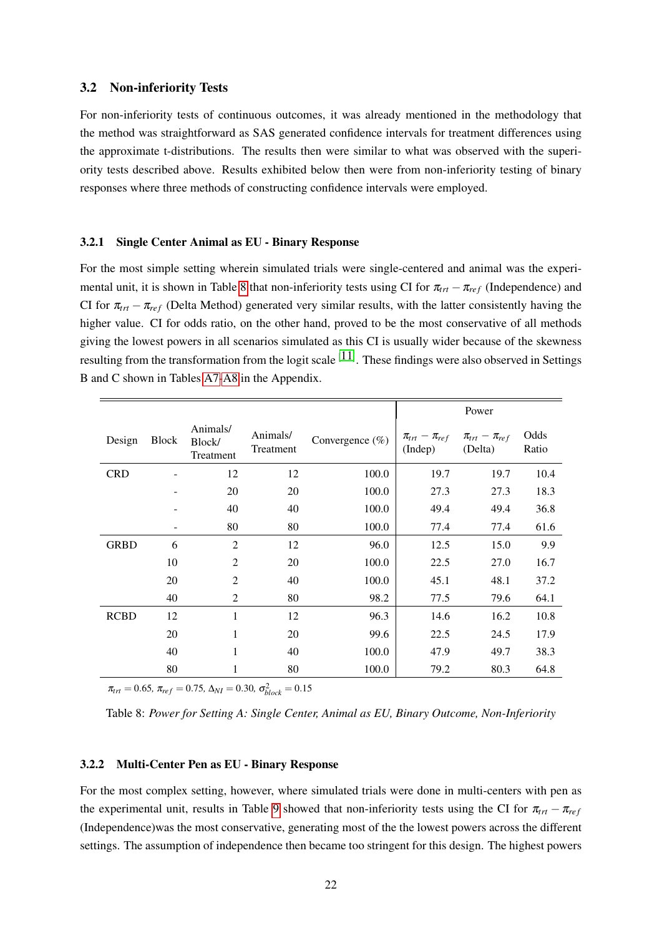#### 3.2 Non-inferiority Tests

For non-inferiority tests of continuous outcomes, it was already mentioned in the methodology that the method was straightforward as SAS generated confidence intervals for treatment differences using the approximate t-distributions. The results then were similar to what was observed with the superiority tests described above. Results exhibited below then were from non-inferiority testing of binary responses where three methods of constructing confidence intervals were employed.

#### 3.2.1 Single Center Animal as EU - Binary Response

For the most simple setting wherein simulated trials were single-centered and animal was the experimental unit, it is shown in Table 8 that non-inferiority tests using CI for  $\pi_{tr} - \pi_{ref}$  (Independence) and CI for  $\pi_{trt} - \pi_{ref}$  (Delta Method) generated very similar results, with the latter consistently having the higher value. CI for odds ratio, on the other hand, proved to be the most conservative of all methods giving the lowest powers in all scenarios simulated as this CI is usually wider because of the skewness resulting from the transformation from the logit scale  $[11]$ . These findings were also observed in Settings B and C shown in Tables A7-A8 in the Appendix.

|             |                          |                                 |                       |                     |                                  | Power                              |               |
|-------------|--------------------------|---------------------------------|-----------------------|---------------------|----------------------------------|------------------------------------|---------------|
| Design      | Block                    | Animals/<br>Block/<br>Treatment | Animals/<br>Treatment | Convergence $(\% )$ | $\pi_{trt}-\pi_{ref}$<br>(Indep) | $\pi_{trt} - \pi_{ref}$<br>(Delta) | Odds<br>Ratio |
| <b>CRD</b>  |                          | 12                              | 12                    | 100.0               | 19.7                             | 19.7                               | 10.4          |
|             |                          | 20                              | 20                    | 100.0               | 27.3                             | 27.3                               | 18.3          |
|             |                          | 40                              | 40                    | 100.0               | 49.4                             | 49.4                               | 36.8          |
|             | $\overline{\phantom{a}}$ | 80                              | 80                    | 100.0               | 77.4                             | 77.4                               | 61.6          |
| <b>GRBD</b> | 6                        | $\overline{2}$                  | 12                    | 96.0                | 12.5                             | 15.0                               | 9.9           |
|             | 10                       | $\overline{2}$                  | 20                    | 100.0               | 22.5                             | 27.0                               | 16.7          |
|             | 20                       | $\overline{2}$                  | 40                    | 100.0               | 45.1                             | 48.1                               | 37.2          |
|             | 40                       | $\overline{2}$                  | 80                    | 98.2                | 77.5                             | 79.6                               | 64.1          |
| <b>RCBD</b> | 12                       | 1                               | 12                    | 96.3                | 14.6                             | 16.2                               | 10.8          |
|             | 20                       | 1                               | 20                    | 99.6                | 22.5                             | 24.5                               | 17.9          |
|             | 40                       | 1                               | 40                    | 100.0               | 47.9                             | 49.7                               | 38.3          |
|             | 80                       | 1                               | 80                    | 100.0               | 79.2                             | 80.3                               | 64.8          |

 $\pi_{trt} = 0.65$ ,  $\pi_{ref} = 0.75$ ,  $\Delta_{NI} = 0.30$ ,  $\sigma_{block}^2 = 0.15$ 

Table 8: *Power for Setting A: Single Center, Animal as EU, Binary Outcome, Non-Inferiority*

### 3.2.2 Multi-Center Pen as EU - Binary Response

For the most complex setting, however, where simulated trials were done in multi-centers with pen as the experimental unit, results in Table 9 showed that non-inferiority tests using the CI for  $\pi_{trt} - \pi_{ref}$ (Independence)was the most conservative, generating most of the the lowest powers across the different settings. The assumption of independence then became too stringent for this design. The highest powers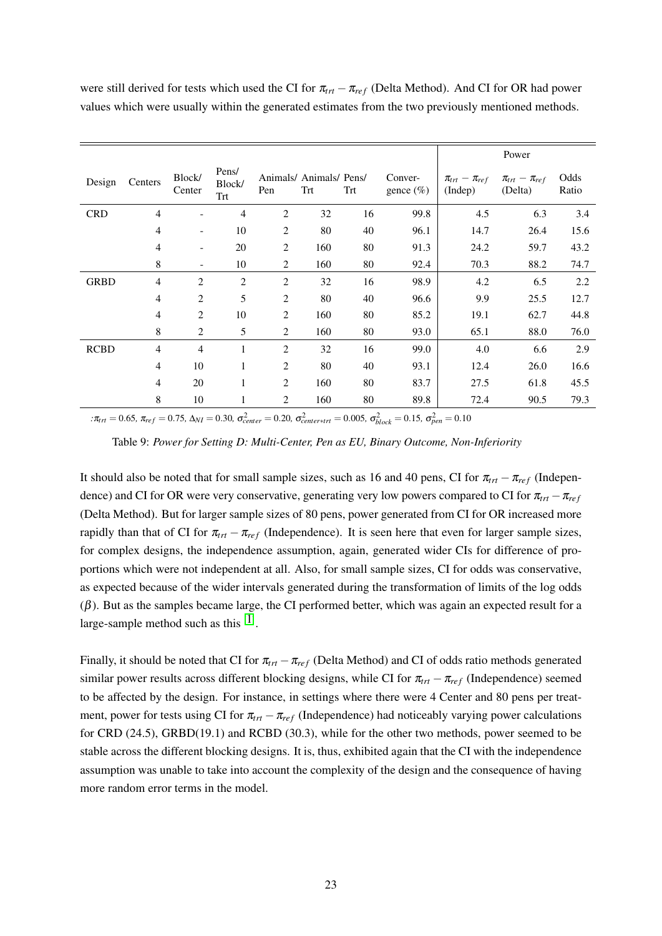were still derived for tests which used the CI for  $\pi_{tr} - \pi_{ref}$  (Delta Method). And CI for OR had power values which were usually within the generated estimates from the two previously mentioned methods.

|                          |                              |                        |                |     |     |                         |                                  | Power                            |               |
|--------------------------|------------------------------|------------------------|----------------|-----|-----|-------------------------|----------------------------------|----------------------------------|---------------|
| Centers                  | Block/<br>Center             | Pens/<br>Block/<br>Trt | Pen            | Trt | Trt | Conver-<br>gence $(\%)$ | $\pi_{trt}-\pi_{ref}$<br>(Indep) | $\pi_{trt}-\pi_{ref}$<br>(Delta) | Odds<br>Ratio |
| 4                        |                              | $\overline{4}$         | 2              | 32  | 16  | 99.8                    | 4.5                              | 6.3                              | 3.4           |
| 4                        | $\overline{\phantom{a}}$     | 10                     | 2              | 80  | 40  | 96.1                    | 14.7                             | 26.4                             | 15.6          |
| 4                        | $\qquad \qquad \blacksquare$ | 20                     | $\sqrt{2}$     | 160 | 80  | 91.3                    | 24.2                             | 59.7                             | 43.2          |
| 8                        | $\overline{\phantom{a}}$     | 10                     | 2              | 160 | 80  | 92.4                    | 70.3                             | 88.2                             | 74.7          |
| $\overline{\mathcal{L}}$ | $\overline{2}$               | $\overline{2}$         | $\overline{2}$ | 32  | 16  | 98.9                    | 4.2                              | 6.5                              | 2.2           |
| 4                        | $\overline{2}$               | 5                      | $\sqrt{2}$     | 80  | 40  | 96.6                    | 9.9                              | 25.5                             | 12.7          |
| 4                        | $\overline{2}$               | 10                     | $\overline{2}$ | 160 | 80  | 85.2                    | 19.1                             | 62.7                             | 44.8          |
| 8                        | 2                            | 5                      | 2              | 160 | 80  | 93.0                    | 65.1                             | 88.0                             | 76.0          |
| 4                        | $\overline{4}$               | $\mathbf{1}$           | 2              | 32  | 16  | 99.0                    | 4.0                              | 6.6                              | 2.9           |
| $\overline{\mathcal{L}}$ | 10                           | 1                      | $\overline{2}$ | 80  | 40  | 93.1                    | 12.4                             | 26.0                             | 16.6          |
| 4                        | 20                           | 1                      | 2              | 160 | 80  | 83.7                    | 27.5                             | 61.8                             | 45.5          |
| 8                        | 10                           | 1                      | 2              | 160 | 80  | 89.8                    | 72.4                             | 90.5                             | 79.3          |
|                          |                              |                        |                |     |     | Animals/ Animals/ Pens/ |                                  |                                  |               |

*:*π<sub>trt</sub> = 0.65*,* π<sub>ref</sub> = 0.75*,* Δ<sub>NI</sub> = 0.30*,* σ<sub>center</sub> = 0.20*,* σ<sub>center\*trt</sub> = 0.005*,* σ<sub>block</sub> = 0.15*,* σ<sub>pen</sub> = 0.10

Table 9: *Power for Setting D: Multi-Center, Pen as EU, Binary Outcome, Non-Inferiority*

It should also be noted that for small sample sizes, such as 16 and 40 pens, CI for  $\pi_{trt} - \pi_{ref}$  (Independence) and CI for OR were very conservative, generating very low powers compared to CI for  $\pi_{trt} - \pi_{ref}$ (Delta Method). But for larger sample sizes of 80 pens, power generated from CI for OR increased more rapidly than that of CI for  $\pi_{trt} - \pi_{ref}$  (Independence). It is seen here that even for larger sample sizes, for complex designs, the independence assumption, again, generated wider CIs for difference of proportions which were not independent at all. Also, for small sample sizes, CI for odds was conservative, as expected because of the wider intervals generated during the transformation of limits of the log odds  $(\beta)$ . But as the samples became large, the CI performed better, which was again an expected result for a large-sample method such as this  $[1]$ .

Finally, it should be noted that CI for  $\pi_{trt} - \pi_{ref}$  (Delta Method) and CI of odds ratio methods generated similar power results across different blocking designs, while CI for  $\pi_{tr} - \pi_{ref}$  (Independence) seemed to be affected by the design. For instance, in settings where there were 4 Center and 80 pens per treatment, power for tests using CI for  $\pi_{trt} - \pi_{ref}$  (Independence) had noticeably varying power calculations for CRD (24.5), GRBD(19.1) and RCBD (30.3), while for the other two methods, power seemed to be stable across the different blocking designs. It is, thus, exhibited again that the CI with the independence assumption was unable to take into account the complexity of the design and the consequence of having more random error terms in the model.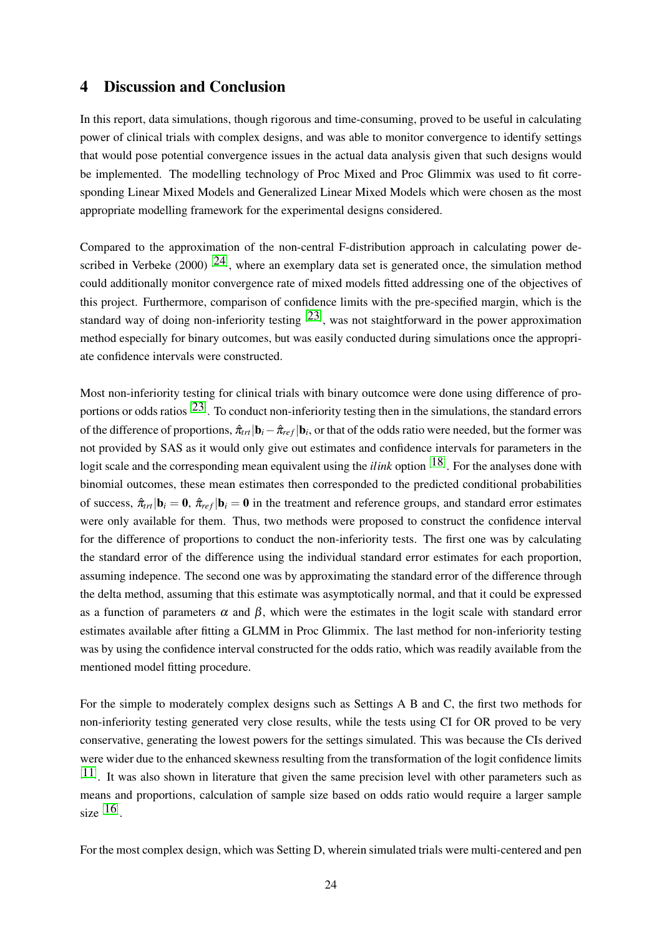# 4 Discussion and Conclusion

In this report, data simulations, though rigorous and time-consuming, proved to be useful in calculating power of clinical trials with complex designs, and was able to monitor convergence to identify settings that would pose potential convergence issues in the actual data analysis given that such designs would be implemented. The modelling technology of Proc Mixed and Proc Glimmix was used to fit corresponding Linear Mixed Models and Generalized Linear Mixed Models which were chosen as the most appropriate modelling framework for the experimental designs considered.

Compared to the approximation of the non-central F-distribution approach in calculating power described in Verbeke (2000)  $[24]$ , where an exemplary data set is generated once, the simulation method could additionally monitor convergence rate of mixed models fitted addressing one of the objectives of this project. Furthermore, comparison of confidence limits with the pre-specified margin, which is the standard way of doing non-inferiority testing  $[23]$ , was not staightforward in the power approximation method especially for binary outcomes, but was easily conducted during simulations once the appropriate confidence intervals were constructed.

Most non-inferiority testing for clinical trials with binary outcomce were done using difference of proportions or odds ratios <sup>[23]</sup>. To conduct non-inferiority testing then in the simulations, the standard errors of the difference of proportions,  $\hat{\pi}_{tr}|\mathbf{b}_i-\hat{\pi}_{ref}|\mathbf{b}_i$ , or that of the odds ratio were needed, but the former was not provided by SAS as it would only give out estimates and confidence intervals for parameters in the logit scale and the corresponding mean equivalent using the *ilink* option <sup>[18]</sup>. For the analyses done with binomial outcomes, these mean estimates then corresponded to the predicted conditional probabilities of success,  $\hat{\pi}_{trt}|\mathbf{b}_i = \mathbf{0}$ ,  $\hat{\pi}_{ref}|\mathbf{b}_i = \mathbf{0}$  in the treatment and reference groups, and standard error estimates were only available for them. Thus, two methods were proposed to construct the confidence interval for the difference of proportions to conduct the non-inferiority tests. The first one was by calculating the standard error of the difference using the individual standard error estimates for each proportion, assuming indepence. The second one was by approximating the standard error of the difference through the delta method, assuming that this estimate was asymptotically normal, and that it could be expressed as a function of parameters  $\alpha$  and  $\beta$ , which were the estimates in the logit scale with standard error estimates available after fitting a GLMM in Proc Glimmix. The last method for non-inferiority testing was by using the confidence interval constructed for the odds ratio, which was readily available from the mentioned model fitting procedure.

For the simple to moderately complex designs such as Settings A B and C, the first two methods for non-inferiority testing generated very close results, while the tests using CI for OR proved to be very conservative, generating the lowest powers for the settings simulated. This was because the CIs derived were wider due to the enhanced skewness resulting from the transformation of the logit confidence limits  $[11]$ . It was also shown in literature that given the same precision level with other parameters such as means and proportions, calculation of sample size based on odds ratio would require a larger sample size  $[16]$ .

For the most complex design, which was Setting D, wherein simulated trials were multi-centered and pen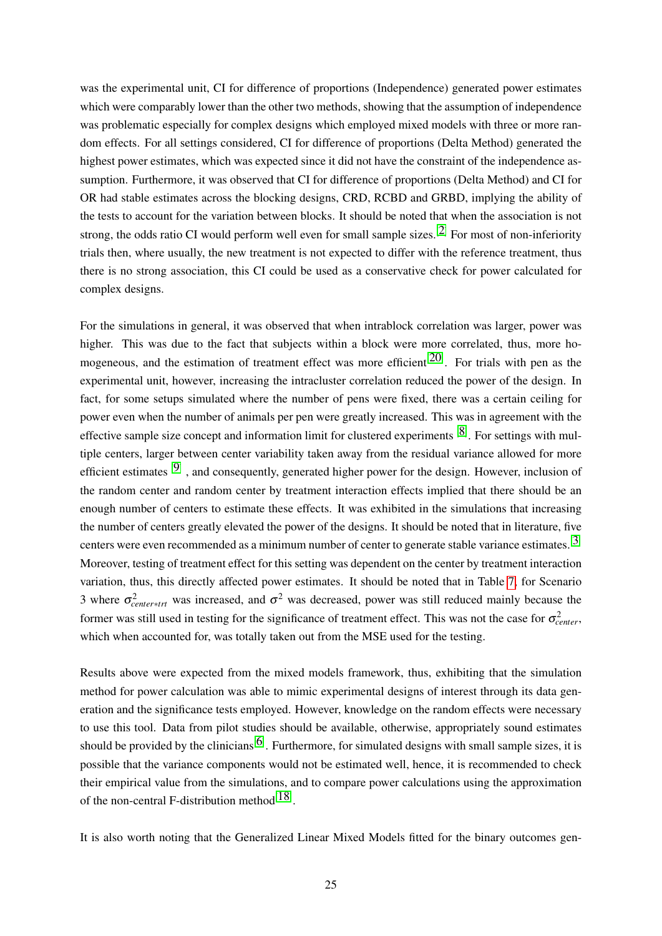was the experimental unit, CI for difference of proportions (Independence) generated power estimates which were comparably lower than the other two methods, showing that the assumption of independence was problematic especially for complex designs which employed mixed models with three or more random effects. For all settings considered, CI for difference of proportions (Delta Method) generated the highest power estimates, which was expected since it did not have the constraint of the independence assumption. Furthermore, it was observed that CI for difference of proportions (Delta Method) and CI for OR had stable estimates across the blocking designs, CRD, RCBD and GRBD, implying the ability of the tests to account for the variation between blocks. It should be noted that when the association is not strong, the odds ratio CI would perform well even for small sample sizes.<sup>[2]</sup> For most of non-inferiority trials then, where usually, the new treatment is not expected to differ with the reference treatment, thus there is no strong association, this CI could be used as a conservative check for power calculated for complex designs.

For the simulations in general, it was observed that when intrablock correlation was larger, power was higher. This was due to the fact that subjects within a block were more correlated, thus, more homogeneous, and the estimation of treatment effect was more efficient<sup>[20]</sup>. For trials with pen as the experimental unit, however, increasing the intracluster correlation reduced the power of the design. In fact, for some setups simulated where the number of pens were fixed, there was a certain ceiling for power even when the number of animals per pen were greatly increased. This was in agreement with the effective sample size concept and information limit for clustered experiments [8]. For settings with multiple centers, larger between center variability taken away from the residual variance allowed for more efficient estimates  $[9]$ , and consequently, generated higher power for the design. However, inclusion of the random center and random center by treatment interaction effects implied that there should be an enough number of centers to estimate these effects. It was exhibited in the simulations that increasing the number of centers greatly elevated the power of the designs. It should be noted that in literature, five centers were even recommended as a minimum number of center to generate stable variance estimates.[3] Moreover, testing of treatment effect for this setting was dependent on the center by treatment interaction variation, thus, this directly affected power estimates. It should be noted that in Table 7, for Scenario 3 where  $\sigma_{center*trt}^2$  was increased, and  $\sigma^2$  was decreased, power was still reduced mainly because the former was still used in testing for the significance of treatment effect. This was not the case for  $\sigma_{center}^2$ , which when accounted for, was totally taken out from the MSE used for the testing.

Results above were expected from the mixed models framework, thus, exhibiting that the simulation method for power calculation was able to mimic experimental designs of interest through its data generation and the significance tests employed. However, knowledge on the random effects were necessary to use this tool. Data from pilot studies should be available, otherwise, appropriately sound estimates should be provided by the clinicians<sup>[6]</sup>. Furthermore, for simulated designs with small sample sizes, it is possible that the variance components would not be estimated well, hence, it is recommended to check their empirical value from the simulations, and to compare power calculations using the approximation of the non-central F-distribution method<sup>[18]</sup>.

It is also worth noting that the Generalized Linear Mixed Models fitted for the binary outcomes gen-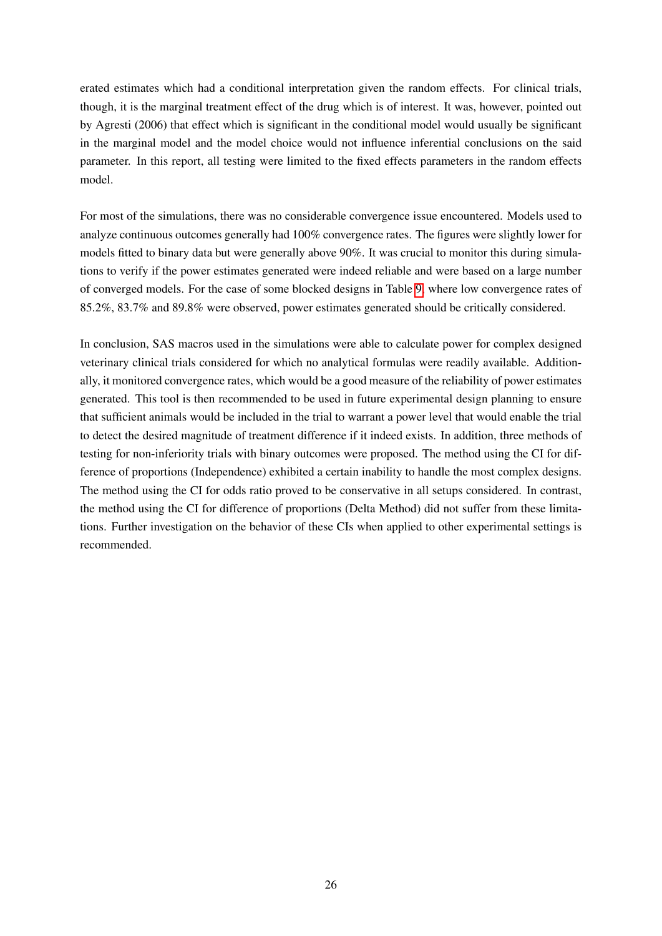erated estimates which had a conditional interpretation given the random effects. For clinical trials, though, it is the marginal treatment effect of the drug which is of interest. It was, however, pointed out by Agresti (2006) that effect which is significant in the conditional model would usually be significant in the marginal model and the model choice would not influence inferential conclusions on the said parameter. In this report, all testing were limited to the fixed effects parameters in the random effects model.

For most of the simulations, there was no considerable convergence issue encountered. Models used to analyze continuous outcomes generally had 100% convergence rates. The figures were slightly lower for models fitted to binary data but were generally above 90%. It was crucial to monitor this during simulations to verify if the power estimates generated were indeed reliable and were based on a large number of converged models. For the case of some blocked designs in Table 9, where low convergence rates of 85.2%, 83.7% and 89.8% were observed, power estimates generated should be critically considered.

In conclusion, SAS macros used in the simulations were able to calculate power for complex designed veterinary clinical trials considered for which no analytical formulas were readily available. Additionally, it monitored convergence rates, which would be a good measure of the reliability of power estimates generated. This tool is then recommended to be used in future experimental design planning to ensure that sufficient animals would be included in the trial to warrant a power level that would enable the trial to detect the desired magnitude of treatment difference if it indeed exists. In addition, three methods of testing for non-inferiority trials with binary outcomes were proposed. The method using the CI for difference of proportions (Independence) exhibited a certain inability to handle the most complex designs. The method using the CI for odds ratio proved to be conservative in all setups considered. In contrast, the method using the CI for difference of proportions (Delta Method) did not suffer from these limitations. Further investigation on the behavior of these CIs when applied to other experimental settings is recommended.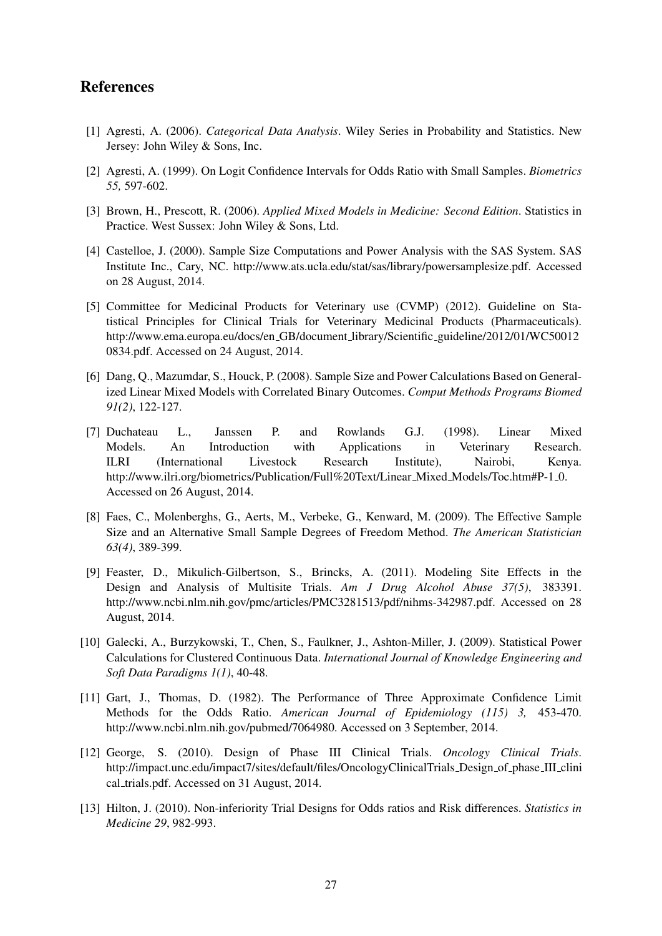# References

- [1] Agresti, A. (2006). *Categorical Data Analysis*. Wiley Series in Probability and Statistics. New Jersey: John Wiley & Sons, Inc.
- [2] Agresti, A. (1999). On Logit Confidence Intervals for Odds Ratio with Small Samples. *Biometrics 55,* 597-602.
- [3] Brown, H., Prescott, R. (2006). *Applied Mixed Models in Medicine: Second Edition*. Statistics in Practice. West Sussex: John Wiley & Sons, Ltd.
- [4] Castelloe, J. (2000). Sample Size Computations and Power Analysis with the SAS System. SAS Institute Inc., Cary, NC. http://www.ats.ucla.edu/stat/sas/library/powersamplesize.pdf. Accessed on 28 August, 2014.
- [5] Committee for Medicinal Products for Veterinary use (CVMP) (2012). Guideline on Statistical Principles for Clinical Trials for Veterinary Medicinal Products (Pharmaceuticals). http://www.ema.europa.eu/docs/en GB/document library/Scientific guideline/2012/01/WC50012 0834.pdf. Accessed on 24 August, 2014.
- [6] Dang, Q., Mazumdar, S., Houck, P. (2008). Sample Size and Power Calculations Based on Generalized Linear Mixed Models with Correlated Binary Outcomes. *Comput Methods Programs Biomed 91(2)*, 122-127.
- [7] Duchateau L., Janssen P. and Rowlands G.J. (1998). Linear Mixed Models. An Introduction with Applications in Veterinary Research. ILRI (International Livestock Research Institute), Nairobi, Kenya. http://www.ilri.org/biometrics/Publication/Full%20Text/Linear Mixed Models/Toc.htm#P-1 0. Accessed on 26 August, 2014.
- [8] Faes, C., Molenberghs, G., Aerts, M., Verbeke, G., Kenward, M. (2009). The Effective Sample Size and an Alternative Small Sample Degrees of Freedom Method. *The American Statistician 63(4)*, 389-399.
- [9] Feaster, D., Mikulich-Gilbertson, S., Brincks, A. (2011). Modeling Site Effects in the Design and Analysis of Multisite Trials. *Am J Drug Alcohol Abuse 37(5)*, 383391. http://www.ncbi.nlm.nih.gov/pmc/articles/PMC3281513/pdf/nihms-342987.pdf. Accessed on 28 August, 2014.
- [10] Galecki, A., Burzykowski, T., Chen, S., Faulkner, J., Ashton-Miller, J. (2009). Statistical Power Calculations for Clustered Continuous Data. *International Journal of Knowledge Engineering and Soft Data Paradigms 1(1)*, 40-48.
- [11] Gart, J., Thomas, D. (1982). The Performance of Three Approximate Confidence Limit Methods for the Odds Ratio. *American Journal of Epidemiology (115) 3,* 453-470. http://www.ncbi.nlm.nih.gov/pubmed/7064980. Accessed on 3 September, 2014.
- [12] George, S. (2010). Design of Phase III Clinical Trials. *Oncology Clinical Trials*. http://impact.unc.edu/impact7/sites/default/files/OncologyClinicalTrials Design of phase III clini cal trials.pdf. Accessed on 31 August, 2014.
- [13] Hilton, J. (2010). Non-inferiority Trial Designs for Odds ratios and Risk differences. *Statistics in Medicine 29*, 982-993.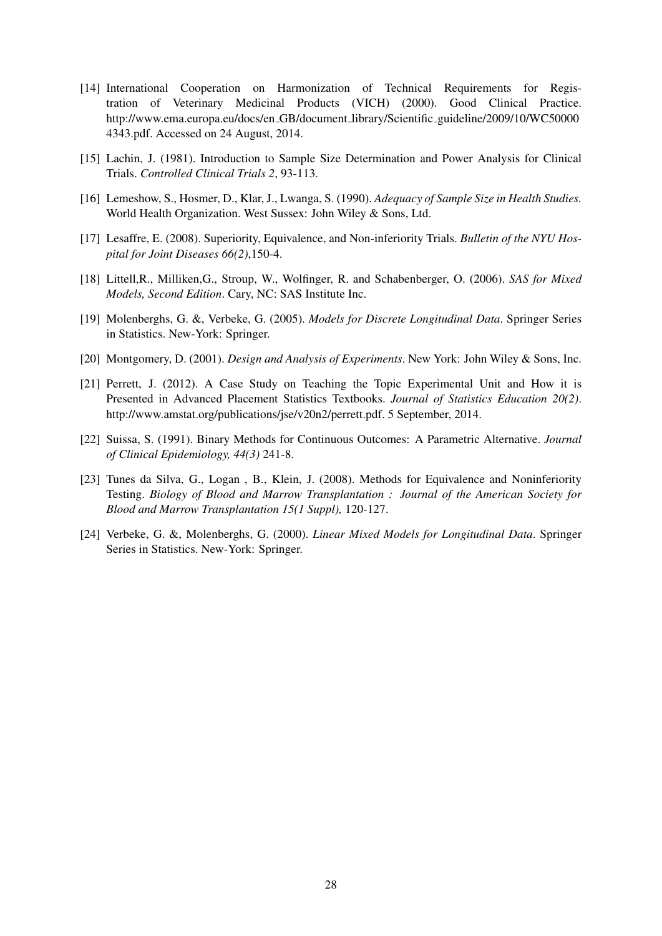- [14] International Cooperation on Harmonization of Technical Requirements for Registration of Veterinary Medicinal Products (VICH) (2000). Good Clinical Practice. http://www.ema.europa.eu/docs/en\_GB/document\_library/Scientific\_guideline/2009/10/WC50000 4343.pdf. Accessed on 24 August, 2014.
- [15] Lachin, J. (1981). Introduction to Sample Size Determination and Power Analysis for Clinical Trials. *Controlled Clinical Trials 2*, 93-113.
- [16] Lemeshow, S., Hosmer, D., Klar, J., Lwanga, S. (1990). *Adequacy of Sample Size in Health Studies.* World Health Organization. West Sussex: John Wiley & Sons, Ltd.
- [17] Lesaffre, E. (2008). Superiority, Equivalence, and Non-inferiority Trials. *Bulletin of the NYU Hospital for Joint Diseases 66(2)*,150-4.
- [18] Littell,R., Milliken,G., Stroup, W., Wolfinger, R. and Schabenberger, O. (2006). *SAS for Mixed Models, Second Edition*. Cary, NC: SAS Institute Inc.
- [19] Molenberghs, G. &, Verbeke, G. (2005). *Models for Discrete Longitudinal Data*. Springer Series in Statistics. New-York: Springer.
- [20] Montgomery, D. (2001). *Design and Analysis of Experiments*. New York: John Wiley & Sons, Inc.
- [21] Perrett, J. (2012). A Case Study on Teaching the Topic Experimental Unit and How it is Presented in Advanced Placement Statistics Textbooks. *Journal of Statistics Education 20(2)*. http://www.amstat.org/publications/jse/v20n2/perrett.pdf. 5 September, 2014.
- [22] Suissa, S. (1991). Binary Methods for Continuous Outcomes: A Parametric Alternative. *Journal of Clinical Epidemiology, 44(3)* 241-8.
- [23] Tunes da Silva, G., Logan , B., Klein, J. (2008). Methods for Equivalence and Noninferiority Testing. *Biology of Blood and Marrow Transplantation : Journal of the American Society for Blood and Marrow Transplantation 15(1 Suppl),* 120-127.
- [24] Verbeke, G. &, Molenberghs, G. (2000). *Linear Mixed Models for Longitudinal Data*. Springer Series in Statistics. New-York: Springer.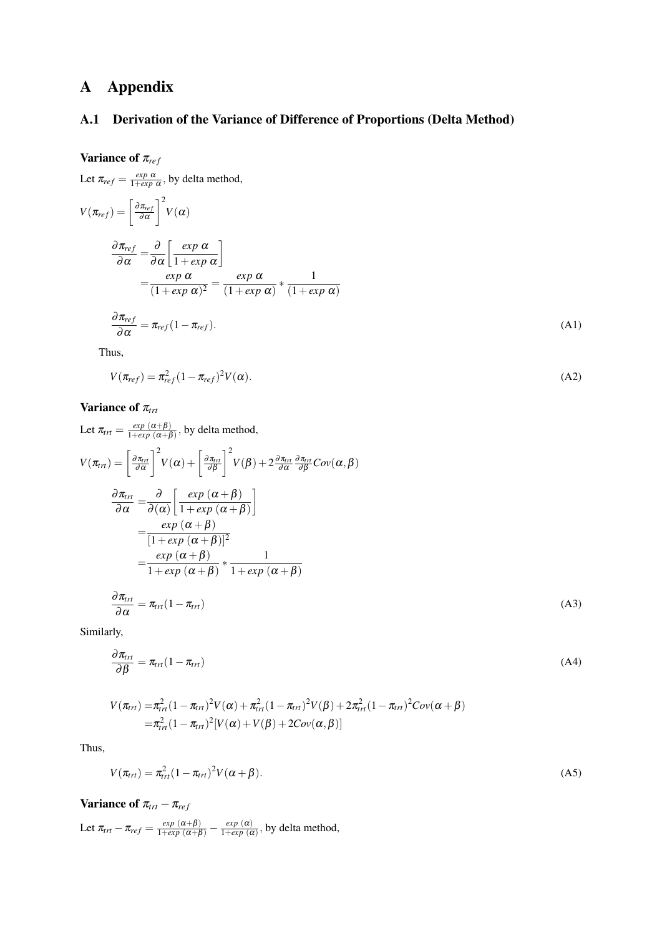# A Appendix

# A.1 Derivation of the Variance of Difference of Proportions (Delta Method)

# Variance of  $π_{ref}$

Let 
$$
\pi_{ref} = \frac{exp \alpha}{1+exp \alpha}
$$
, by delta method,  
\n
$$
V(\pi_{ref}) = \left[\frac{\partial \pi_{ref}}{\partial \alpha}\right]^2 V(\alpha)
$$
\n
$$
\frac{\partial \pi_{ref}}{\partial \alpha} = \frac{\partial}{\partial \alpha} \left[\frac{exp \alpha}{1+exp \alpha}\right]
$$
\n
$$
= \frac{exp \alpha}{(1+exp \alpha)^2} = \frac{exp \alpha}{(1+exp \alpha)} * \frac{1}{(1+exp \alpha)}
$$
\n
$$
\frac{\partial \pi_{ref}}{\partial \alpha} = \pi_{ref}(1-\pi_{ref}). \tag{A1}
$$

Thus,

$$
V(\pi_{ref}) = \pi_{ref}^2 (1 - \pi_{ref})^2 V(\alpha).
$$
 (A2)

# Variance of π<sub>trt</sub>

Let 
$$
\pi_{rr} = \frac{\exp(\alpha + \beta)}{1 + \exp(\alpha + \beta)}
$$
, by delta method,  
\n
$$
V(\pi_{rr}) = \left[\frac{\partial \pi_{rr}}{\partial \alpha}\right]^2 V(\alpha) + \left[\frac{\partial \pi_{rr}}{\partial \beta}\right]^2 V(\beta) + 2 \frac{\partial \pi_{rr}}{\partial \alpha} \frac{\partial \pi_{rr}}{\partial \beta} Cov(\alpha, \beta)
$$
\n
$$
\frac{\partial \pi_{rr}}{\partial \alpha} = \frac{\partial}{\partial (\alpha)} \left[\frac{\exp(\alpha + \beta)}{1 + \exp(\alpha + \beta)}\right]
$$
\n
$$
= \frac{\exp(\alpha + \beta)}{[1 + \exp(\alpha + \beta)]^2}
$$
\n
$$
= \frac{\exp(\alpha + \beta)}{1 + \exp(\alpha + \beta)} * \frac{1}{1 + \exp(\alpha + \beta)}
$$
\n
$$
\frac{\partial \pi_{rr}}{\partial \alpha} = \pi_{rr}(1 - \pi_{rr})
$$
\n(A3)

Similarly,

$$
\frac{\partial \pi_{\text{int}}}{\partial \beta} = \pi_{\text{int}} (1 - \pi_{\text{int}}) \tag{A4}
$$

$$
V(\pi_{trt}) = \pi_{trt}^2 (1 - \pi_{trt})^2 V(\alpha) + \pi_{trt}^2 (1 - \pi_{trt})^2 V(\beta) + 2\pi_{trt}^2 (1 - \pi_{trt})^2 Cov(\alpha + \beta)
$$
  
=  $\pi_{trt}^2 (1 - \pi_{trt})^2 [V(\alpha) + V(\beta) + 2Cov(\alpha, \beta)]$ 

Thus,

$$
V(\pi_{\text{trt}}) = \pi_{\text{trt}}^2 (1 - \pi_{\text{trt}})^2 V(\alpha + \beta).
$$
 (A5)

Variance of  $\pi_{trt} - \pi_{ref}$ 

Let  $\pi_{trt} - \pi_{ref} = \frac{exp(\alpha + \beta)}{1 + exp(\alpha + \beta)} - \frac{exp(\alpha)}{1 + exp(\alpha)}$  $\frac{exp(\alpha)}{1+exp(\alpha)}$ , by delta method,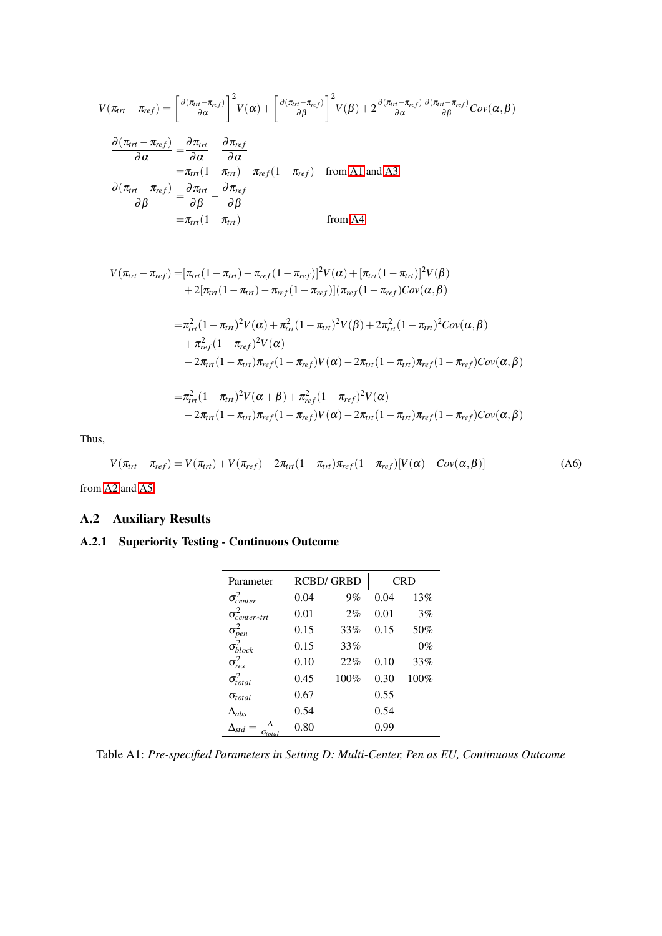$$
V(\pi_{trt} - \pi_{ref}) = \left[\frac{\partial(\pi_{trt} - \pi_{ref})}{\partial \alpha}\right]^2 V(\alpha) + \left[\frac{\partial(\pi_{trt} - \pi_{ref})}{\partial \beta}\right]^2 V(\beta) + 2 \frac{\partial(\pi_{trt} - \pi_{ref})}{\partial \alpha} \frac{\partial(\pi_{trt} - \pi_{ref})}{\partial \beta} Cov(\alpha, \beta)
$$

$$
\frac{\partial(\pi_{trt} - \pi_{ref})}{\partial \alpha} = \frac{\partial \pi_{trt}}{\partial \alpha} - \frac{\partial \pi_{ref}}{\partial \alpha}
$$

$$
= \pi_{trt} (1 - \pi_{trt}) - \pi_{ref} (1 - \pi_{ref}) \quad \text{from A1 and A3}
$$

$$
\frac{\partial(\pi_{trt} - \pi_{ref})}{\partial \beta} = \frac{\partial \pi_{trt}}{\partial \beta} - \frac{\partial \pi_{ref}}{\partial \beta}
$$

$$
= \pi_{trt} (1 - \pi_{trt}) \qquad \text{from A4}
$$

$$
V(\pi_{trt} - \pi_{ref}) = [\pi_{trt}(1 - \pi_{trt}) - \pi_{ref}(1 - \pi_{ref})]^2 V(\alpha) + [\pi_{trt}(1 - \pi_{trt})]^2 V(\beta)
$$
  
+ 2[\pi\_{trt}(1 - \pi\_{trt}) - \pi\_{ref}(1 - \pi\_{ref})](\pi\_{ref}(1 - \pi\_{ref})Cov(\alpha, \beta)  
=  $\pi_{trt}^2 (1 - \pi_{trt})^2 V(\alpha) + \pi_{trt}^2 (1 - \pi_{trt})^2 V(\beta) + 2\pi_{trt}^2 (1 - \pi_{trt})^2 Cov(\alpha, \beta)$   
+  $\pi_{ref}^2 (1 - \pi_{ref})^2 V(\alpha)$   
- 2 $\pi_{trt}(1 - \pi_{trt}) \pi_{ref}(1 - \pi_{ref}) V(\alpha) - 2\pi_{trt}(1 - \pi_{trt}) \pi_{ref}(1 - \pi_{ref})Cov(\alpha, \beta)$   
=  $\pi_{tr}^2 (1 - \pi_{trt})^2 V(\alpha + \beta) + \pi_{ref}^2 (1 - \pi_{ref})^2 V(\alpha)$   
- 2 $\pi_{trt}(1 - \pi_{trt}) \pi_{ref}(1 - \pi_{ref}) V(\alpha) - 2\pi_{trt}(1 - \pi_{trt}) \pi_{ref}(1 - \pi_{ref})Cov(\alpha, \beta)$ 

Thus,

$$
V(\pi_{\text{tr}t} - \pi_{\text{ref}}) = V(\pi_{\text{tr}t}) + V(\pi_{\text{ref}}) - 2\pi_{\text{tr}t}(1 - \pi_{\text{tr}t})\pi_{\text{ref}}(1 - \pi_{\text{ref}})[V(\alpha) + Cov(\alpha, \beta)] \tag{A6}
$$

from A2 and A5.

# A.2 Auxiliary Results

# A.2.1 Superiority Testing - Continuous Outcome

| Parameter                          |      | <b>RCBD/GRBD</b> |      | <b>CRD</b> |
|------------------------------------|------|------------------|------|------------|
| $\sigma_{center}^2$                | 0.04 | 9%               | 0.04 | 13%        |
| $\sigma_{center*trt}^2$            | 0.01 | 2%               | 0.01 | 3%         |
| $\sigma_{pen}^2$                   | 0.15 | 33%              | 0.15 | 50%        |
| $\sigma_{block}^2$                 | 0.15 | 33%              |      | $0\%$      |
| $\sigma_{res}^2$                   | 0.10 | 22%              | 0.10 | 33%        |
| $\sigma_{total}^2$                 | 0.45 | 100%             | 0.30 | 100%       |
| $\sigma_{total}$                   | 0.67 |                  | 0.55 |            |
| $\Delta_{abs}$                     | 0.54 |                  | 0.54 |            |
| $\Delta_{std}$<br>$\sigma_{total}$ | 0.80 |                  | 0.99 |            |

Table A1: *Pre-specified Parameters in Setting D: Multi-Center, Pen as EU, Continuous Outcome*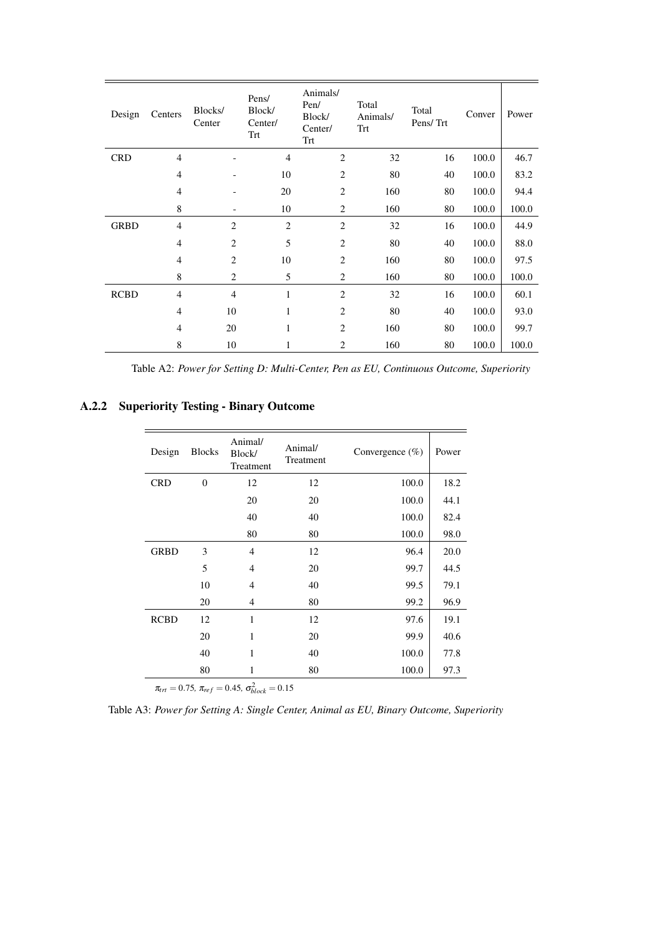| Design      | Centers        | Blocks/<br>Center | Pens/<br>Block/<br>Center/<br>Trt | Animals/<br>Pen/<br>Block/<br>Center/<br>Trt | Total<br>Animals/<br>Trt | Total<br>Pens/Trt | Conver | Power |
|-------------|----------------|-------------------|-----------------------------------|----------------------------------------------|--------------------------|-------------------|--------|-------|
| <b>CRD</b>  | $\overline{4}$ |                   | $\overline{4}$                    | $\mathbf{2}$                                 | 32                       | 16                | 100.0  | 46.7  |
|             | $\overline{4}$ | -                 | 10                                | $\overline{2}$                               | 80                       | 40                | 100.0  | 83.2  |
|             | $\overline{4}$ |                   | 20                                | $\overline{2}$                               | 160                      | 80                | 100.0  | 94.4  |
|             | $\,$ 8 $\,$    |                   | 10                                | $\overline{c}$                               | 160                      | 80                | 100.0  | 100.0 |
| <b>GRBD</b> | $\overline{4}$ | $\mathbf{2}$      | $\mathbf{2}$                      | $\overline{2}$                               | 32                       | 16                | 100.0  | 44.9  |
|             | $\overline{4}$ | $\overline{2}$    | 5                                 | 2                                            | 80                       | 40                | 100.0  | 88.0  |
|             | $\overline{4}$ | $\mathbf{2}$      | 10                                | 2                                            | 160                      | 80                | 100.0  | 97.5  |
|             | 8              | $\overline{c}$    | 5                                 | 2                                            | 160                      | 80                | 100.0  | 100.0 |
| <b>RCBD</b> | $\overline{4}$ | $\overline{4}$    | $\mathbf{1}$                      | 2                                            | 32                       | 16                | 100.0  | 60.1  |
|             | $\overline{4}$ | 10                | 1                                 | $\overline{2}$                               | 80                       | 40                | 100.0  | 93.0  |
|             | $\overline{4}$ | 20                | 1                                 | $\overline{2}$                               | 160                      | 80                | 100.0  | 99.7  |
|             | 8              | 10                | 1                                 | 2                                            | 160                      | 80                | 100.0  | 100.0 |

Table A2: *Power for Setting D: Multi-Center, Pen as EU, Continuous Outcome, Superiority*

# A.2.2 Superiority Testing - Binary Outcome

| Design      | <b>Blocks</b>  | Animal/<br>Block/<br>Treatment | Animal/<br>Treatment | Convergence $(\%)$ | Power |
|-------------|----------------|--------------------------------|----------------------|--------------------|-------|
| <b>CRD</b>  | $\overline{0}$ | 12                             | 12                   | 100.0              | 18.2  |
|             |                | 20                             | 20                   | 100.0              | 44.1  |
|             |                | 40                             | 40                   | 100.0              | 82.4  |
|             |                | 80                             | 80                   | 100.0              | 98.0  |
| <b>GRBD</b> | 3              | $\overline{4}$                 | 12                   | 96.4               | 20.0  |
|             | 5              | $\overline{4}$                 | 20                   | 99.7               | 44.5  |
|             | 10             | $\overline{4}$                 | 40                   | 99.5               | 79.1  |
|             | 20             | 4                              | 80                   | 99.2               | 96.9  |
| <b>RCBD</b> | 12             | $\mathbf{1}$                   | 12                   | 97.6               | 19.1  |
|             | 20             | 1                              | 20                   | 99.9               | 40.6  |
|             | 40             | 1                              | 40                   | 100.0              | 77.8  |
|             | 80             | 1                              | 80                   | 100.0              | 97.3  |
|             | $0.75 -$       | $0.45 - 2$                     | 0.15                 |                    |       |

 $\pi_{trt} = 0.75$ ,  $\pi_{ref} = 0.45$ ,  $\sigma_{block}^2 = 0.15$ 

Table A3: *Power for Setting A: Single Center, Animal as EU, Binary Outcome, Superiority*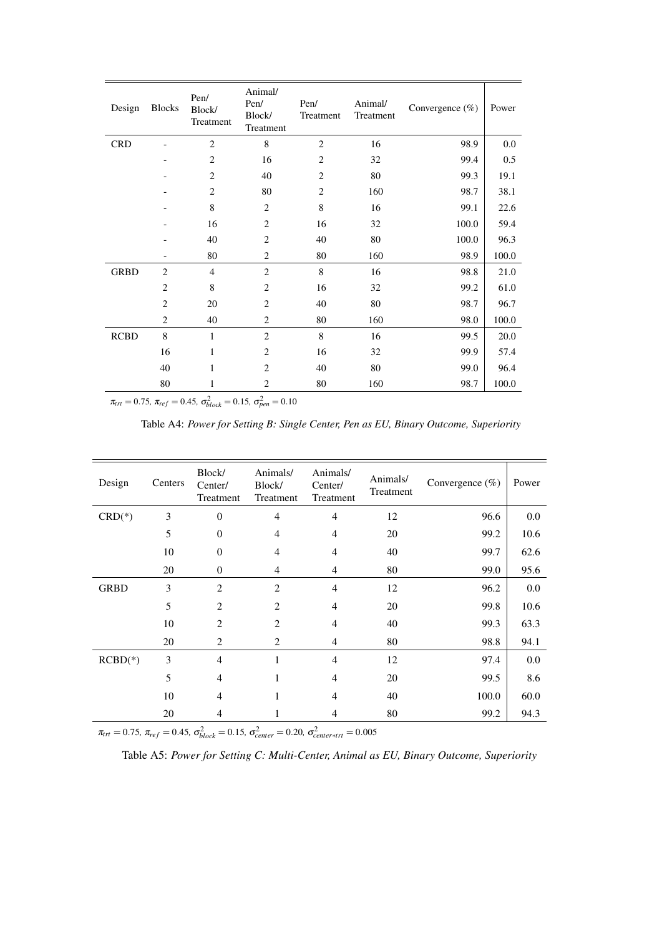| Design      | <b>Blocks</b>  | Pen/<br>Block/<br>Treatment | Animal/<br>Pen/<br>Block/<br>Treatment | Pen/<br>Treatment | Animal/<br>Treatment | Convergence (%) | Power |
|-------------|----------------|-----------------------------|----------------------------------------|-------------------|----------------------|-----------------|-------|
| <b>CRD</b>  |                | $\overline{2}$              | 8                                      | $\overline{2}$    | 16                   | 98.9            | 0.0   |
|             | ۳              | $\overline{c}$              | 16                                     | $\overline{2}$    | 32                   | 99.4            | 0.5   |
|             |                | 2                           | 40                                     | $\overline{2}$    | 80                   | 99.3            | 19.1  |
|             |                | 2                           | 80                                     | $\overline{2}$    | 160                  | 98.7            | 38.1  |
|             |                | 8                           | $\overline{c}$                         | $\,8\,$           | 16                   | 99.1            | 22.6  |
|             |                | 16                          | $\overline{c}$                         | 16                | 32                   | 100.0           | 59.4  |
|             |                | 40                          | $\overline{c}$                         | 40                | 80                   | 100.0           | 96.3  |
|             |                | 80                          | $\overline{c}$                         | 80                | 160                  | 98.9            | 100.0 |
| <b>GRBD</b> | $\overline{c}$ | $\overline{4}$              | $\overline{c}$                         | $\,8\,$           | 16                   | 98.8            | 21.0  |
|             | $\overline{2}$ | 8                           | $\overline{c}$                         | 16                | 32                   | 99.2            | 61.0  |
|             | $\overline{c}$ | 20                          | $\overline{c}$                         | 40                | 80                   | 98.7            | 96.7  |
|             | $\overline{c}$ | 40                          | $\overline{c}$                         | 80                | 160                  | 98.0            | 100.0 |
| <b>RCBD</b> | $\,8\,$        | $\mathbf{1}$                | $\overline{2}$                         | 8                 | 16                   | 99.5            | 20.0  |
|             | 16             | 1                           | $\overline{c}$                         | 16                | 32                   | 99.9            | 57.4  |
|             | 40             | 1                           | $\overline{c}$                         | 40                | 80                   | 99.0            | 96.4  |
|             | 80             | 1                           | 2                                      | 80                | 160                  | 98.7            | 100.0 |
|             |                |                             |                                        |                   |                      |                 |       |

 $\pi_{trt} = 0.75$ ,  $\pi_{ref} = 0.45$ ,  $\sigma_{block}^2 = 0.15$ ,  $\sigma_{pen}^2 = 0.10$ 

Table A4: *Power for Setting B: Single Center, Pen as EU, Binary Outcome, Superiority*

| Design      | Centers | Block/<br>Center/<br>Treatment | Animals/<br>Block/<br>Treatment | Animals/<br>Center/<br>Treatment | Animals/<br>Treatment | Convergence $(\%)$ | Power |
|-------------|---------|--------------------------------|---------------------------------|----------------------------------|-----------------------|--------------------|-------|
| $CRD(*)$    | 3       | $\overline{0}$                 | $\overline{4}$                  | $\overline{4}$                   | 12                    | 96.6               | 0.0   |
|             | 5       | $\theta$                       | $\overline{\mathcal{L}}$        | 4                                | 20                    | 99.2               | 10.6  |
|             | 10      | $\theta$                       | 4                               | 4                                | 40                    | 99.7               | 62.6  |
|             | 20      | $\boldsymbol{0}$               | 4                               | $\overline{4}$                   | 80                    | 99.0               | 95.6  |
| <b>GRBD</b> | 3       | $\overline{2}$                 | $\overline{2}$                  | $\overline{4}$                   | 12                    | 96.2               | 0.0   |
|             | 5       | $\overline{2}$                 | $\overline{2}$                  | $\overline{4}$                   | 20                    | 99.8               | 10.6  |
|             | 10      | $\overline{2}$                 | $\overline{2}$                  | $\overline{4}$                   | 40                    | 99.3               | 63.3  |
|             | 20      | 2                              | 2                               | $\overline{4}$                   | 80                    | 98.8               | 94.1  |
| $RCBD(*)$   | 3       | $\overline{4}$                 | $\mathbf{1}$                    | $\overline{4}$                   | 12                    | 97.4               | 0.0   |
|             | 5       | 4                              | 1                               | 4                                | 20                    | 99.5               | 8.6   |
|             | 10      | $\overline{4}$                 | 1                               | 4                                | 40                    | 100.0              | 60.0  |
|             | 20      | 4                              | 1                               | 4                                | 80                    | 99.2               | 94.3  |

 $\pi_{\text{tr}t} = 0.75$ ,  $\pi_{\text{ref}} = 0.45$ ,  $\sigma_{block}^2 = 0.15$ ,  $\sigma_{center}^2 = 0.20$ ,  $\sigma_{center* \text{tr}t}^2 = 0.005$ 

Table A5: *Power for Setting C: Multi-Center, Animal as EU, Binary Outcome, Superiority*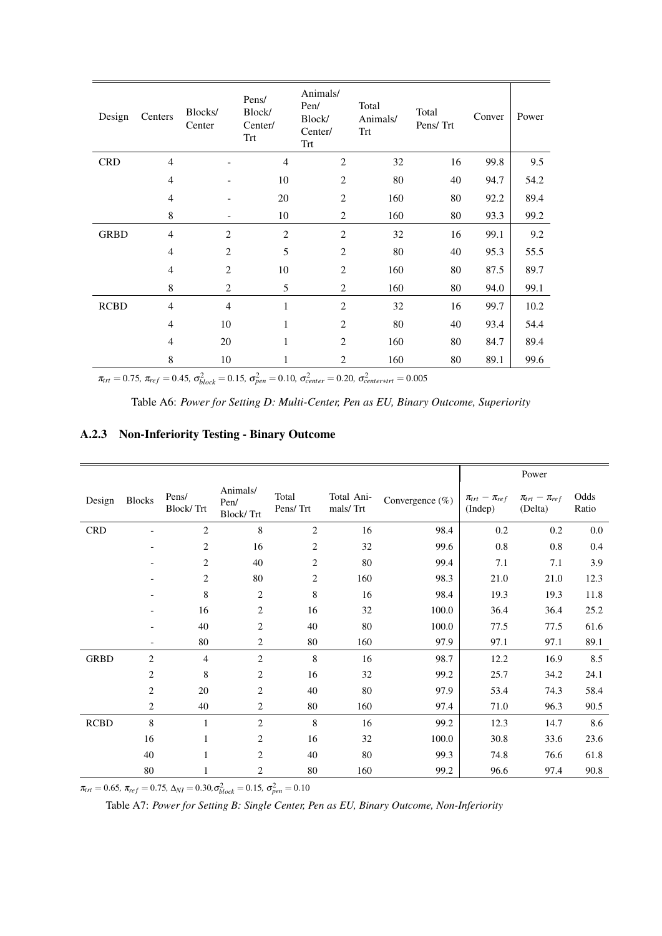| Design      | Centers                  | Blocks/<br>Center | Pens/<br>Block/<br>Center/<br><b>Trt</b> | Animals/<br>Pen/<br>Block/<br>Center/<br>Trt | Total<br>Animals/<br>Trt | Total<br>Pens/Trt | Conver | Power |
|-------------|--------------------------|-------------------|------------------------------------------|----------------------------------------------|--------------------------|-------------------|--------|-------|
| <b>CRD</b>  | $\overline{4}$           |                   | $\overline{4}$                           | $\overline{2}$                               | 32                       | 16                | 99.8   | 9.5   |
|             | $\overline{4}$           |                   | 10                                       | $\overline{2}$                               | 80                       | 40                | 94.7   | 54.2  |
|             | $\overline{4}$           |                   | 20                                       | $\overline{2}$                               | 160                      | 80                | 92.2   | 89.4  |
|             | 8                        | $\overline{a}$    | 10                                       | $\overline{2}$                               | 160                      | 80                | 93.3   | 99.2  |
| <b>GRBD</b> | $\overline{4}$           | $\overline{2}$    | $\overline{2}$                           | $\overline{c}$                               | 32                       | 16                | 99.1   | 9.2   |
|             | $\overline{4}$           | $\overline{2}$    | 5                                        | $\overline{2}$                               | 80                       | 40                | 95.3   | 55.5  |
|             | $\overline{\mathcal{L}}$ | $\overline{c}$    | 10                                       | $\overline{2}$                               | 160                      | 80                | 87.5   | 89.7  |
|             | 8                        | $\overline{2}$    | 5                                        | $\overline{c}$                               | 160                      | 80                | 94.0   | 99.1  |
| <b>RCBD</b> | $\overline{4}$           | $\overline{4}$    | $\mathbf{1}$                             | $\overline{c}$                               | 32                       | 16                | 99.7   | 10.2  |
|             | $\overline{4}$           | 10                | 1                                        | $\overline{2}$                               | 80                       | 40                | 93.4   | 54.4  |
|             | 4                        | 20                | 1                                        | $\overline{2}$                               | 160                      | 80                | 84.7   | 89.4  |
|             | 8                        | 10                | 1                                        | $\overline{c}$                               | 160                      | 80                | 89.1   | 99.6  |

 $\pi_{\text{trt}} = 0.75$ ,  $\pi_{\text{ref}} = 0.45$ ,  $\sigma_{block}^2 = 0.15$ ,  $\sigma_{pen}^2 = 0.10$ ,  $\sigma_{center}^2 = 0.20$ ,  $\sigma_{center \mid \text{trt}}^2 = 0.005$ 

Table A6: *Power for Setting D: Multi-Center, Pen as EU, Binary Outcome, Superiority*

# A.2.3 Non-Inferiority Testing - Binary Outcome

|             |                |                    |                                      |                   |                        |                 |                                  | Power                              |               |
|-------------|----------------|--------------------|--------------------------------------|-------------------|------------------------|-----------------|----------------------------------|------------------------------------|---------------|
| Design      | <b>Blocks</b>  | Pens/<br>Block/Trt | Animals/<br>Pen/<br><b>Block/Trt</b> | Total<br>Pens/Trt | Total Ani-<br>mals/Trt | Convergence (%) | $\pi_{trt}-\pi_{ref}$<br>(Indep) | $\pi_{trt} - \pi_{ref}$<br>(Delta) | Odds<br>Ratio |
| <b>CRD</b>  |                | $\overline{c}$     | 8                                    | $\overline{c}$    | 16                     | 98.4            | 0.2                              | 0.2                                | 0.0           |
|             |                | $\overline{c}$     | 16                                   | 2                 | 32                     | 99.6            | 0.8                              | 0.8                                | 0.4           |
|             |                | $\overline{c}$     | 40                                   | 2                 | 80                     | 99.4            | 7.1                              | 7.1                                | 3.9           |
|             |                | $\overline{c}$     | 80                                   | 2                 | 160                    | 98.3            | 21.0                             | 21.0                               | 12.3          |
|             |                | 8                  | $\overline{c}$                       | 8                 | 16                     | 98.4            | 19.3                             | 19.3                               | 11.8          |
|             |                | 16                 | 2                                    | 16                | 32                     | 100.0           | 36.4                             | 36.4                               | 25.2          |
|             |                | 40                 | $\overline{c}$                       | 40                | 80                     | 100.0           | 77.5                             | 77.5                               | 61.6          |
|             |                | 80                 | 2                                    | 80                | 160                    | 97.9            | 97.1                             | 97.1                               | 89.1          |
| <b>GRBD</b> | $\overline{2}$ | $\overline{4}$     | $\overline{2}$                       | 8                 | 16                     | 98.7            | 12.2                             | 16.9                               | 8.5           |
|             | 2              | 8                  | $\overline{c}$                       | 16                | 32                     | 99.2            | 25.7                             | 34.2                               | 24.1          |
|             | 2              | 20                 | 2                                    | 40                | 80                     | 97.9            | 53.4                             | 74.3                               | 58.4          |
|             | $\overline{c}$ | 40                 | 2                                    | 80                | 160                    | 97.4            | 71.0                             | 96.3                               | 90.5          |
| <b>RCBD</b> | $\,8\,$        | 1                  | $\overline{c}$                       | 8                 | 16                     | 99.2            | 12.3                             | 14.7                               | 8.6           |
|             | 16             | 1                  | 2                                    | 16                | 32                     | 100.0           | 30.8                             | 33.6                               | 23.6          |
|             | 40             | 1                  | $\overline{c}$                       | 40                | 80                     | 99.3            | 74.8                             | 76.6                               | 61.8          |
|             | $80\,$         |                    | 2                                    | 80                | 160                    | 99.2            | 96.6                             | 97.4                               | 90.8          |

 $\pi_{\text{tr}t} = 0.65$ ,  $\pi_{\text{ref}} = 0.75$ ,  $\Delta_{\text{NI}} = 0.30$ ,  $\sigma_{\text{block}}^2 = 0.15$ ,  $\sigma_{\text{pen}}^2 = 0.10$ 

Table A7: *Power for Setting B: Single Center, Pen as EU, Binary Outcome, Non-Inferiority*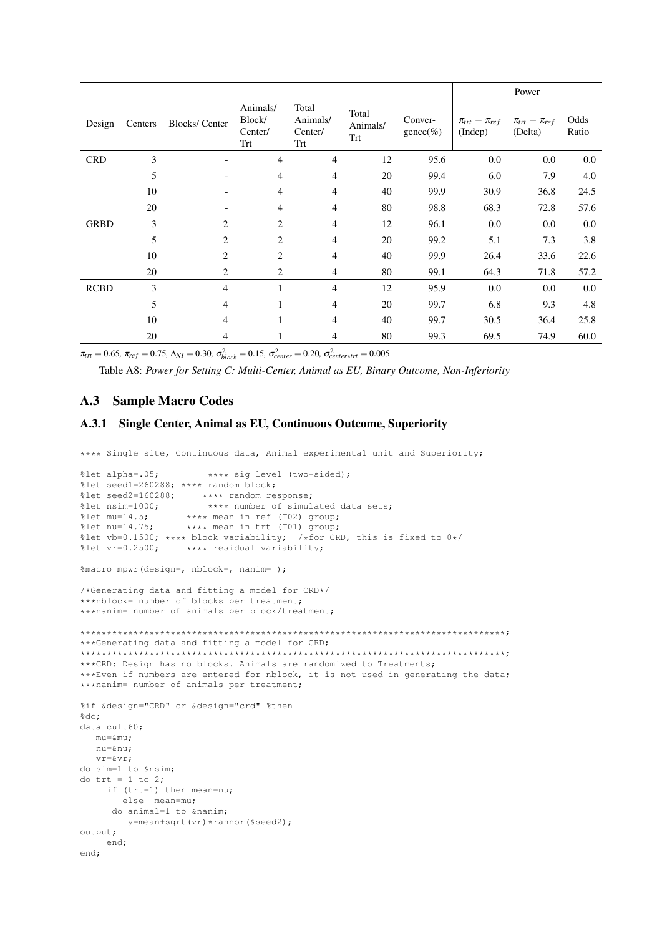|             |         |                          |                                      |                                     |                          |                               |                                    | Power                              |               |
|-------------|---------|--------------------------|--------------------------------------|-------------------------------------|--------------------------|-------------------------------|------------------------------------|------------------------------------|---------------|
| Design      | Centers | <b>Blocks/Center</b>     | Animals/<br>Block/<br>Center/<br>Trt | Total<br>Animals/<br>Center/<br>Trt | Total<br>Animals/<br>Trt | Conver-<br>$\text{gence}(\%)$ | $\pi_{trt} - \pi_{ref}$<br>(Indep) | $\pi_{trt} - \pi_{ref}$<br>(Delta) | Odds<br>Ratio |
| <b>CRD</b>  | 3       |                          | $\overline{4}$                       | $\overline{4}$                      | 12                       | 95.6                          | 0.0                                | 0.0                                | 0.0           |
|             | 5       |                          | $\overline{4}$                       | 4                                   | 20                       | 99.4                          | 6.0                                | 7.9                                | 4.0           |
|             | 10      |                          | 4                                    | 4                                   | 40                       | 99.9                          | 30.9                               | 36.8                               | 24.5          |
|             | 20      | $\overline{\phantom{a}}$ | $\overline{4}$                       | $\overline{4}$                      | 80                       | 98.8                          | 68.3                               | 72.8                               | 57.6          |
| <b>GRBD</b> | 3       | $\overline{2}$           | $\overline{2}$                       | 4                                   | 12                       | 96.1                          | 0.0                                | 0.0                                | 0.0           |
|             | 5       | $\overline{2}$           | $\overline{c}$                       | $\overline{4}$                      | 20                       | 99.2                          | 5.1                                | 7.3                                | 3.8           |
|             | 10      | 2                        | 2                                    | 4                                   | 40                       | 99.9                          | 26.4                               | 33.6                               | 22.6          |
|             | 20      | 2                        | 2                                    | $\overline{4}$                      | 80                       | 99.1                          | 64.3                               | 71.8                               | 57.2          |
| <b>RCBD</b> | 3       | $\overline{4}$           | 1                                    | 4                                   | 12                       | 95.9                          | 0.0                                | 0.0                                | 0.0           |
|             | 5       | 4                        | 1                                    | 4                                   | 20                       | 99.7                          | 6.8                                | 9.3                                | 4.8           |
|             | 10      | $\overline{4}$           |                                      | 4                                   | 40                       | 99.7                          | 30.5                               | 36.4                               | 25.8          |
|             | 20      | 4                        |                                      | 4                                   | 80                       | 99.3                          | 69.5                               | 74.9                               | 60.0          |

 $\pi_{\text{tr}t} = 0.65$ ,  $\pi_{\text{ref}} = 0.75$ ,  $\Delta_{\text{NI}} = 0.30$ ,  $\sigma_{\text{block}}^2 = 0.15$ ,  $\sigma_{\text{center}}^2 = 0.20$ ,  $\sigma_{\text{center}}^2 = 0.005$ 

Table A8: *Power for Setting C: Multi-Center, Animal as EU, Binary Outcome, Non-Inferiority*

# A.3 Sample Macro Codes

### A.3.1 Single Center, Animal as EU, Continuous Outcome, Superiority

\*\*\*\* Single site, Continuous data, Animal experimental unit and Superiority;

```
%let alpha=.05; **** sig level (two-sided);
%let seed1=260288; **** random block;
%let seed2=160288; **** random response;<br>%let nsim=1000; **** number of simul
%let nsim=1000; **** number of simulated data sets;<br>%let mu=14.5; **** mean in ref (T02) group;
%let mu=14.5; **** mean in ref (T02) group;<br>%let nu=14.75; **** mean in trt (T01) group;
                     **** mean in trt (T01) group;
%let vb=0.1500; **** block variability; /*for CRD, this is fixed to 0*/<br>%let vr=0.2500; **** residual variability;
                      **** residual variability;
%macro mpwr(design=, nblock=, nanim= );
/*Generating data and fitting a model for CRD*/
***nblock= number of blocks per treatment;
***nanim= number of animals per block/treatment;
********************************************************************************;
***Generating data and fitting a model for CRD;
********************************************************************************;
***CRD: Design has no blocks. Animals are randomized to Treatments;
***Even if numbers are entered for nblock, it is not used in generating the data;
***nanim= number of animals per treatment;
%if &design="CRD" or &design="crd" %then
*do:
data cult60;
  mu = \kappamu:
   nu=ν
   vr=&vr;
do sim=1 to ≁
do trt = 1 to 2;
     if (trt=1) then mean=nu;
         else mean=mu;
       do animal=1 to &nanim;
         y=mean+sqrt(vr)*rannor(&seed2);
output;
     end;
end;
```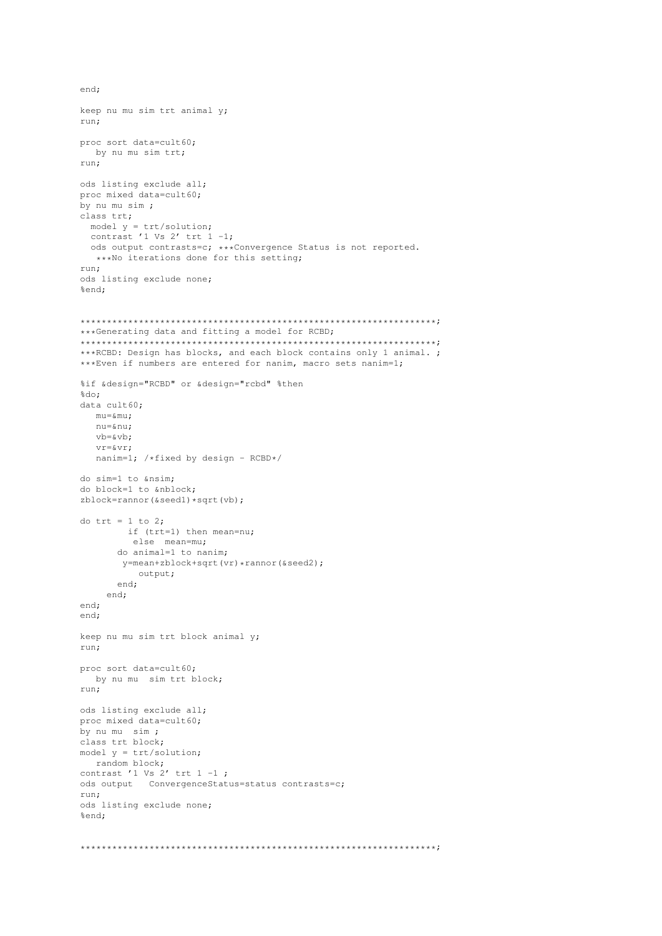```
keep nu mu sim trt animal y;
run:
proc sort data=cult60;
 by nu mu sim trt;
run;ods listing exclude all;
proc mixed data=cult60;
by nu mu sim;
class trt;
 model y = \text{trt/solution};<br>contrast '1 Vs 2' trt 1 -1;
 ods output contrasts=c; ***Convergence Status is not reported.
  ***No iterations done for this setting;
run:ods listing exclude none;
%end;
***Generating data and fitting a model for RCBD;
***RCBD: Design has blocks, and each block contains only 1 animal. ;
*** Even if numbers are entered for nanim, macro sets nanim=1;
%if &design="RCBD" or &design="rcbd" %then
%do;
data cult60;
  mu=μ
  nu=ν
  v b = \& v b;
  V = \kappa V rnanim=1; /*fixed by design - RCBD*/
do sim=1 to ≁
do block=1 to &nblock;
zblock=rannor(&seedl)*sqrt(vb);
do trt = 1 to 2;
       if (trt=1) then mean=nu;
        else mean=mu;
      do animal=1 to nanim;
      y=mean+zblock+sqrt(vr)*rannor(&seed2);
         output;
      end;
    end;
end;
end:
keep nu mu sim trt block animal y;
run:
proc sort data=cult60;
 by nu mu sim trt block;
run:
ods listing exclude all;
proc mixed data=cult60;
by nu mu sim;
class trt block;
model y = \text{trt/solution}random block;
contrast '1 Vs 2' trt 1 -1;
ods output    ConvergenceStatus=status contrasts=c;
run;
ods listing exclude none;
%end:
```
end;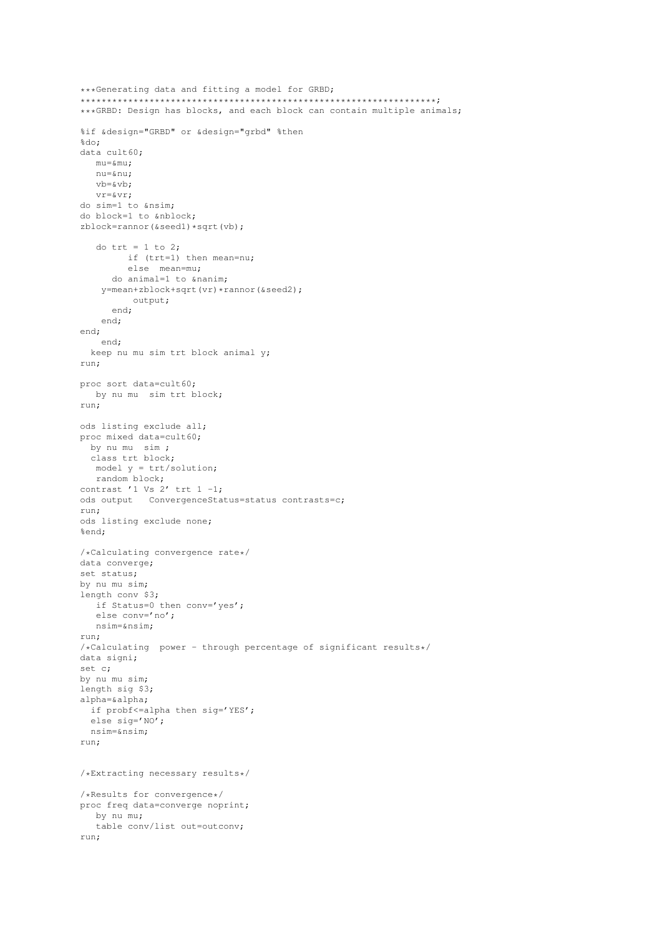```
***Generating data and fitting a model for GRBD;
***GRBD: Design has blocks, and each block can contain multiple animals;
%if &design="GRBD" or &design="grbd" %then
%do:
data cult60;
  mu = \&munu=ν
  v b = \& v b;vr = \& vr;do sim=1 to ≁
do block=1 to &nblock;
zblock=rannor(&seedl) *sqrt(vb);
   do trt = 1 to 2;
        if (trt=1) then mean=nu;
        else mean=mu;
     do animal=1 to \kappananim:
   y=mean+zblock+sqrt(vr)*rannor(&seed2);
         output;
     end;
    end;
end:
   end;
 keep nu mu sim trt block animal y;
run:
proc sort data=cult60;
  by nu mu sim trt block;
run;
ods listing exclude all;
proc mixed data=cult60;
 hv nu mu sim \cdotclass trt block;
  model y = \text{trt/solution};
  random block;
contrast '1 Vs 2' trt 1 -1;
ods output ConvergenceStatus=status contrasts=c;
run;
ods listing exclude none;
%end:
/*Calculating convergence rate*/
data converge;
set status;
by nu mu sim;
length conv $3;
  if Status=0 then conv='yes';
  else conv='no';
  nsim=≁
run;
/*Calculating power - through percentage of significant results*/
data signi;
set c;
by nu mu sim;
length sig $3;
alpha=α
 if probf<=alpha then sig='YES';
 else sig='NO';
 nsim=≁
run:
/*Extracting necessary results*/
/*Results for convergence*/
proc freq data=converge noprint;
  by nu mu:
  table conv/list out=outconv;
run;
```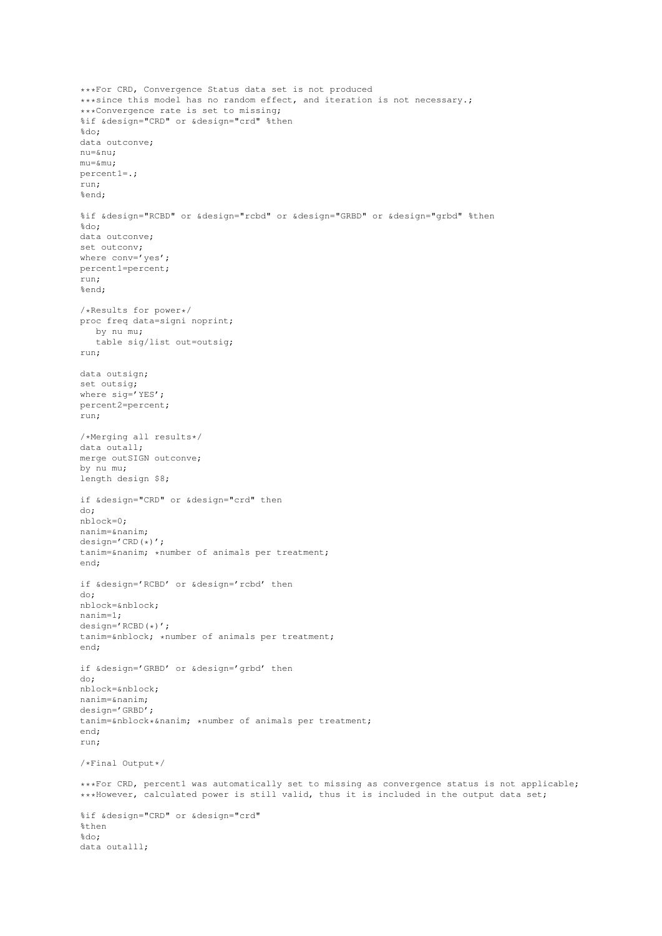```
***For CRD, Convergence Status data set is not produced
***since this model has no random effect, and iteration is not necessary.;
***Convergence rate is set to missing;
%if &design="CRD" or &design="crd" %then
%do;
data outconve;
nu=ν
mu = \&muu:
percent1=.;
run;
%end;
%if &design="RCBD" or &design="rcbd" or &design="GRBD" or &design="grbd" %then
*do:
data outconve;
set outconv;
where conv='yes';
percent1=percent;
run;
%end;
/*Results for power*/
proc freq data=signi noprint;
  by nu mu;
   table sig/list out=outsig;
run;
data outsign;
set outsig;
where sig='YES':
percent2=percent;
run;
/*Merging all results*/
data outall;
merge outSIGN outconve;
by nu mu;
length design $8;
if &design="CRD" or &design="crd" then
do;
nblock=0;
nanim=&nanim;
design='CRD(*)';
tanim=&nanim; *number of animals per treatment;
end;
if &design='RCBD' or &design='rcbd' then
do;
nblock=&nblock;
nanim=1;
design='RCBD(*)';
tanim=&nblock; *number of animals per treatment;
end;
if &design='GRBD' or &design='grbd' then
do;
nblock=&nblock;
nanim=&nanim;
design='GRBD';
tanim=&nblock*&nanim; *number of animals per treatment;
end;
run;
/*Final Output*/
***For CRD, percent1 was automatically set to missing as convergence status is not applicable;
***However, calculated power is still valid, thus it is included in the output data set;
%if &design="CRD" or &design="crd"
2 + hon
%do;
data outalll;
```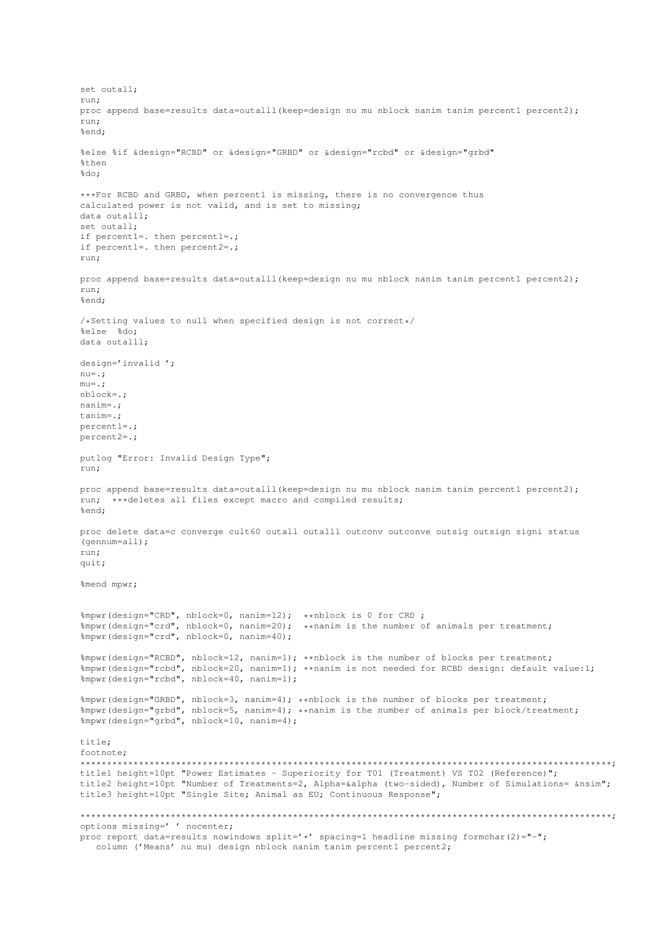set outall; run; proc append base=results data=outalll(keep=design nu mu nblock nanim tanim percent1 percent2); run; %end; %else %if &design="RCBD" or &design="GRBD" or &design="rcbd" or &design="grbd" %then %do; \*\*\*For RCBD and GRBD, when percent1 is missing, there is no convergence thus calculated power is not valid, and is set to missing; data outalll; set outall; if percent1=. then percent1=.; if percent1=. then percent2=.; run; proc append base=results data=outalll(keep=design nu mu nblock nanim tanim percent1 percent2); run; %end; /\*Setting values to null when specified design is not correct\*/ %else %do; data outalll; design='invalid '; nu=.; mu=.; nblock=.; nanim=.; tanim=.; percent1=.; percent2=.; putlog "Error: Invalid Design Type"; run; proc append base=results data=outalll(keep=design nu mu nblock nanim tanim percent1 percent2); run; \*\*\*deletes all files except macro and compiled results; %end; proc delete data=c converge cult60 outall outalll outconv outconve outsig outsign signi status (gennum=all); run; quit; %mend mpwr; %mpwr(design="CRD", nblock=0, nanim=12); \*\*nblock is 0 for CRD ; %mpwr(design="crd", nblock=0, nanim=20); \*\*nanim is the number of animals per treatment; %mpwr(design="crd", nblock=0, nanim=40); %mpwr(design="RCBD", nblock=12, nanim=1); \*\*nblock is the number of blocks per treatment; %mpwr(design="rcbd", nblock=20, nanim=1); \*\*nanim is not needed for RCBD design: default value:1; %mpwr(design="rcbd", nblock=40, nanim=1); %mpwr(design="GRBD", nblock=3, nanim=4); \*\*nblock is the number of blocks per treatment; %mpwr(design="grbd", nblock=5, nanim=4); \*\*nanim is the number of animals per block/treatment; %mpwr(design="grbd", nblock=10, nanim=4); title; footnote; \*\*\*\*\*\*\*\*\*\*\*\*\*\*\*\*\*\*\*\*\*\*\*\*\*\*\*\*\*\*\*\*\*\*\*\*\*\*\*\*\*\*\*\*\*\*\*\*\*\*\*\*\*\*\*\*\*\*\*\*\*\*\*\*\*\*\*\*\*\*\*\*\*\*\*\*\*\*\*\*\*\*\*\*\*\*\*\*\*\*\*\*\*\*\*\*\*\*\*\*; title1 height=10pt "Power Estimates - Superiority for T01 (Treatment) VS T02 (Reference)"; title2 height=10pt "Number of Treatments=2, Alpha=&alpha (two-sided), Number of Simulations= &nsim"; title3 height=10pt "Single Site; Animal as EU; Continuous Response"; \*\*\*\*\*\*\*\*\*\*\*\*\*\*\*\*\*\*\*\*\*\*\*\*\*\*\*\*\*\*\*\*\*\*\*\*\*\*\*\*\*\*\*\*\*\*\*\*\*\*\*\*\*\*\*\*\*\*\*\*\*\*\*\*\*\*\*\*\*\*\*\*\*\*\*\*\*\*\*\*\*\*\*\*\*\*\*\*\*\*\*\*\*\*\*\*\*\*\*\*; options missing=' ' nocenter; proc report data=results nowindows split='\*' spacing=1 headline missing formchar(2)="-"; column ('Means' nu mu) design nblock nanim tanim percent1 percent2;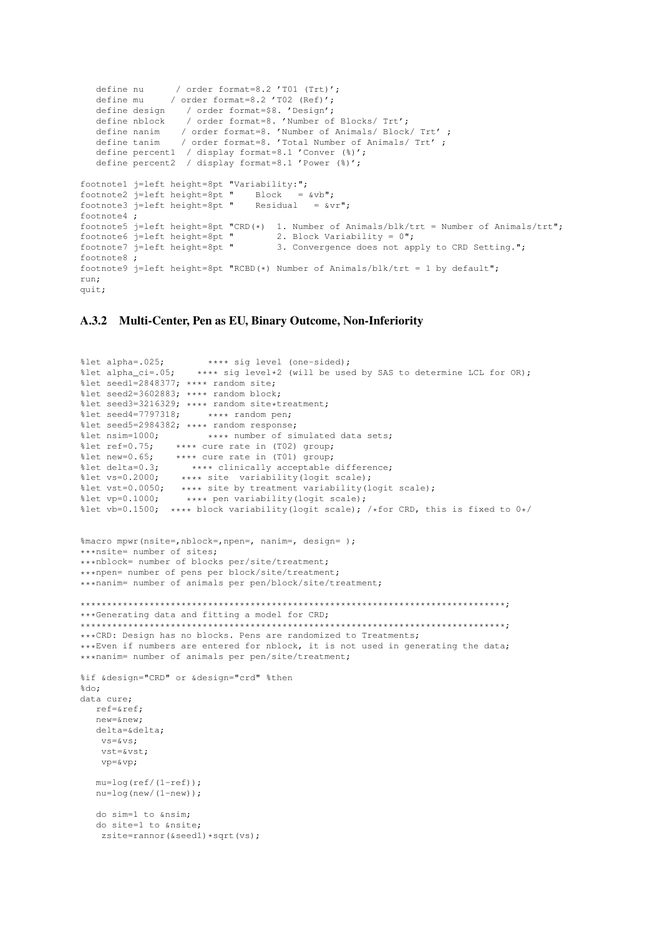```
define nu / order format=8.2 'T01 (Trt)';
   define mu / order format=8.2 'T02 (Ref)';
   define design / order format=$8. 'Design';
   define nblock / order format=8. 'Number of Blocks/ Trt';
   define nanim / order format=8. 'Number of Animals/ Block/ Trt' ;
   define tanim / order format=8. 'Total Number of Animals/ Trt' ;
   define percent1 / display format=8.1 'Conver (%)';
   define percent2 / display format=8.1 'Power (%)';
footnote1 j=left height=8pt "Variability:";
footnote2 j=left height=8pt " Block = \&\text{v}";
footnote3 j=left height=8pt " Residual = &vr";
footnote4 ;
footnote5 j=left height=8pt "CRD(*) 1. Number of Animals/blk/trt = Number of Animals/trt";<br>footnote6 j=left height=8pt "2. Block Variability = 0";
footnote6 j=left height=8pt "<br>footnote7 j=left height=8pt "
                                       3. Convergence does not apply to CRD Setting.";
footnote8 ;
footnote9 j=left height=8pt "RCBD(*) Number of Animals/blk/trt = 1 by default";
run;
quit;
```
#### A.3.2 Multi-Center, Pen as EU, Binary Outcome, Non-Inferiority

```
%let alpha=.025; **** sig level (one-sided);<br>%let alpha_ci=.05; **** sig level*2 (will be use
                          **** sig level*2 (will be used by SAS to determine LCL for OR);
%let seed1=2848377; **** random site;
%let seed2=3602883; **** random block;
%let seed3=3216329; **** random site*treatment;<br>%let seed4=7797318; **** random pen;
%let seed4=7797318;
%let seed5=2984382; **** random response;<br>%let nsim=1000; **** number of si
%let nsim=1000; **** number of simulated data sets;<br>%let ref=0.75; **** cure rate in (T02) group;
%let ref=0.75; **** cure rate in (T02) group;<br>%let new=0.65; **** cure rate in (T01) group;
%let new=0.65; **** cure rate in (T01) group;<br>%let delta=0.3; **** clinically acceptable
%let delta=0.3; **** clinically acceptable difference;<br>%let vs=0.2000: **** site variability(logit scale):
                      **** site variability(logit scale);
%let vst=0.0050; **** site by treatment variability(logit scale);<br>%let vp=0.1000; **** pen variability(logit scale);
                      **** pen variability(logit scale);
%let vb=0.1500; **** block variability(logit scale); /*for CRD, this is fixed to 0*/%macro mpwr(nsite=,nblock=,npen=, nanim=, design= );
***nsite= number of sites;
***nblock= number of blocks per/site/treatment;
***npen= number of pens per block/site/treatment;
***nanim= number of animals per pen/block/site/treatment;
********************************************************************************;
***Generating data and fitting a model for CRD;
********************************************************************************;
***CRD: Design has no blocks. Pens are randomized to Treatments;
***Even if numbers are entered for nblock, it is not used in generating the data;
***nanim= number of animals per pen/site/treatment;
%if &design="CRD" or &design="crd" %then
%do;
data cure;
   ref=&ref;
   new=&new;
   delta=δ
    v \leq x \leq v \leq 1vst=&vst;
    vp=&vp;
   mu=log(ref/(1-ref));
   nu=log(new/(1-new));
   do sim=1 to ≁
   do site=1 to &nsite;
     zsite=rannor(&seed1)*sqrt(vs);
```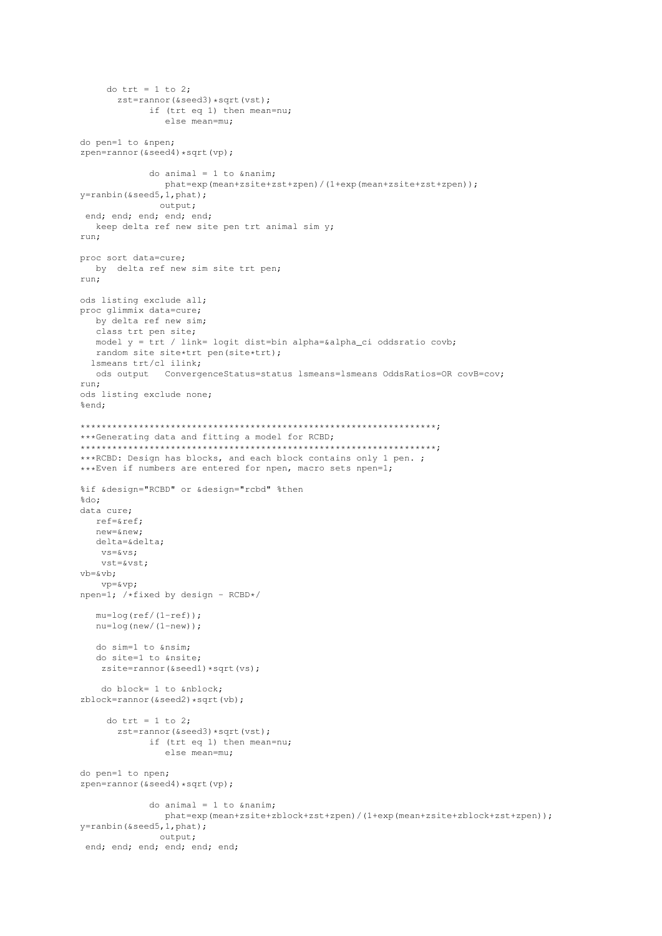```
do trt = 1 to 2;
      zst = rannor (&seed3) *sqrt (vst);
            if (trt eq 1) then mean=nu;
               else mean=mu;
do pen=1 to &npen;
zpen=rannor(\&seed4) *sqrt(vp);
            do animal = 1 to & nanim;
              phat=exp(mean+zsite+zst+zpen)/(1+exp(mean+zsite+zst+zpen));
y=ranbin(&seed5,1,phat);
              output;
end; end; end; end; end;
  keep delta ref new site pen trt animal sim y;
run:
proc sort data=cure;
  by delta ref new sim site trt pen;
run:
ods listing exclude all;
proc glimmix data=cure;
  by delta ref new sim;
  class trt pen site;
  model y = trt / link= logit dist=bin alpha=&alpha_ci oddsratio covb;
  random site site*trt pen(site*trt);
 lsmeans trt/cl ilink;
  ods output ConvergenceStatus=status lsmeans=lsmeans OddsRatios=OR covB=cov;
run;
ods listing exclude none;
%end;
***Generating data and fitting a model for RCBD;
***RCBD: Design has blocks, and each block contains only 1 pen. ;
*** Even if numbers are entered for npen, macro sets npen=1;
%if &design="RCBD" or &design="rcbd" %then
%do;
data cure;
  ref = \kapparefnew = \&new:
  delta=δ
   vs = \&vs;vst = \& vst;
v b = \& v b;VD = \&VD:
npen=1; /*fixed by design - RCBD*/
  mu = log(ref/(1-ref));nu = log(new/(1-new));do sim=1 to ≁
   do site=1 to &nsite;
   zsite = \text{rannor}(\&\text{seed1}) * \text{sqrt}(vs);do block= 1 to &nblock;
zblock=rannor (&seed2) *sqrt(vb);
    do trt = 1 to 2;
      zst=rannor(&seed3)*sqrt(vst);
            if (trt eq 1) then mean=nu;
               else mean=mu;
do pen=1 to npen;
zpen=rannor(&seed4)*sqrt(vp);
            do animal = 1 to & nanim;
               phat=exp(mean+zsite+zblock+zst+zpen)/(1+exp(mean+zsite+zblock+zst+zpen));
y = \text{ranbin}(\&\text{seed5}, 1, \text{phat});
              output;
 end; end; end; end; end; end;
```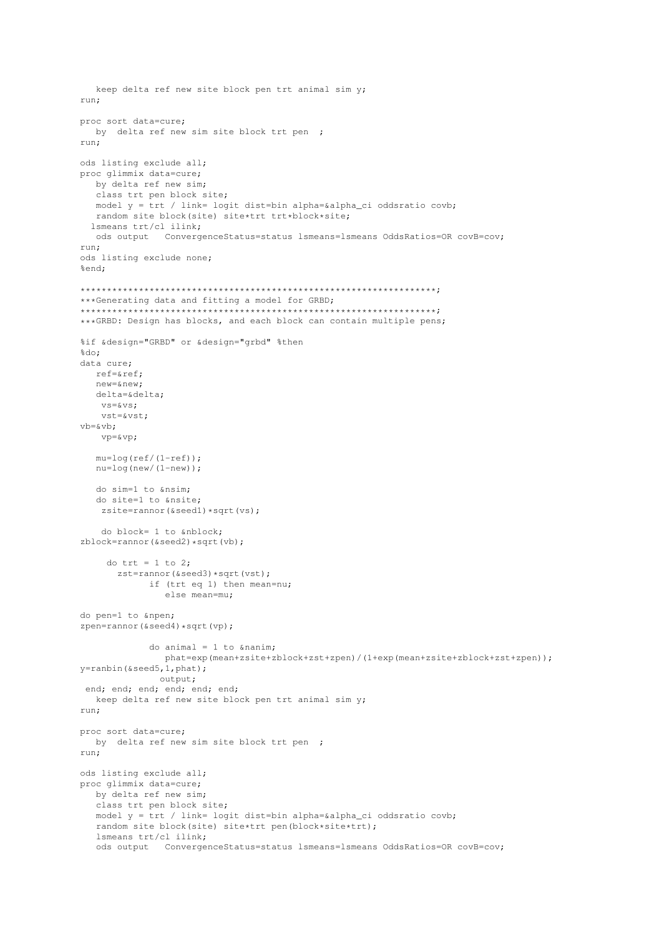```
keep delta ref new site block pen trt animal sim y;
run:proc sort data=cure;
  by delta ref new sim site block trt pen ;
run:
ods listing exclude all;
proc glimmix data=cure;
  by delta ref new sim;
  class trt pen block site;
  model y = trt / link= logit dist=bin alpha=&alpha_ci oddsratio covb;
  random site block(site) site*trt trt*block*site;
 lsmeans trt/cl ilink;
  ods output ConvergenceStatus=status lsmeans=lsmeans OddsRatios=OR covB=cov;
run:
ods listing exclude none;
%end:
***Generating data and fitting a model for GRBD;
*** GRBD: Design has blocks, and each block can contain multiple pens;
%if &design="GRBD" or &design="grbd" %then
kdo:data cure:
  ref=\texttt{seef};new = \&new;delta=&delta:
   vs = \&vs;vst=&vst;
vb=&vb:
   vp = \& vp;mu = log(ref/(1-ref));nu = log(new/(1-new));
  do sim=1 to ≁
  do site=1 to &nsite;
   zsite=rannor(&seedl)*sqrt(vs);
   do block= 1 to \kappanblock:
zblock=rannor(&seed2)*sqrt(vb);
    do trt = 1 to 2:
      zst=rannor(&seed3)*sqrt(vst);
            if (trt eq 1) then mean=nu;
               else mean=mu;
do pen=1 to \text{upper};
zpen=rannor(&seed4)*sqrt(vp);
            do animal = 1 to & nanim;
              phat=exp(mean+zsite+zblock+zst+zpen)/(1+exp(mean+zsite+zblock+zst+zpen));
y =ranbin(&seed5, 1, phat);
              output;
end; end; end; end; end; end;
  keep delta ref new site block pen trt animal sim y;
run:
proc sort data=cure;
  by delta ref new sim site block trt pen ;
run:
ods listing exclude all;
proc glimmix data=cure;
  by delta ref new sim;
  class trt pen block site;
  model y = trt / link= logit dist=bin alpha=&alpha_ci oddsratio covb;
  random site block(site) site*trt pen(block*site*trt);
   lsmeans trt/cl ilink;
   ods output    ConvergenceStatus=status    lsmeans=lsmeans    OddsRatios=OR covB=cov;
```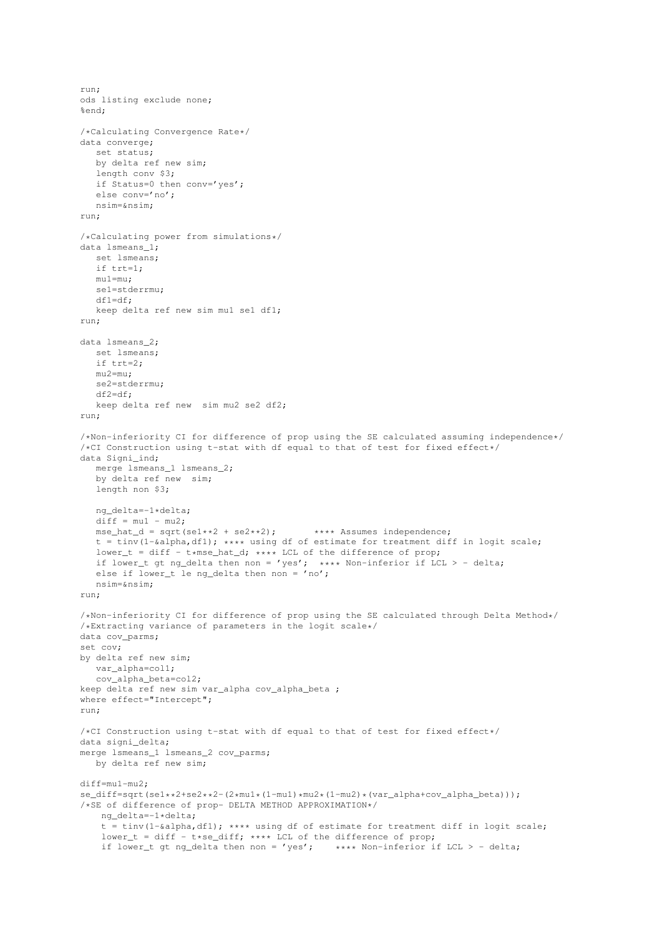```
run;
ods listing exclude none;
%end;
/*Calculating Convergence Rate*/
data converge;
   set status;
  by delta ref new sim;
   length conv $3;
  if Status=0 then conv='yes';
  else conv='no';
   nsim=≁
run;
/*Calculating power from simulations*/
data lsmeans_1;
   set lsmeans;
   if trt=1;
  mu1=mu;
   se1=stderrmu;
   df1=df;
  keep delta ref new sim mu1 se1 df1;
run;
data lsmeans_2;
   set lsmeans;
   if trt=2:
   mu2=mu;
  se2=stderrmu;
   df2=df;
   keep delta ref new sim mu2 se2 df2;
run;
/*Non-inferiority CI for difference of prop using the SE calculated assuming independence*/
/*CI Construction using t-stat with df equal to that of test for fixed effect*/
data Signi_ind;
   merge lsmeans_1 lsmeans_2;
   by delta ref new sim;
  length non $3;
   ng_delta=-1*delta;
   \det f = \text{mul} - \text{mu2};mse\_hat_d = sqrt(self.*2 + seq**2); **** Assumes independence;
   t = \text{tiny(1-@alpha, df1)}; **** using df of estimate for treatment diff in logit scale;
   lower_t = diff - t*mse_hat_d; *** LCL of the difference of prop;if lower_t gt ng_delta then non = 'yes'; **** Non-inferior if LCL > - delta;
   else if lower_t le ng_delta then non = 'no';
  nsim=≁
run;
/*Non-inferiority CI for difference of prop using the SE calculated through Delta Method*/
/*Extracting variance of parameters in the logit scale*/
data cov_parms;
set cov;
by delta ref new sim;
  var alpha=col1;
   cov_alpha_beta=col2;
keep delta ref new sim var_alpha cov_alpha_beta ;
where effect="Intercept";
run;
/*CI Construction using t-stat with df equal to that of test for fixed effect*/
data signi_delta;
merge lsmeans 1 lsmeans 2 cov parms;
  by delta ref new sim;
diff=mu1-mu2;
se_diff=sqrt(se1**2+se2**2-(2*mu1*(1-mu1)*mu2*(1-mu2)*(var_alpha+cov_alpha_beta)));
/*SE of difference of prop- DELTA METHOD APPROXIMATION*/
   ng_delta=-1*delta;
    t = tinv(1-&alpha,df1); **** using df of estimate for treatment diff in logit scale;
    lower t = diff - t*se diff; **** LCL of the difference of prop;
    if lower_t gt ng_delta then non = 'yes'; **** Non-inferior if LCL > - delta;
```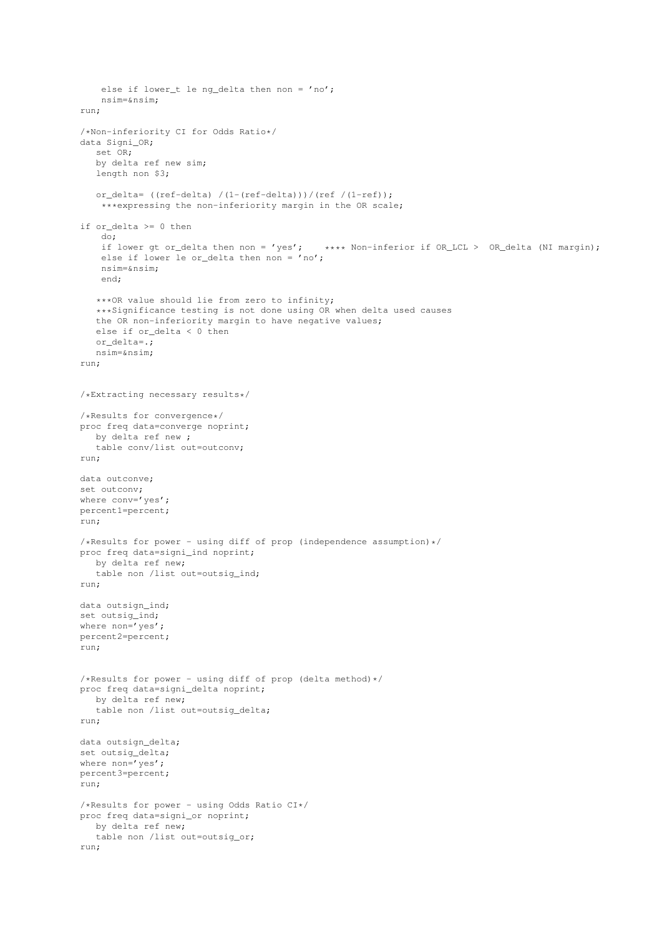```
else if lower_t le ng_delta then non = 'no';
   nsim=≁
run;
/*Non-inferiority CI for Odds Ratio*/
data Signi OR;
   set OR;
   by delta ref new sim;
   length non $3;
   or_delta= ((ref-delta) /(1-(ref-delta)))/(ref /(1-ref));
    ***expressing the non-inferiority margin in the OR scale;
if or_delta >= 0 then
   do;
   if lower gt or_delta then non = 'yes'; **** Non-inferior if OR_LCL > OR_delta (NI margin);
    else if lower le or_delta then non = 'no';
   nsim=≁
   end;
   ***OR value should lie from zero to infinity;
   ***Significance testing is not done using OR when delta used causes
   the OR non-inferiority margin to have negative values;
   else if or_delta < 0 then
   or_delta=.;
  nsim=≁
run;
/*Extracting necessary results*/
/*Results for convergence*/
proc freq data=converge noprint;
  by delta ref new ;
  table conv/list out=outconv;
run;
data outconve;
set outconv;
where conv='yes';
percent1=percent;
run;
/*Results for power - using diff of prop (independence assumption) */proc freq data=signi_ind noprint;
  by delta ref new;
   table non /list out=outsig_ind;
run;
data outsign_ind;
set outsig_ind;
where non='yes';
percent2=percent;
run;
/*Results for power - using diff of prop (delta method) */proc freq data=signi_delta noprint;
  by delta ref new;
  table non /list out=outsig_delta;
run;
data outsign_delta;
set outsig delta;
where non='yes';
percent3=percent;
run;
/*Results for power - using Odds Ratio CI*/
proc freq data=signi_or noprint;
  by delta ref new;
   table non /list out=outsig or;
run;
```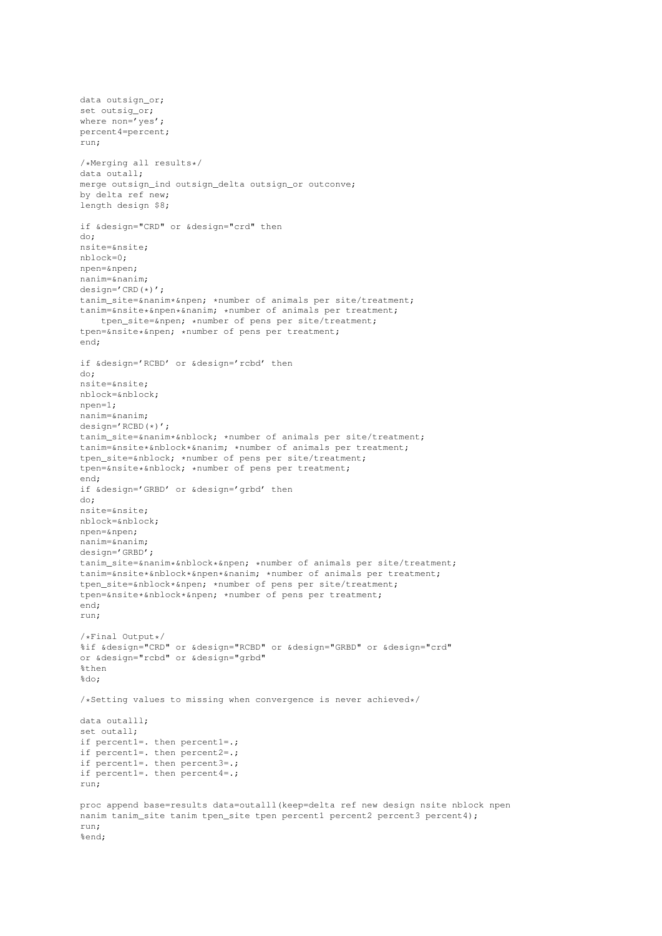```
data outsign_or;
set outsig_or;
where non='yes';
percent4=percent;
run;
/*Merging all results*/
data outall;
merge outsign_ind outsign_delta outsign_or outconve;
by delta ref new;
length design $8;
if &design="CRD" or &design="crd" then
do;
nsite=&nsite;
nblock=0;
npen=&npen;
nanim=&nanim;
design='CRD(*)';
tanim site=&nanim*&npen; *number of animals per site/treatment;
tanim=&nsite*&npen*&nanim; *number of animals per treatment;
   tpen_site=&npen; *number of pens per site/treatment;
tpen=&nsite*&npen; *number of pens per treatment;
end;
if &design='RCBD' or &design='rcbd' then
do;
nsite=&nsite;
nblock=&nblock;
npen=1;
nanim=&nanim;
design='RCBD(*)';
tanim_site=&nanim*&nblock; *number of animals per site/treatment;
tanim=&nsite*&nblock*&nanim; *number of animals per treatment;
tpen_site=&nblock; *number of pens per site/treatment;
tpen=&nsite*&nblock; *number of pens per treatment;
end;
if &design='GRBD' or &design='grbd' then
do;
nsite=&nsite;
nblock=&nblock;
npen=&npen;
nanim=&nanim;
design='GRBD';
tanim_site=&nanim*&nblock*&npen; *number of animals per site/treatment;
tanim=&nsite*&nblock*&npen*&nanim; *number of animals per treatment;
tpen_site=&nblock*&npen; *number of pens per site/treatment;
tpen=&nsite*&nblock*&npen; *number of pens per treatment;
end;
run;
/*Final Output*/
%if &design="CRD" or &design="RCBD" or &design="GRBD" or &design="crd"
or &design="rcbd" or &design="grbd"
%then
*do:
/*Setting values to missing when convergence is never achieved*/
data outalll;
set outall:
if percent1=. then percent1=.;
if percent1=. then percent2=.;
if percent1=. then percent3=.;
if percent1=. then percent4=.;
run;
proc append base=results data=outalll(keep=delta ref new design nsite nblock npen
nanim tanim_site tanim tpen_site tpen percent1 percent2 percent3 percent4);
run;
%end;
```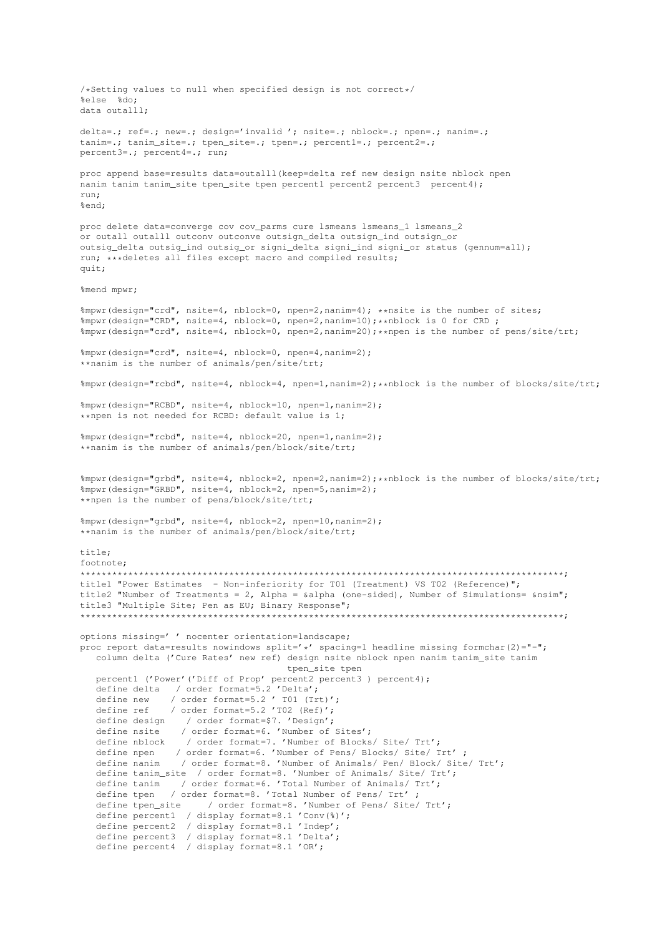```
/*Setting values to null when specified design is not correct*/
%else %do;
data outalll;
delta=.; ref=.; new=.; design='invalid '; nsite=.; nblock=.; npen=.; nanim=.;
tanim=.; tanim_site=.; tpen_site=.; tpen=.; percent1=.; percent2=.;
percent3=.; percent4=.; run;
proc append base=results data=outalll(keep=delta ref new design nsite nblock npen
nanim tanim tanim_site tpen_site tpen percent1 percent2 percent3 percent4);
run;
%end;
proc delete data=converge cov cov_parms cure lsmeans lsmeans_1 lsmeans_2
or outall outalll outconv outconve outsign_delta outsign_ind outsign_or
outsig_delta outsig_ind outsig_or signi_delta signi_ind signi_or status (gennum=all);
run; ***deletes all files except macro and compiled results;
\text{unit}:%mend mpwr;
%mpwr(design="crd", nsite=4, nblock=0, npen=2,nanim=4); **nsite is the number of sites;
%mpwr(design="CRD", nsite=4, nblock=0, npen=2,nanim=10);**nblock is 0 for CRD ;
%mpwr(design="crd", nsite=4, nblock=0, npen=2,nanim=20);**npen is the number of pens/site/trt;
%mpwr(design="crd", nsite=4, nblock=0, npen=4,nanim=2);
**nanim is the number of animals/pen/site/trt;
%mpwr(design="rcbd", nsite=4, nblock=4, npen=1,nanim=2);**nblock is the number of blocks/site/trt;
%mpwr(design="RCBD", nsite=4, nblock=10, npen=1,nanim=2);
**npen is not needed for RCBD: default value is 1;
%mpwr(design="rcbd", nsite=4, nblock=20, npen=1,nanim=2);
**nanim is the number of animals/pen/block/site/trt;
%mpwr(design="grbd", nsite=4, nblock=2, npen=2,nanim=2);**nblock is the number of blocks/site/trt;
%mpwr(design="GRBD", nsite=4, nblock=2, npen=5,nanim=2);
**npen is the number of pens/block/site/trt;
%mpwr(design="grbd", nsite=4, nblock=2, npen=10,nanim=2);
**nanim is the number of animals/pen/block/site/trt;
title;
footnote;
*******************************************************************************************;
title1 "Power Estimates - Non-inferiority for T01 (Treatment) VS T02 (Reference)";
title2 "Number of Treatments = 2, Alpha = &alpha (one-sided), Number of Simulations= &nsim";
title3 "Multiple Site; Pen as EU; Binary Response";
*******************************************************************************************;
options missing=' ' nocenter orientation=landscape;
proc report data=results nowindows split='*' spacing=1 headline missing formchar(2)="-";
   column delta ('Cure Rates' new ref) design nsite nblock npen nanim tanim_site tanim
                                      tpen_site tpen
   percent1 ('Power'('Diff of Prop' percent2 percent3 ) percent4);
   define delta / order format=5.2 'Delta';
   define new / order format=5.2 ' T01 (Trt)';
   define ref / order format=5.2 'T02 (Ref)';
   define design / order format=$7. 'Design';
   define nsite / order format=6. 'Number of Sites';
   define nblock / order format=7. 'Number of Blocks/ Site/ Trt';
   define npen / order format=6. 'Number of Pens/ Blocks/ Site/ Trt' ;
   define nanim / order format=8. 'Number of Animals/ Pen/ Block/ Site/ Trt';
   define tanim_site / order format=8. 'Number of Animals/ Site/ Trt';
   define tanim / order format=6. 'Total Number of Animals/ Trt';
   define tpen / order format=8. 'Total Number of Pens/ Trt' ;
   define tpen_site / order format=8. 'Number of Pens/ Site/ Trt';
   define percent1 / display format=8.1 'Conv(%)';
   define percent2 / display format=8.1 'Indep';
   define percent3 / display format=8.1 'Delta';
   define percent4 / display format=8.1 'OR';
```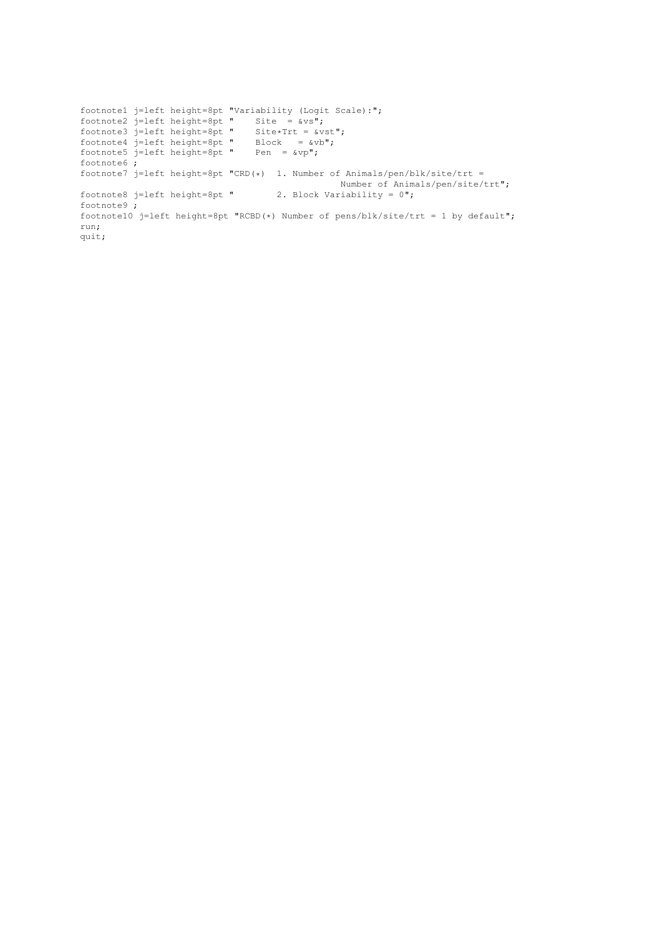```
footnote1 j=left height=8pt "Variability (Logit Scale):";
footnote2 j=left height=8pt " Site = &vs";
footnote3 j=left height=8pt " Site*Trt = &vst";
footnote4 j=left height=8pt " Block = \&\text{vb}";
footnote5 j=left height=8pt " Pen = \&vp";
footnote6 ;
footnote7 j=left height=8pt "CRD(*) 1. Number of Animals/pen/blk/site/trt =
                                              Number of Animals/pen/site/trt";
footnote8 j=left height=8pt " 2. Block Variability = 0";
footnote9 ;
footnote10 j=left height=8pt "RCBD(*) Number of pens/blk/site/trt = 1 by default";
run;
quit;
```